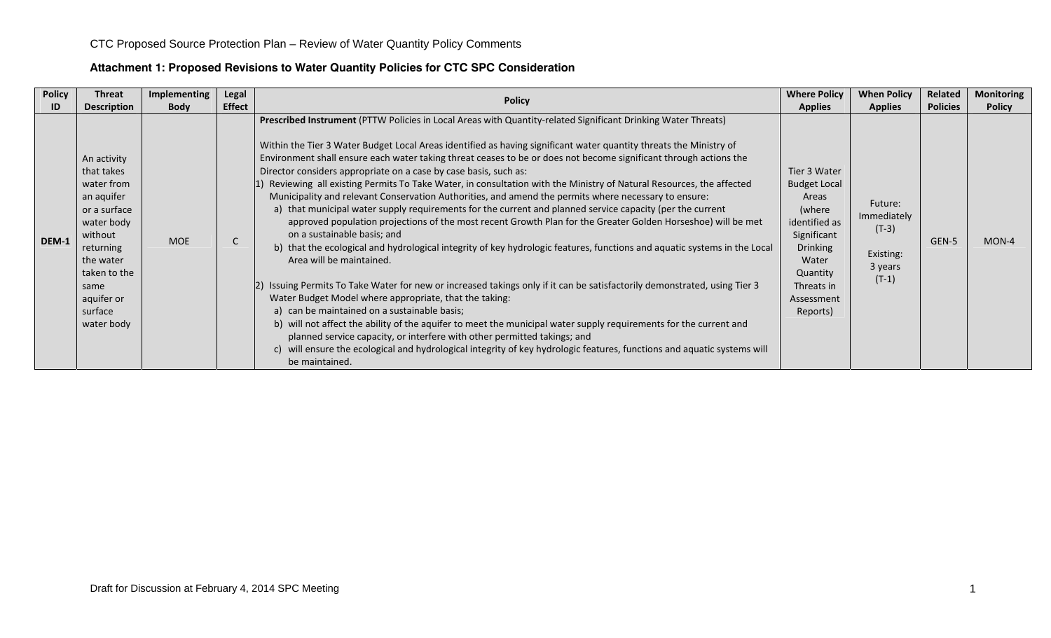### **Attachment 1: Proposed Revisions to Water Quantity Policies for CTC SPC Consideration**

| <b>Policy</b> | Threat                                                                                                                                                                                  | Implementing | Legal         | <b>Policy</b>                                                                                                                                                                                                                                                                                                                                                                                                                                                                                                                                                                                                                                                                                                                                                                                                                                                                                                                                                                                                                                                                                                                                                                                                                                                                                                                                                                                                                                                                                                                                                                                                                                                        | <b>Where Policy</b>                                                                                                                                                    | <b>When Policy</b>                                                   | Related         | <b>Monitoring</b> |
|---------------|-----------------------------------------------------------------------------------------------------------------------------------------------------------------------------------------|--------------|---------------|----------------------------------------------------------------------------------------------------------------------------------------------------------------------------------------------------------------------------------------------------------------------------------------------------------------------------------------------------------------------------------------------------------------------------------------------------------------------------------------------------------------------------------------------------------------------------------------------------------------------------------------------------------------------------------------------------------------------------------------------------------------------------------------------------------------------------------------------------------------------------------------------------------------------------------------------------------------------------------------------------------------------------------------------------------------------------------------------------------------------------------------------------------------------------------------------------------------------------------------------------------------------------------------------------------------------------------------------------------------------------------------------------------------------------------------------------------------------------------------------------------------------------------------------------------------------------------------------------------------------------------------------------------------------|------------------------------------------------------------------------------------------------------------------------------------------------------------------------|----------------------------------------------------------------------|-----------------|-------------------|
| ID            | <b>Description</b>                                                                                                                                                                      | <b>Body</b>  | <b>Effect</b> |                                                                                                                                                                                                                                                                                                                                                                                                                                                                                                                                                                                                                                                                                                                                                                                                                                                                                                                                                                                                                                                                                                                                                                                                                                                                                                                                                                                                                                                                                                                                                                                                                                                                      | <b>Applies</b>                                                                                                                                                         | <b>Applies</b>                                                       | <b>Policies</b> | <b>Policy</b>     |
| DEM-1         | An activity<br>that takes<br>water from<br>an aquifer<br>or a surface<br>water body<br>without<br>returning<br>the water<br>taken to the<br>same<br>aquifer or<br>surface<br>water body | <b>MOE</b>   |               | Prescribed Instrument (PTTW Policies in Local Areas with Quantity-related Significant Drinking Water Threats)<br>Within the Tier 3 Water Budget Local Areas identified as having significant water quantity threats the Ministry of<br>Environment shall ensure each water taking threat ceases to be or does not become significant through actions the<br>Director considers appropriate on a case by case basis, such as:<br>Reviewing all existing Permits To Take Water, in consultation with the Ministry of Natural Resources, the affected<br>Municipality and relevant Conservation Authorities, and amend the permits where necessary to ensure:<br>a) that municipal water supply requirements for the current and planned service capacity (per the current<br>approved population projections of the most recent Growth Plan for the Greater Golden Horseshoe) will be met<br>on a sustainable basis; and<br>b) that the ecological and hydrological integrity of key hydrologic features, functions and aquatic systems in the Local<br>Area will be maintained.<br>[2] Issuing Permits To Take Water for new or increased takings only if it can be satisfactorily demonstrated, using Tier 3<br>Water Budget Model where appropriate, that the taking:<br>a) can be maintained on a sustainable basis;<br>b) will not affect the ability of the aquifer to meet the municipal water supply requirements for the current and<br>planned service capacity, or interfere with other permitted takings; and<br>c) will ensure the ecological and hydrological integrity of key hydrologic features, functions and aquatic systems will<br>be maintained. | Tier 3 Water<br><b>Budget Local</b><br>Areas<br>(where<br>identified as<br>Significant<br><b>Drinking</b><br>Water<br>Quantity<br>Threats in<br>Assessment<br>Reports) | Future:<br>Immediately<br>$(T-3)$<br>Existing:<br>3 years<br>$(T-1)$ | GEN-5           | MON-4             |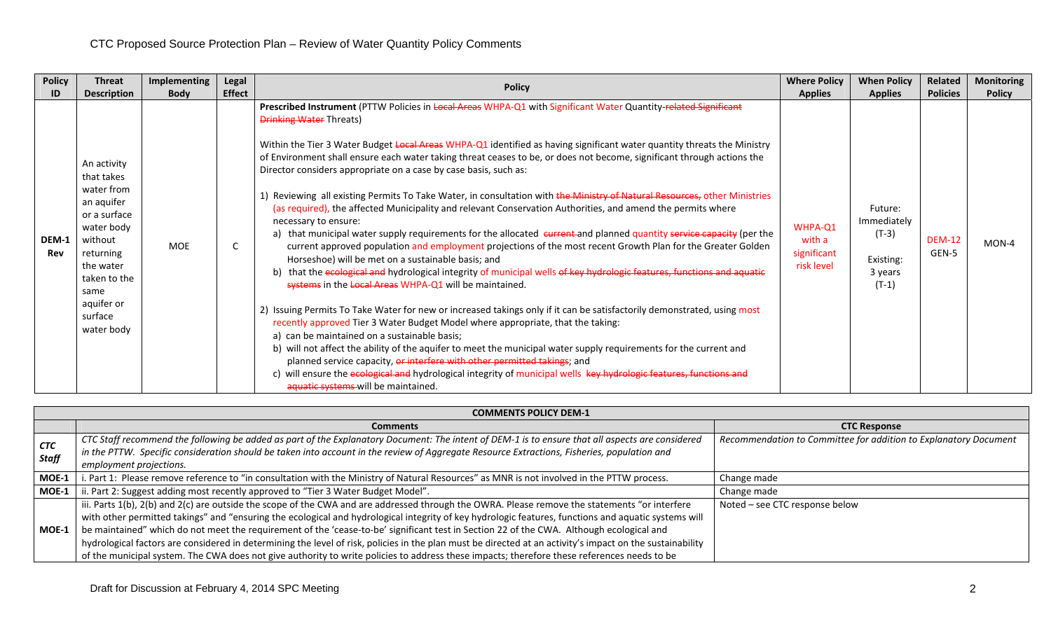| <b>Policy</b> | <b>Threat</b>                                                                                                                                                                           | Implementing | <b>Legal</b>  | <b>Policy</b>                                                                                                                                                                                                                                                                                                                                                                                                                                                                                                                                                                                                                                                                                                                                                                                                                                                                                                                                                                                                                                                                                                                                                                                                                                                                                                                                                                                                                                                                                                                                                                                                                                                                                                                                                                                                                                                | <b>Where Policy</b>                            | <b>When Policy</b>                                                   | Related                | <b>Monitoring</b> |
|---------------|-----------------------------------------------------------------------------------------------------------------------------------------------------------------------------------------|--------------|---------------|--------------------------------------------------------------------------------------------------------------------------------------------------------------------------------------------------------------------------------------------------------------------------------------------------------------------------------------------------------------------------------------------------------------------------------------------------------------------------------------------------------------------------------------------------------------------------------------------------------------------------------------------------------------------------------------------------------------------------------------------------------------------------------------------------------------------------------------------------------------------------------------------------------------------------------------------------------------------------------------------------------------------------------------------------------------------------------------------------------------------------------------------------------------------------------------------------------------------------------------------------------------------------------------------------------------------------------------------------------------------------------------------------------------------------------------------------------------------------------------------------------------------------------------------------------------------------------------------------------------------------------------------------------------------------------------------------------------------------------------------------------------------------------------------------------------------------------------------------------------|------------------------------------------------|----------------------------------------------------------------------|------------------------|-------------------|
| ID            | <b>Description</b>                                                                                                                                                                      | <b>Body</b>  | <b>Effect</b> |                                                                                                                                                                                                                                                                                                                                                                                                                                                                                                                                                                                                                                                                                                                                                                                                                                                                                                                                                                                                                                                                                                                                                                                                                                                                                                                                                                                                                                                                                                                                                                                                                                                                                                                                                                                                                                                              | <b>Applies</b>                                 | <b>Applies</b>                                                       | <b>Policies</b>        | <b>Policy</b>     |
| DEM-1<br>Rev  | An activity<br>that takes<br>water from<br>an aquifer<br>or a surface<br>water body<br>without<br>returning<br>the water<br>taken to the<br>same<br>aquifer or<br>surface<br>water body | <b>MOE</b>   |               | Prescribed Instrument (PTTW Policies in Local Areas WHPA-Q1 with Significant Water Quantity-related Significant<br><b>Drinking Water Threats)</b><br>Within the Tier 3 Water Budget Local Areas WHPA-Q1 identified as having significant water quantity threats the Ministry<br>of Environment shall ensure each water taking threat ceases to be, or does not become, significant through actions the<br>Director considers appropriate on a case by case basis, such as:<br>1) Reviewing all existing Permits To Take Water, in consultation with the Ministry of Natural Resources, other Ministries<br>(as required), the affected Municipality and relevant Conservation Authorities, and amend the permits where<br>necessary to ensure:<br>a) that municipal water supply requirements for the allocated eurrent and planned quantity service capacity (per the<br>current approved population and employment projections of the most recent Growth Plan for the Greater Golden<br>Horseshoe) will be met on a sustainable basis; and<br>b) that the ecological and hydrological integrity of municipal wells of key hydrologic features, functions and aquatic<br>systems in the Local Areas WHPA-Q1 will be maintained.<br>2) Issuing Permits To Take Water for new or increased takings only if it can be satisfactorily demonstrated, using most<br>recently approved Tier 3 Water Budget Model where appropriate, that the taking:<br>a) can be maintained on a sustainable basis;<br>b) will not affect the ability of the aquifer to meet the municipal water supply requirements for the current and<br>planned service capacity, or interfere with other permitted takings; and<br>c) will ensure the ecological and hydrological integrity of municipal wells key hydrologic features, functions and<br>aquatic systems will be maintained. | WHPA-Q1<br>with a<br>significant<br>risk level | Future:<br>Immediately<br>$(T-3)$<br>Existing:<br>3 years<br>$(T-1)$ | <b>DEM-12</b><br>GEN-5 | $MON-4$           |

|              | <b>COMMENTS POLICY DEM-1</b>                                                                                                                              |                                                                  |  |  |  |  |  |  |  |  |
|--------------|-----------------------------------------------------------------------------------------------------------------------------------------------------------|------------------------------------------------------------------|--|--|--|--|--|--|--|--|
|              | <b>Comments</b>                                                                                                                                           | <b>CTC Response</b>                                              |  |  |  |  |  |  |  |  |
| <b>CTC</b>   | CTC Staff recommend the following be added as part of the Explanatory Document: The intent of DEM-1 is to ensure that all aspects are considered          | Recommendation to Committee for addition to Explanatory Document |  |  |  |  |  |  |  |  |
| <b>Staff</b> | in the PTTW. Specific consideration should be taken into account in the review of Aggregate Resource Extractions, Fisheries, population and               |                                                                  |  |  |  |  |  |  |  |  |
|              | employment projections.                                                                                                                                   |                                                                  |  |  |  |  |  |  |  |  |
| MOE-1        | . Part 1: Please remove reference to "in consultation with the Ministry of Natural Resources" as MNR is not involved in the PTTW process.                 | Change made                                                      |  |  |  |  |  |  |  |  |
| MOE-1        | ii. Part 2: Suggest adding most recently approved to "Tier 3 Water Budget Model".                                                                         | Change made                                                      |  |  |  |  |  |  |  |  |
|              | iii. Parts 1(b), 2(b) and 2(c) are outside the scope of the CWA and are addressed through the OWRA. Please remove the statements "or interfere            | Noted - see CTC response below                                   |  |  |  |  |  |  |  |  |
|              | with other permitted takings" and "ensuring the ecological and hydrological integrity of key hydrologic features, functions and aquatic systems will      |                                                                  |  |  |  |  |  |  |  |  |
| MOE-1        | be maintained" which do not meet the requirement of the 'cease-to-be' significant test in Section 22 of the CWA. Although ecological and                  |                                                                  |  |  |  |  |  |  |  |  |
|              | hydrological factors are considered in determining the level of risk, policies in the plan must be directed at an activity's impact on the sustainability |                                                                  |  |  |  |  |  |  |  |  |
|              | of the municipal system. The CWA does not give authority to write policies to address these impacts; therefore these references needs to be               |                                                                  |  |  |  |  |  |  |  |  |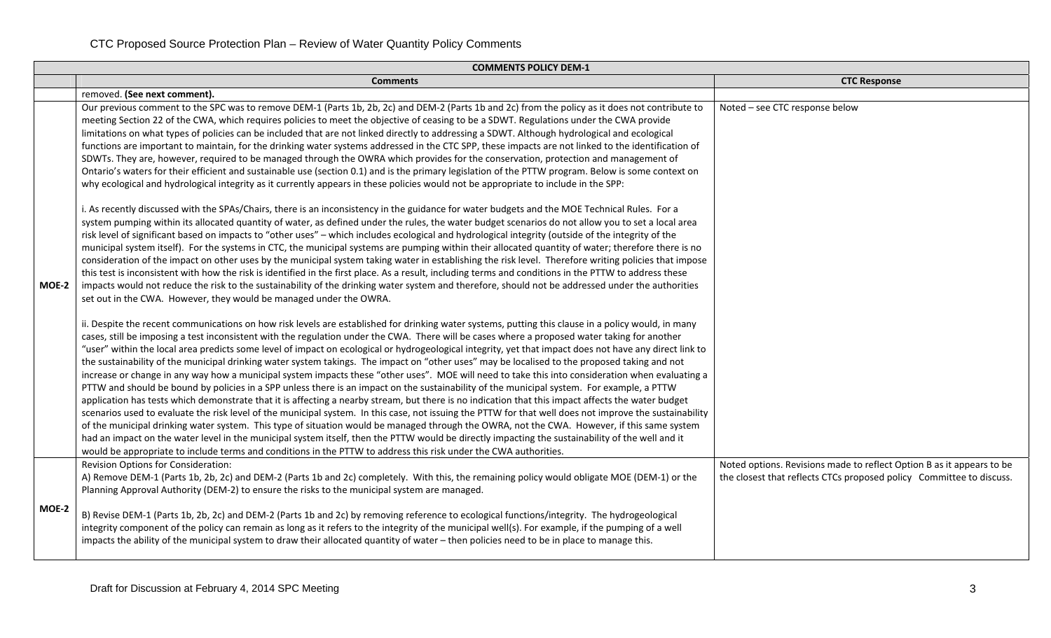|       | <b>COMMENTS POLICY DEM-1</b>                                                                                                                                                                                                                                                                                                                                                                                                                                                                                                                                                                                                                                                                                                                                                                                                                                                                                                                                                                                                                                                                                                                                                                                                                                                                                                                                                                                                                                                                                                                                                                                                                                                                                                                                                                                                                                                                                                                                                                                                                                                                                                                                                                                                                                                                                                                                                                                                                                                                                                                                                                                                                                                                                                                                                                                                                                                                                                                                                                                                                                                                                                                                                                                                                                                                                                                                                                                                                                                                                                                                                                                                                                                                                                                                                                                                                                            |                                                                                                                                               |  |  |  |  |  |  |  |  |
|-------|-------------------------------------------------------------------------------------------------------------------------------------------------------------------------------------------------------------------------------------------------------------------------------------------------------------------------------------------------------------------------------------------------------------------------------------------------------------------------------------------------------------------------------------------------------------------------------------------------------------------------------------------------------------------------------------------------------------------------------------------------------------------------------------------------------------------------------------------------------------------------------------------------------------------------------------------------------------------------------------------------------------------------------------------------------------------------------------------------------------------------------------------------------------------------------------------------------------------------------------------------------------------------------------------------------------------------------------------------------------------------------------------------------------------------------------------------------------------------------------------------------------------------------------------------------------------------------------------------------------------------------------------------------------------------------------------------------------------------------------------------------------------------------------------------------------------------------------------------------------------------------------------------------------------------------------------------------------------------------------------------------------------------------------------------------------------------------------------------------------------------------------------------------------------------------------------------------------------------------------------------------------------------------------------------------------------------------------------------------------------------------------------------------------------------------------------------------------------------------------------------------------------------------------------------------------------------------------------------------------------------------------------------------------------------------------------------------------------------------------------------------------------------------------------------------------------------------------------------------------------------------------------------------------------------------------------------------------------------------------------------------------------------------------------------------------------------------------------------------------------------------------------------------------------------------------------------------------------------------------------------------------------------------------------------------------------------------------------------------------------------------------------------------------------------------------------------------------------------------------------------------------------------------------------------------------------------------------------------------------------------------------------------------------------------------------------------------------------------------------------------------------------------------------------------------------------------------------------------------------------------|-----------------------------------------------------------------------------------------------------------------------------------------------|--|--|--|--|--|--|--|--|
|       | <b>Comments</b>                                                                                                                                                                                                                                                                                                                                                                                                                                                                                                                                                                                                                                                                                                                                                                                                                                                                                                                                                                                                                                                                                                                                                                                                                                                                                                                                                                                                                                                                                                                                                                                                                                                                                                                                                                                                                                                                                                                                                                                                                                                                                                                                                                                                                                                                                                                                                                                                                                                                                                                                                                                                                                                                                                                                                                                                                                                                                                                                                                                                                                                                                                                                                                                                                                                                                                                                                                                                                                                                                                                                                                                                                                                                                                                                                                                                                                                         | <b>CTC Response</b>                                                                                                                           |  |  |  |  |  |  |  |  |
|       | removed. (See next comment).                                                                                                                                                                                                                                                                                                                                                                                                                                                                                                                                                                                                                                                                                                                                                                                                                                                                                                                                                                                                                                                                                                                                                                                                                                                                                                                                                                                                                                                                                                                                                                                                                                                                                                                                                                                                                                                                                                                                                                                                                                                                                                                                                                                                                                                                                                                                                                                                                                                                                                                                                                                                                                                                                                                                                                                                                                                                                                                                                                                                                                                                                                                                                                                                                                                                                                                                                                                                                                                                                                                                                                                                                                                                                                                                                                                                                                            |                                                                                                                                               |  |  |  |  |  |  |  |  |
| MOE-2 | Our previous comment to the SPC was to remove DEM-1 (Parts 1b, 2b, 2c) and DEM-2 (Parts 1b and 2c) from the policy as it does not contribute to<br>meeting Section 22 of the CWA, which requires policies to meet the objective of ceasing to be a SDWT. Regulations under the CWA provide<br>limitations on what types of policies can be included that are not linked directly to addressing a SDWT. Although hydrological and ecological<br>functions are important to maintain, for the drinking water systems addressed in the CTC SPP, these impacts are not linked to the identification of<br>SDWTs. They are, however, required to be managed through the OWRA which provides for the conservation, protection and management of<br>Ontario's waters for their efficient and sustainable use (section 0.1) and is the primary legislation of the PTTW program. Below is some context on<br>why ecological and hydrological integrity as it currently appears in these policies would not be appropriate to include in the SPP:<br>i. As recently discussed with the SPAs/Chairs, there is an inconsistency in the guidance for water budgets and the MOE Technical Rules. For a<br>system pumping within its allocated quantity of water, as defined under the rules, the water budget scenarios do not allow you to set a local area<br>risk level of significant based on impacts to "other uses" - which includes ecological and hydrological integrity (outside of the integrity of the<br>municipal system itself). For the systems in CTC, the municipal systems are pumping within their allocated quantity of water; therefore there is no<br>consideration of the impact on other uses by the municipal system taking water in establishing the risk level. Therefore writing policies that impose<br>this test is inconsistent with how the risk is identified in the first place. As a result, including terms and conditions in the PTTW to address these<br>impacts would not reduce the risk to the sustainability of the drinking water system and therefore, should not be addressed under the authorities<br>set out in the CWA. However, they would be managed under the OWRA.<br>ii. Despite the recent communications on how risk levels are established for drinking water systems, putting this clause in a policy would, in many<br>cases, still be imposing a test inconsistent with the regulation under the CWA. There will be cases where a proposed water taking for another<br>"user" within the local area predicts some level of impact on ecological or hydrogeological integrity, yet that impact does not have any direct link to<br>the sustainability of the municipal drinking water system takings. The impact on "other uses" may be localised to the proposed taking and not<br>increase or change in any way how a municipal system impacts these "other uses". MOE will need to take this into consideration when evaluating a<br>PTTW and should be bound by policies in a SPP unless there is an impact on the sustainability of the municipal system. For example, a PTTW<br>application has tests which demonstrate that it is affecting a nearby stream, but there is no indication that this impact affects the water budget<br>scenarios used to evaluate the risk level of the municipal system. In this case, not issuing the PTTW for that well does not improve the sustainability<br>of the municipal drinking water system. This type of situation would be managed through the OWRA, not the CWA. However, if this same system<br>had an impact on the water level in the municipal system itself, then the PTTW would be directly impacting the sustainability of the well and it<br>would be appropriate to include terms and conditions in the PTTW to address this risk under the CWA authorities. | Noted - see CTC response below                                                                                                                |  |  |  |  |  |  |  |  |
| MOE-2 | Revision Options for Consideration:<br>A) Remove DEM-1 (Parts 1b, 2b, 2c) and DEM-2 (Parts 1b and 2c) completely. With this, the remaining policy would obligate MOE (DEM-1) or the<br>Planning Approval Authority (DEM-2) to ensure the risks to the municipal system are managed.<br>B) Revise DEM-1 (Parts 1b, 2b, 2c) and DEM-2 (Parts 1b and 2c) by removing reference to ecological functions/integrity. The hydrogeological<br>integrity component of the policy can remain as long as it refers to the integrity of the municipal well(s). For example, if the pumping of a well<br>impacts the ability of the municipal system to draw their allocated quantity of water - then policies need to be in place to manage this.                                                                                                                                                                                                                                                                                                                                                                                                                                                                                                                                                                                                                                                                                                                                                                                                                                                                                                                                                                                                                                                                                                                                                                                                                                                                                                                                                                                                                                                                                                                                                                                                                                                                                                                                                                                                                                                                                                                                                                                                                                                                                                                                                                                                                                                                                                                                                                                                                                                                                                                                                                                                                                                                                                                                                                                                                                                                                                                                                                                                                                                                                                                                   | Noted options. Revisions made to reflect Option B as it appears to be<br>the closest that reflects CTCs proposed policy Committee to discuss. |  |  |  |  |  |  |  |  |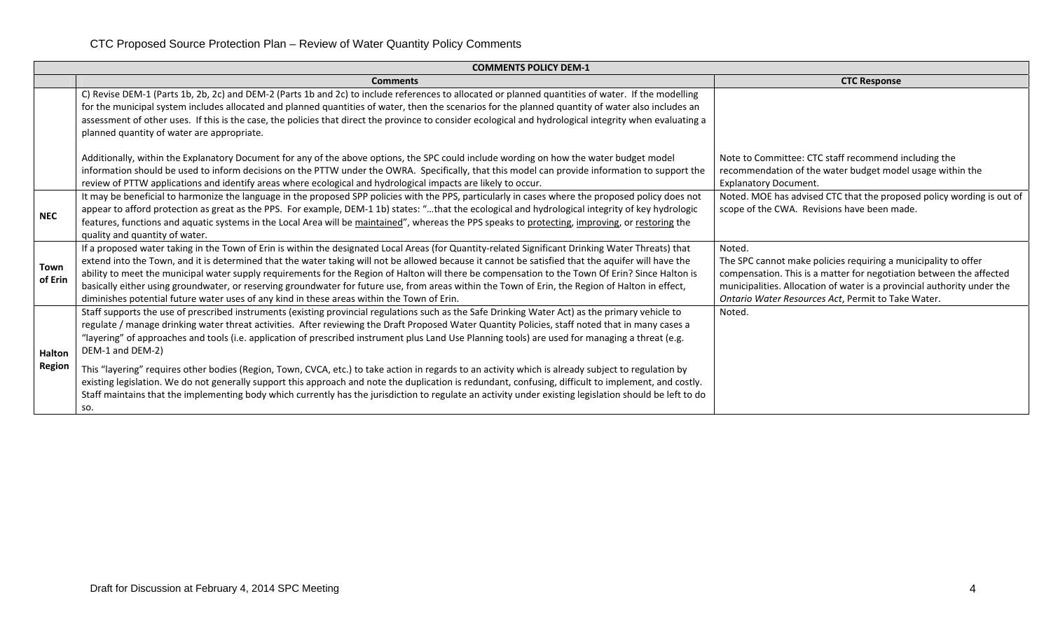|                                | <b>COMMENTS POLICY DEM-1</b>                                                                                                                                                                                                                                                                                                                                                                                                                                                                                                                                                                                                                                                                                                                                                                                                                                                                                                                                   |                                                                                                                                                                                                                                                                                  |
|--------------------------------|----------------------------------------------------------------------------------------------------------------------------------------------------------------------------------------------------------------------------------------------------------------------------------------------------------------------------------------------------------------------------------------------------------------------------------------------------------------------------------------------------------------------------------------------------------------------------------------------------------------------------------------------------------------------------------------------------------------------------------------------------------------------------------------------------------------------------------------------------------------------------------------------------------------------------------------------------------------|----------------------------------------------------------------------------------------------------------------------------------------------------------------------------------------------------------------------------------------------------------------------------------|
|                                | <b>Comments</b>                                                                                                                                                                                                                                                                                                                                                                                                                                                                                                                                                                                                                                                                                                                                                                                                                                                                                                                                                | <b>CTC Response</b>                                                                                                                                                                                                                                                              |
|                                | C) Revise DEM-1 (Parts 1b, 2b, 2c) and DEM-2 (Parts 1b and 2c) to include references to allocated or planned quantities of water. If the modelling<br>for the municipal system includes allocated and planned quantities of water, then the scenarios for the planned quantity of water also includes an<br>assessment of other uses. If this is the case, the policies that direct the province to consider ecological and hydrological integrity when evaluating a<br>planned quantity of water are appropriate.                                                                                                                                                                                                                                                                                                                                                                                                                                             |                                                                                                                                                                                                                                                                                  |
|                                | Additionally, within the Explanatory Document for any of the above options, the SPC could include wording on how the water budget model<br>information should be used to inform decisions on the PTTW under the OWRA. Specifically, that this model can provide information to support the<br>review of PTTW applications and identify areas where ecological and hydrological impacts are likely to occur.                                                                                                                                                                                                                                                                                                                                                                                                                                                                                                                                                    | Note to Committee: CTC staff recommend including the<br>recommendation of the water budget model usage within the<br><b>Explanatory Document.</b>                                                                                                                                |
| <b>NEC</b>                     | It may be beneficial to harmonize the language in the proposed SPP policies with the PPS, particularly in cases where the proposed policy does not<br>appear to afford protection as great as the PPS. For example, DEM-1 1b) states: "that the ecological and hydrological integrity of key hydrologic<br>features, functions and aquatic systems in the Local Area will be maintained", whereas the PPS speaks to protecting, improving, or restoring the<br>quality and quantity of water.                                                                                                                                                                                                                                                                                                                                                                                                                                                                  | Noted. MOE has advised CTC that the proposed policy wording is out of<br>scope of the CWA. Revisions have been made.                                                                                                                                                             |
| Town<br>of Erin                | If a proposed water taking in the Town of Erin is within the designated Local Areas (for Quantity-related Significant Drinking Water Threats) that<br>extend into the Town, and it is determined that the water taking will not be allowed because it cannot be satisfied that the aquifer will have the<br>ability to meet the municipal water supply requirements for the Region of Halton will there be compensation to the Town Of Erin? Since Halton is<br>basically either using groundwater, or reserving groundwater for future use, from areas within the Town of Erin, the Region of Halton in effect,<br>diminishes potential future water uses of any kind in these areas within the Town of Erin.                                                                                                                                                                                                                                                 | Noted.<br>The SPC cannot make policies requiring a municipality to offer<br>compensation. This is a matter for negotiation between the affected<br>municipalities. Allocation of water is a provincial authority under the<br>Ontario Water Resources Act, Permit to Take Water. |
| <b>Halton</b><br><b>Region</b> | Staff supports the use of prescribed instruments (existing provincial regulations such as the Safe Drinking Water Act) as the primary vehicle to<br>regulate / manage drinking water threat activities. After reviewing the Draft Proposed Water Quantity Policies, staff noted that in many cases a<br>"layering" of approaches and tools (i.e. application of prescribed instrument plus Land Use Planning tools) are used for managing a threat (e.g.<br>DEM-1 and DEM-2)<br>This "layering" requires other bodies (Region, Town, CVCA, etc.) to take action in regards to an activity which is already subject to regulation by<br>existing legislation. We do not generally support this approach and note the duplication is redundant, confusing, difficult to implement, and costly.<br>Staff maintains that the implementing body which currently has the jurisdiction to regulate an activity under existing legislation should be left to do<br>SO. | Noted.                                                                                                                                                                                                                                                                           |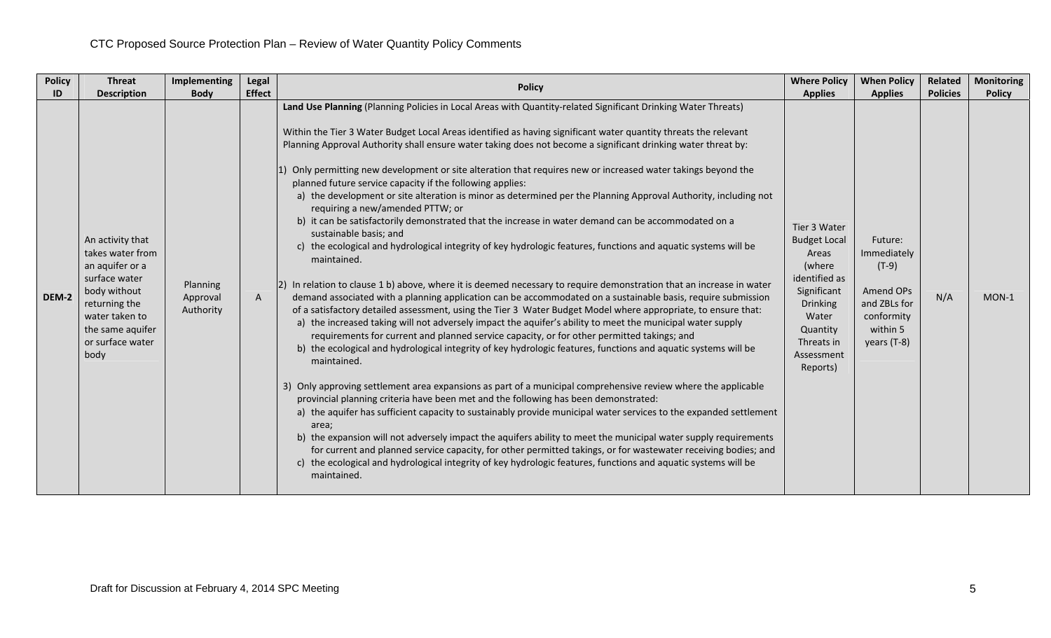| <b>Policy</b> | <b>Threat</b>                                                                                                                                                               | <b>Implementing</b>               | Legal         | <b>Policy</b>                                                                                                                                                                                                                                                                                                                                                                                                                                                                                                                                                                                                                                                                                                                                                                                                                                                                                                                                                                                                                                                                                                                                                                                                                                                                                                                                                                                                                                                                                                                                                                                                                                                                     | <b>Where Policy</b>                                                                                                                                                    | <b>When Policy</b>                                                                                      | Related         | <b>Monitoring</b> |
|---------------|-----------------------------------------------------------------------------------------------------------------------------------------------------------------------------|-----------------------------------|---------------|-----------------------------------------------------------------------------------------------------------------------------------------------------------------------------------------------------------------------------------------------------------------------------------------------------------------------------------------------------------------------------------------------------------------------------------------------------------------------------------------------------------------------------------------------------------------------------------------------------------------------------------------------------------------------------------------------------------------------------------------------------------------------------------------------------------------------------------------------------------------------------------------------------------------------------------------------------------------------------------------------------------------------------------------------------------------------------------------------------------------------------------------------------------------------------------------------------------------------------------------------------------------------------------------------------------------------------------------------------------------------------------------------------------------------------------------------------------------------------------------------------------------------------------------------------------------------------------------------------------------------------------------------------------------------------------|------------------------------------------------------------------------------------------------------------------------------------------------------------------------|---------------------------------------------------------------------------------------------------------|-----------------|-------------------|
| ID            | <b>Description</b>                                                                                                                                                          | <b>Body</b>                       | <b>Effect</b> | Land Use Planning (Planning Policies in Local Areas with Quantity-related Significant Drinking Water Threats)<br>Within the Tier 3 Water Budget Local Areas identified as having significant water quantity threats the relevant<br>Planning Approval Authority shall ensure water taking does not become a significant drinking water threat by:<br>Only permitting new development or site alteration that requires new or increased water takings beyond the<br>planned future service capacity if the following applies:<br>a) the development or site alteration is minor as determined per the Planning Approval Authority, including not<br>requiring a new/amended PTTW; or                                                                                                                                                                                                                                                                                                                                                                                                                                                                                                                                                                                                                                                                                                                                                                                                                                                                                                                                                                                               | <b>Applies</b>                                                                                                                                                         | <b>Applies</b>                                                                                          | <b>Policies</b> | <b>Policy</b>     |
| DEM-2         | An activity that<br>takes water from<br>an aquifer or a<br>surface water<br>body without<br>returning the<br>water taken to<br>the same aquifer<br>or surface water<br>body | Planning<br>Approval<br>Authority | $\mathsf{A}$  | b) it can be satisfactorily demonstrated that the increase in water demand can be accommodated on a<br>sustainable basis; and<br>c) the ecological and hydrological integrity of key hydrologic features, functions and aquatic systems will be<br>maintained.<br>[2] In relation to clause 1 b) above, where it is deemed necessary to require demonstration that an increase in water<br>demand associated with a planning application can be accommodated on a sustainable basis, require submission<br>of a satisfactory detailed assessment, using the Tier 3 Water Budget Model where appropriate, to ensure that:<br>a) the increased taking will not adversely impact the aquifer's ability to meet the municipal water supply<br>requirements for current and planned service capacity, or for other permitted takings; and<br>b) the ecological and hydrological integrity of key hydrologic features, functions and aquatic systems will be<br>maintained.<br>3) Only approving settlement area expansions as part of a municipal comprehensive review where the applicable<br>provincial planning criteria have been met and the following has been demonstrated:<br>a) the aquifer has sufficient capacity to sustainably provide municipal water services to the expanded settlement<br>area;<br>b) the expansion will not adversely impact the aquifers ability to meet the municipal water supply requirements<br>for current and planned service capacity, for other permitted takings, or for wastewater receiving bodies; and<br>c) the ecological and hydrological integrity of key hydrologic features, functions and aquatic systems will be<br>maintained. | Tier 3 Water<br><b>Budget Local</b><br>Areas<br>(where<br>identified as<br>Significant<br><b>Drinking</b><br>Water<br>Quantity<br>Threats in<br>Assessment<br>Reports) | Future:<br>Immediately<br>$(T-9)$<br>Amend OPs<br>and ZBLs for<br>conformity<br>within 5<br>years (T-8) | N/A             | $MON-1$           |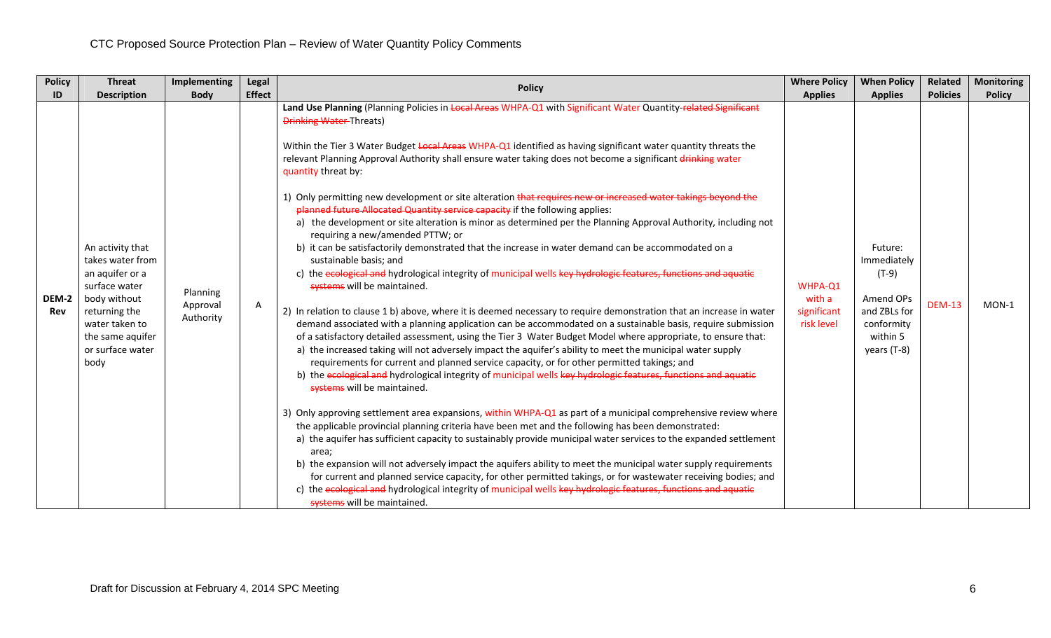| <b>Policy</b>       | <b>Threat</b>                                                                                                                                                               | Implementing                      | Legal                                                                                                                                                                                                                                                                                                                                                                                                     | <b>Policy</b>                                                                                                                                                                                                                                                                                                                                                                                                                                                                                                                                                                                                                                                                                                                                                                                                                                                                                                                                                                                                                                                                                                                                                                                                                                                                                                                                                                                                                                                                                                                                                                                                                                                                                                                                                                                                                                                                                                                                                                                                                                                                                            | <b>Where Policy</b>                            | <b>When Policy</b>                                                                                      | <b>Related</b> | <b>Monitoring</b> |
|---------------------|-----------------------------------------------------------------------------------------------------------------------------------------------------------------------------|-----------------------------------|-----------------------------------------------------------------------------------------------------------------------------------------------------------------------------------------------------------------------------------------------------------------------------------------------------------------------------------------------------------------------------------------------------------|----------------------------------------------------------------------------------------------------------------------------------------------------------------------------------------------------------------------------------------------------------------------------------------------------------------------------------------------------------------------------------------------------------------------------------------------------------------------------------------------------------------------------------------------------------------------------------------------------------------------------------------------------------------------------------------------------------------------------------------------------------------------------------------------------------------------------------------------------------------------------------------------------------------------------------------------------------------------------------------------------------------------------------------------------------------------------------------------------------------------------------------------------------------------------------------------------------------------------------------------------------------------------------------------------------------------------------------------------------------------------------------------------------------------------------------------------------------------------------------------------------------------------------------------------------------------------------------------------------------------------------------------------------------------------------------------------------------------------------------------------------------------------------------------------------------------------------------------------------------------------------------------------------------------------------------------------------------------------------------------------------------------------------------------------------------------------------------------------------|------------------------------------------------|---------------------------------------------------------------------------------------------------------|----------------|-------------------|
| ID                  | <b>Description</b><br><b>Body</b>                                                                                                                                           | <b>Effect</b>                     | Land Use Planning (Planning Policies in Local Areas WHPA-Q1 with Significant Water Quantity-related Significant<br><b>Drinking Water-Threats)</b><br>Within the Tier 3 Water Budget Local Areas WHPA-Q1 identified as having significant water quantity threats the<br>relevant Planning Approval Authority shall ensure water taking does not become a significant drinking water<br>quantity threat by: | <b>Applies</b>                                                                                                                                                                                                                                                                                                                                                                                                                                                                                                                                                                                                                                                                                                                                                                                                                                                                                                                                                                                                                                                                                                                                                                                                                                                                                                                                                                                                                                                                                                                                                                                                                                                                                                                                                                                                                                                                                                                                                                                                                                                                                           | <b>Applies</b>                                 | <b>Policies</b>                                                                                         | <b>Policy</b>  |                   |
| DEM-2<br><b>Rev</b> | An activity that<br>takes water from<br>an aquifer or a<br>surface water<br>body without<br>returning the<br>water taken to<br>the same aquifer<br>or surface water<br>body | Planning<br>Approval<br>Authority | Α                                                                                                                                                                                                                                                                                                                                                                                                         | 1) Only permitting new development or site alteration that requires new or increased water takings beyond the<br>planned future Allocated Quantity service capacity if the following applies:<br>a) the development or site alteration is minor as determined per the Planning Approval Authority, including not<br>requiring a new/amended PTTW; or<br>b) it can be satisfactorily demonstrated that the increase in water demand can be accommodated on a<br>sustainable basis; and<br>c) the ecological and hydrological integrity of municipal wells key hydrologic features, functions and aquatic<br>systems will be maintained.<br>2) In relation to clause 1 b) above, where it is deemed necessary to require demonstration that an increase in water<br>demand associated with a planning application can be accommodated on a sustainable basis, require submission<br>of a satisfactory detailed assessment, using the Tier 3 Water Budget Model where appropriate, to ensure that:<br>a) the increased taking will not adversely impact the aquifer's ability to meet the municipal water supply<br>requirements for current and planned service capacity, or for other permitted takings; and<br>b) the ecological and hydrological integrity of municipal wells key hydrologic features, functions and aquatic<br>systems will be maintained.<br>3) Only approving settlement area expansions, within WHPA-Q1 as part of a municipal comprehensive review where<br>the applicable provincial planning criteria have been met and the following has been demonstrated:<br>a) the aquifer has sufficient capacity to sustainably provide municipal water services to the expanded settlement<br>area;<br>b) the expansion will not adversely impact the aquifers ability to meet the municipal water supply requirements<br>for current and planned service capacity, for other permitted takings, or for wastewater receiving bodies; and<br>c) the ecological and hydrological integrity of municipal wells key hydrologic features, functions and aquatic<br>systems will be maintained. | WHPA-Q1<br>with a<br>significant<br>risk level | Future:<br>Immediately<br>$(T-9)$<br>Amend OPs<br>and ZBLs for<br>conformity<br>within 5<br>years (T-8) | <b>DEM-13</b>  | $MON-1$           |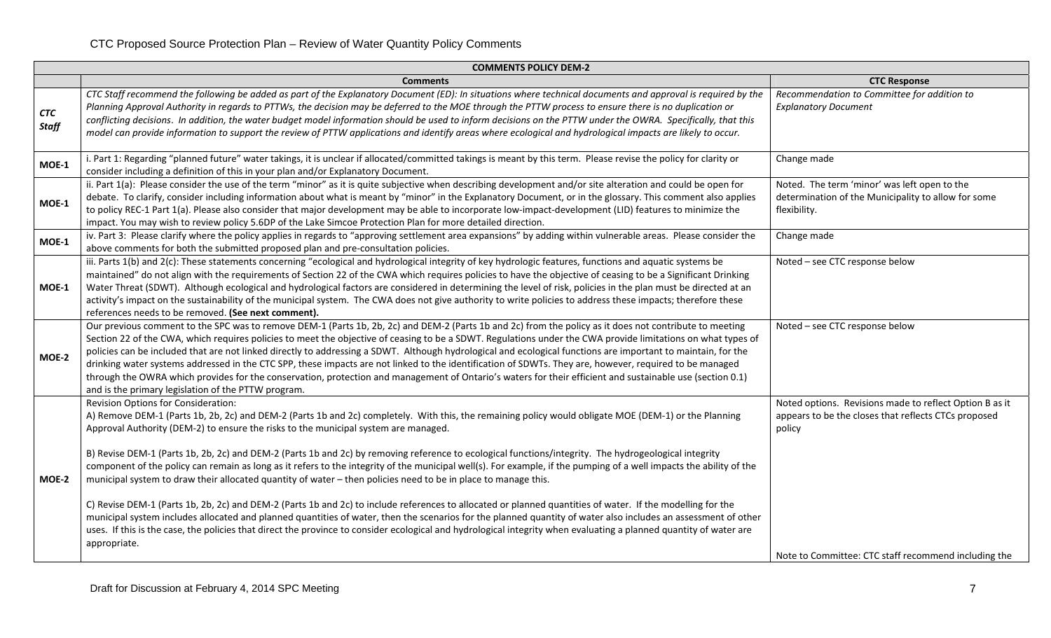|                            | <b>COMMENTS POLICY DEM-2</b>                                                                                                                                                                                                                                                                                                                                                                                                                                                                                                                                                                                                                                                                                                                                                                                                                                            |                                                                                                                           |  |  |  |  |  |  |  |  |
|----------------------------|-------------------------------------------------------------------------------------------------------------------------------------------------------------------------------------------------------------------------------------------------------------------------------------------------------------------------------------------------------------------------------------------------------------------------------------------------------------------------------------------------------------------------------------------------------------------------------------------------------------------------------------------------------------------------------------------------------------------------------------------------------------------------------------------------------------------------------------------------------------------------|---------------------------------------------------------------------------------------------------------------------------|--|--|--|--|--|--|--|--|
|                            | <b>Comments</b>                                                                                                                                                                                                                                                                                                                                                                                                                                                                                                                                                                                                                                                                                                                                                                                                                                                         | <b>CTC Response</b>                                                                                                       |  |  |  |  |  |  |  |  |
| <b>CTC</b><br><b>Staff</b> | CTC Staff recommend the following be added as part of the Explanatory Document (ED): In situations where technical documents and approval is required by the<br>Planning Approval Authority in regards to PTTWs, the decision may be deferred to the MOE through the PTTW process to ensure there is no duplication or<br>conflicting decisions. In addition, the water budget model information should be used to inform decisions on the PTTW under the OWRA. Specifically, that this<br>model can provide information to support the review of PTTW applications and identify areas where ecological and hydrological impacts are likely to occur.                                                                                                                                                                                                                   | Recommendation to Committee for addition to<br><b>Explanatory Document</b>                                                |  |  |  |  |  |  |  |  |
| MOE-1                      | i. Part 1: Regarding "planned future" water takings, it is unclear if allocated/committed takings is meant by this term. Please revise the policy for clarity or<br>consider including a definition of this in your plan and/or Explanatory Document.                                                                                                                                                                                                                                                                                                                                                                                                                                                                                                                                                                                                                   | Change made                                                                                                               |  |  |  |  |  |  |  |  |
| MOE-1                      | ii. Part 1(a): Please consider the use of the term "minor" as it is quite subjective when describing development and/or site alteration and could be open for<br>debate. To clarify, consider including information about what is meant by "minor" in the Explanatory Document, or in the glossary. This comment also applies<br>to policy REC-1 Part 1(a). Please also consider that major development may be able to incorporate low-impact-development (LID) features to minimize the<br>impact. You may wish to review policy 5.6DP of the Lake Simcoe Protection Plan for more detailed direction.                                                                                                                                                                                                                                                                 | Noted. The term 'minor' was left open to the<br>determination of the Municipality to allow for some<br>flexibility.       |  |  |  |  |  |  |  |  |
| <b>MOE-1</b>               | iv. Part 3: Please clarify where the policy applies in regards to "approving settlement area expansions" by adding within vulnerable areas. Please consider the<br>above comments for both the submitted proposed plan and pre-consultation policies.                                                                                                                                                                                                                                                                                                                                                                                                                                                                                                                                                                                                                   | Change made                                                                                                               |  |  |  |  |  |  |  |  |
| MOE-1                      | iii. Parts 1(b) and 2(c): These statements concerning "ecological and hydrological integrity of key hydrologic features, functions and aquatic systems be<br>maintained" do not align with the requirements of Section 22 of the CWA which requires policies to have the objective of ceasing to be a Significant Drinking<br>Water Threat (SDWT). Although ecological and hydrological factors are considered in determining the level of risk, policies in the plan must be directed at an<br>activity's impact on the sustainability of the municipal system. The CWA does not give authority to write policies to address these impacts; therefore these<br>references needs to be removed. (See next comment).                                                                                                                                                     | Noted - see CTC response below                                                                                            |  |  |  |  |  |  |  |  |
| MOE-2                      | Our previous comment to the SPC was to remove DEM-1 (Parts 1b, 2b, 2c) and DEM-2 (Parts 1b and 2c) from the policy as it does not contribute to meeting<br>Section 22 of the CWA, which requires policies to meet the objective of ceasing to be a SDWT. Regulations under the CWA provide limitations on what types of<br>policies can be included that are not linked directly to addressing a SDWT. Although hydrological and ecological functions are important to maintain, for the<br>drinking water systems addressed in the CTC SPP, these impacts are not linked to the identification of SDWTs. They are, however, required to be managed<br>through the OWRA which provides for the conservation, protection and management of Ontario's waters for their efficient and sustainable use (section 0.1)<br>and is the primary legislation of the PTTW program. | Noted - see CTC response below                                                                                            |  |  |  |  |  |  |  |  |
|                            | <b>Revision Options for Consideration:</b><br>A) Remove DEM-1 (Parts 1b, 2b, 2c) and DEM-2 (Parts 1b and 2c) completely. With this, the remaining policy would obligate MOE (DEM-1) or the Planning<br>Approval Authority (DEM-2) to ensure the risks to the municipal system are managed.                                                                                                                                                                                                                                                                                                                                                                                                                                                                                                                                                                              | Noted options. Revisions made to reflect Option B as it<br>appears to be the closes that reflects CTCs proposed<br>policy |  |  |  |  |  |  |  |  |
| MOE-2                      | B) Revise DEM-1 (Parts 1b, 2b, 2c) and DEM-2 (Parts 1b and 2c) by removing reference to ecological functions/integrity. The hydrogeological integrity<br>component of the policy can remain as long as it refers to the integrity of the municipal well(s). For example, if the pumping of a well impacts the ability of the<br>municipal system to draw their allocated quantity of water - then policies need to be in place to manage this.                                                                                                                                                                                                                                                                                                                                                                                                                          |                                                                                                                           |  |  |  |  |  |  |  |  |
|                            | C) Revise DEM-1 (Parts 1b, 2b, 2c) and DEM-2 (Parts 1b and 2c) to include references to allocated or planned quantities of water. If the modelling for the<br>municipal system includes allocated and planned quantities of water, then the scenarios for the planned quantity of water also includes an assessment of other<br>uses. If this is the case, the policies that direct the province to consider ecological and hydrological integrity when evaluating a planned quantity of water are<br>appropriate.                                                                                                                                                                                                                                                                                                                                                      |                                                                                                                           |  |  |  |  |  |  |  |  |
|                            |                                                                                                                                                                                                                                                                                                                                                                                                                                                                                                                                                                                                                                                                                                                                                                                                                                                                         | Note to Committee: CTC staff recommend including the                                                                      |  |  |  |  |  |  |  |  |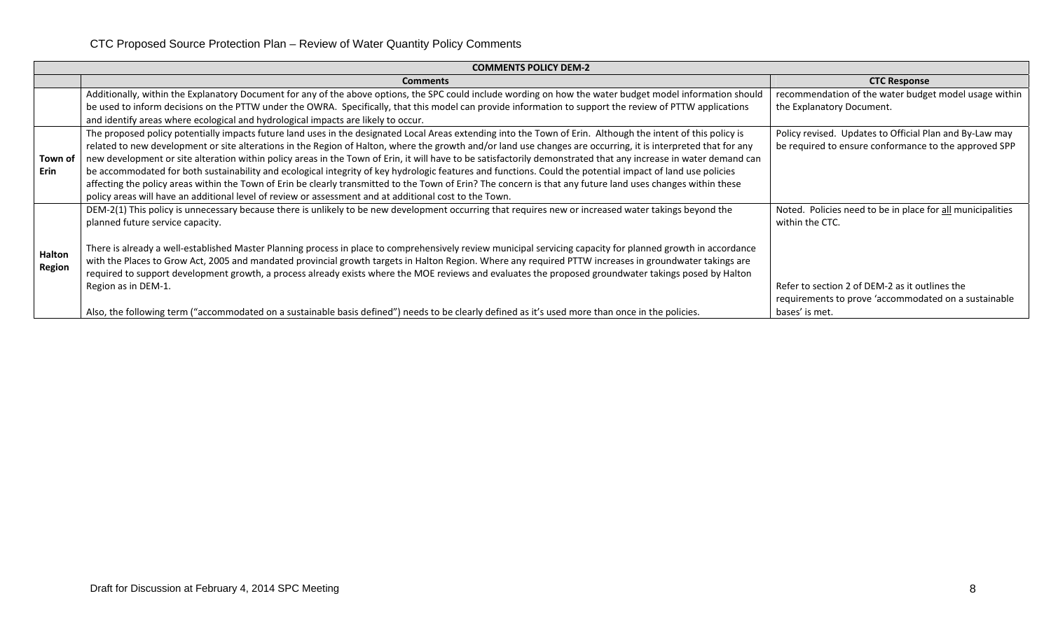|         | <b>COMMENTS POLICY DEM-2</b>                                                                                                                                     |                                                            |  |  |  |  |  |  |  |
|---------|------------------------------------------------------------------------------------------------------------------------------------------------------------------|------------------------------------------------------------|--|--|--|--|--|--|--|
|         | <b>Comments</b>                                                                                                                                                  | <b>CTC Response</b>                                        |  |  |  |  |  |  |  |
|         | Additionally, within the Explanatory Document for any of the above options, the SPC could include wording on how the water budget model information should       | recommendation of the water budget model usage within      |  |  |  |  |  |  |  |
|         | be used to inform decisions on the PTTW under the OWRA. Specifically, that this model can provide information to support the review of PTTW applications         | the Explanatory Document.                                  |  |  |  |  |  |  |  |
|         | and identify areas where ecological and hydrological impacts are likely to occur.                                                                                |                                                            |  |  |  |  |  |  |  |
|         | The proposed policy potentially impacts future land uses in the designated Local Areas extending into the Town of Erin. Although the intent of this policy is    | Policy revised. Updates to Official Plan and By-Law may    |  |  |  |  |  |  |  |
|         | related to new development or site alterations in the Region of Halton, where the growth and/or land use changes are occurring, it is interpreted that for any   | be required to ensure conformance to the approved SPP      |  |  |  |  |  |  |  |
| Town of | new development or site alteration within policy areas in the Town of Erin, it will have to be satisfactorily demonstrated that any increase in water demand can |                                                            |  |  |  |  |  |  |  |
| Erin    | be accommodated for both sustainability and ecological integrity of key hydrologic features and functions. Could the potential impact of land use policies       |                                                            |  |  |  |  |  |  |  |
|         | affecting the policy areas within the Town of Erin be clearly transmitted to the Town of Erin? The concern is that any future land uses changes within these     |                                                            |  |  |  |  |  |  |  |
|         | policy areas will have an additional level of review or assessment and at additional cost to the Town.                                                           |                                                            |  |  |  |  |  |  |  |
|         | DEM-2(1) This policy is unnecessary because there is unlikely to be new development occurring that requires new or increased water takings beyond the            | Noted. Policies need to be in place for all municipalities |  |  |  |  |  |  |  |
|         | planned future service capacity.                                                                                                                                 | within the CTC.                                            |  |  |  |  |  |  |  |
|         |                                                                                                                                                                  |                                                            |  |  |  |  |  |  |  |
| Halton  | There is already a well-established Master Planning process in place to comprehensively review municipal servicing capacity for planned growth in accordance     |                                                            |  |  |  |  |  |  |  |
| Region  | with the Places to Grow Act, 2005 and mandated provincial growth targets in Halton Region. Where any required PTTW increases in groundwater takings are          |                                                            |  |  |  |  |  |  |  |
|         | required to support development growth, a process already exists where the MOE reviews and evaluates the proposed groundwater takings posed by Halton            |                                                            |  |  |  |  |  |  |  |
|         | Region as in DEM-1.                                                                                                                                              | Refer to section 2 of DEM-2 as it outlines the             |  |  |  |  |  |  |  |
|         |                                                                                                                                                                  | requirements to prove 'accommodated on a sustainable       |  |  |  |  |  |  |  |
|         | Also, the following term ("accommodated on a sustainable basis defined") needs to be clearly defined as it's used more than once in the policies.                | bases' is met.                                             |  |  |  |  |  |  |  |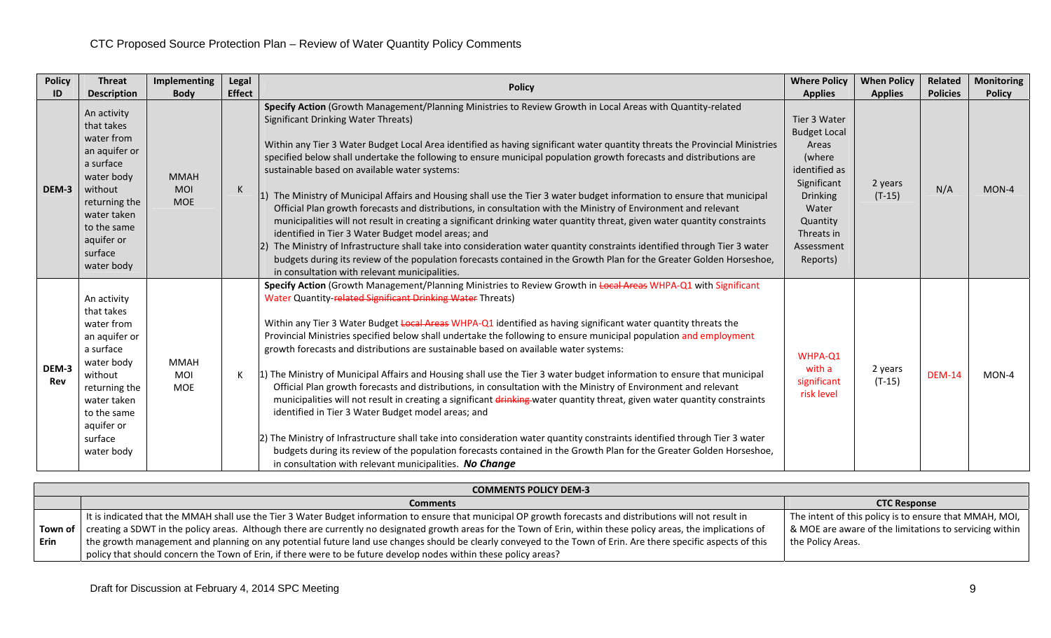| <b>Policy</b>       | <b>Threat</b>                                                                                                                                                                        | Implementing                            | Legal         | <b>Policy</b>                                                                                                                                                                                                                                                                                                                                                                                                                                                                                                                                                                                                                                                                                                                                                                                                                                                                                                                                                                                                                                                                                                                                                                                                                                                 | <b>Where Policy</b>                                                                                                                                                    | <b>When Policy</b>  | Related         | <b>Monitoring</b> |
|---------------------|--------------------------------------------------------------------------------------------------------------------------------------------------------------------------------------|-----------------------------------------|---------------|---------------------------------------------------------------------------------------------------------------------------------------------------------------------------------------------------------------------------------------------------------------------------------------------------------------------------------------------------------------------------------------------------------------------------------------------------------------------------------------------------------------------------------------------------------------------------------------------------------------------------------------------------------------------------------------------------------------------------------------------------------------------------------------------------------------------------------------------------------------------------------------------------------------------------------------------------------------------------------------------------------------------------------------------------------------------------------------------------------------------------------------------------------------------------------------------------------------------------------------------------------------|------------------------------------------------------------------------------------------------------------------------------------------------------------------------|---------------------|-----------------|-------------------|
| ID                  | <b>Description</b>                                                                                                                                                                   | <b>Body</b>                             | <b>Effect</b> |                                                                                                                                                                                                                                                                                                                                                                                                                                                                                                                                                                                                                                                                                                                                                                                                                                                                                                                                                                                                                                                                                                                                                                                                                                                               | <b>Applies</b>                                                                                                                                                         | <b>Applies</b>      | <b>Policies</b> | <b>Policy</b>     |
| DEM-3               | An activity<br>that takes<br>water from<br>an aquifer or<br>a surface<br>water body<br>without<br>returning the<br>water taken<br>to the same<br>aquifer or<br>surface<br>water body | <b>MMAH</b><br><b>MOI</b><br><b>MOE</b> | К             | Specify Action (Growth Management/Planning Ministries to Review Growth in Local Areas with Quantity-related<br><b>Significant Drinking Water Threats)</b><br>Within any Tier 3 Water Budget Local Area identified as having significant water quantity threats the Provincial Ministries<br>specified below shall undertake the following to ensure municipal population growth forecasts and distributions are<br>sustainable based on available water systems:<br>1) The Ministry of Municipal Affairs and Housing shall use the Tier 3 water budget information to ensure that municipal<br>Official Plan growth forecasts and distributions, in consultation with the Ministry of Environment and relevant<br>municipalities will not result in creating a significant drinking water quantity threat, given water quantity constraints<br>identified in Tier 3 Water Budget model areas; and<br>2) The Ministry of Infrastructure shall take into consideration water quantity constraints identified through Tier 3 water<br>budgets during its review of the population forecasts contained in the Growth Plan for the Greater Golden Horseshoe,<br>in consultation with relevant municipalities.                                                      | Tier 3 Water<br><b>Budget Local</b><br>Areas<br>(where<br>identified as<br>Significant<br><b>Drinking</b><br>Water<br>Quantity<br>Threats in<br>Assessment<br>Reports) | 2 years<br>$(T-15)$ | N/A             | $MON-4$           |
| DEM-3<br><b>Rev</b> | An activity<br>that takes<br>water from<br>an aquifer or<br>a surface<br>water body<br>without<br>returning the<br>water taken<br>to the same<br>aquifer or<br>surface<br>water body | <b>MMAH</b><br>MOI<br><b>MOE</b>        | К             | Specify Action (Growth Management/Planning Ministries to Review Growth in Local Areas WHPA-Q1 with Significant<br>Water Quantity-related Significant Drinking Water Threats)<br>Within any Tier 3 Water Budget Local Areas WHPA-Q1 identified as having significant water quantity threats the<br>Provincial Ministries specified below shall undertake the following to ensure municipal population and employment<br>growth forecasts and distributions are sustainable based on available water systems:<br>1) The Ministry of Municipal Affairs and Housing shall use the Tier 3 water budget information to ensure that municipal<br>Official Plan growth forecasts and distributions, in consultation with the Ministry of Environment and relevant<br>municipalities will not result in creating a significant drinking water quantity threat, given water quantity constraints<br>identified in Tier 3 Water Budget model areas; and<br>2) The Ministry of Infrastructure shall take into consideration water quantity constraints identified through Tier 3 water<br>budgets during its review of the population forecasts contained in the Growth Plan for the Greater Golden Horseshoe,<br>in consultation with relevant municipalities. No Change | WHPA-Q1<br>with a<br>significant<br>risk level                                                                                                                         | 2 years<br>$(T-15)$ | <b>DEM-14</b>   | $MON-4$           |

|        | <b>COMMENTS POLICY DEM-3</b>                                                                                                                                              |                                                        |  |  |  |  |  |  |  |  |
|--------|---------------------------------------------------------------------------------------------------------------------------------------------------------------------------|--------------------------------------------------------|--|--|--|--|--|--|--|--|
|        | <b>Comments</b>                                                                                                                                                           | <b>CTC Response</b>                                    |  |  |  |  |  |  |  |  |
|        | It is indicated that the MMAH shall use the Tier 3 Water Budget information to ensure that municipal OP growth forecasts and distributions will not result in             | The intent of this policy is to ensure that MMAH, MOI, |  |  |  |  |  |  |  |  |
|        | Town of creating a SDWT in the policy areas. Although there are currently no designated growth areas for the Town of Erin, within these policy areas, the implications of | & MOE are aware of the limitations to servicing within |  |  |  |  |  |  |  |  |
| l Erin | the growth management and planning on any potential future land use changes should be clearly conveyed to the Town of Erin. Are there specific aspects of this            | the Policy Areas.                                      |  |  |  |  |  |  |  |  |
|        | policy that should concern the Town of Erin, if there were to be future develop nodes within these policy areas?                                                          |                                                        |  |  |  |  |  |  |  |  |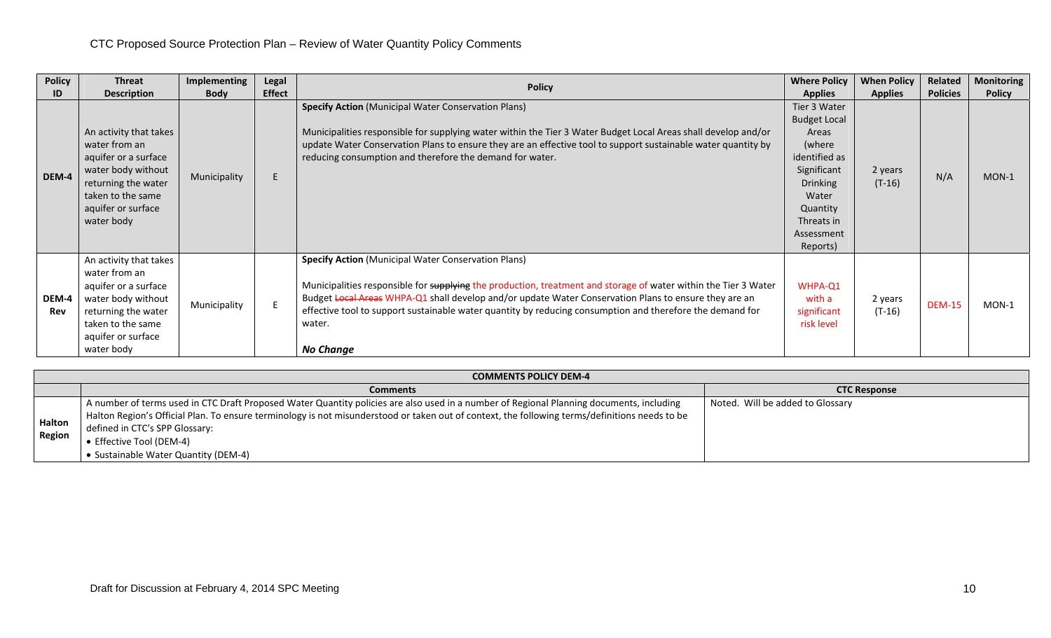| <b>Policy</b> | <b>Threat</b>                                                                                                                                                         | Implementing | Legal         |                                                                                                                                                                                                                                                                                                                                                                                                                                   | <b>Where Policy</b>                                                                                                                                                    | <b>When Policy</b>  | Related         | <b>Monitoring</b> |
|---------------|-----------------------------------------------------------------------------------------------------------------------------------------------------------------------|--------------|---------------|-----------------------------------------------------------------------------------------------------------------------------------------------------------------------------------------------------------------------------------------------------------------------------------------------------------------------------------------------------------------------------------------------------------------------------------|------------------------------------------------------------------------------------------------------------------------------------------------------------------------|---------------------|-----------------|-------------------|
| ID            | <b>Description</b>                                                                                                                                                    | <b>Body</b>  | <b>Effect</b> | <b>Policy</b>                                                                                                                                                                                                                                                                                                                                                                                                                     | <b>Applies</b>                                                                                                                                                         | <b>Applies</b>      | <b>Policies</b> | <b>Policy</b>     |
| DEM-4         | An activity that takes<br>water from an<br>aquifer or a surface<br>water body without<br>returning the water<br>taken to the same<br>aquifer or surface<br>water body | Municipality | E             | <b>Specify Action</b> (Municipal Water Conservation Plans)<br>Municipalities responsible for supplying water within the Tier 3 Water Budget Local Areas shall develop and/or<br>update Water Conservation Plans to ensure they are an effective tool to support sustainable water quantity by<br>reducing consumption and therefore the demand for water.                                                                         | Tier 3 Water<br><b>Budget Local</b><br>Areas<br>(where<br>identified as<br>Significant<br><b>Drinking</b><br>Water<br>Quantity<br>Threats in<br>Assessment<br>Reports) | 2 years<br>$(T-16)$ | N/A             | $MON-1$           |
| DEM-4<br>Rev  | An activity that takes<br>water from an<br>aquifer or a surface<br>water body without<br>returning the water<br>taken to the same<br>aquifer or surface<br>water body | Municipality |               | <b>Specify Action</b> (Municipal Water Conservation Plans)<br>Municipalities responsible for supplying the production, treatment and storage of water within the Tier 3 Water<br>Budget Local Areas WHPA-Q1 shall develop and/or update Water Conservation Plans to ensure they are an<br>effective tool to support sustainable water quantity by reducing consumption and therefore the demand for<br>water.<br><b>No Change</b> | WHPA-Q1<br>with a<br>significant<br>risk level                                                                                                                         | 2 years<br>$(T-16)$ | <b>DEM-15</b>   | $MON-1$           |

|                         | <b>COMMENTS POLICY DEM-4</b>                                                                                                                                                                                                                                                                                                                                                                     |                                  |  |  |  |  |  |  |  |  |
|-------------------------|--------------------------------------------------------------------------------------------------------------------------------------------------------------------------------------------------------------------------------------------------------------------------------------------------------------------------------------------------------------------------------------------------|----------------------------------|--|--|--|--|--|--|--|--|
|                         | <b>Comments</b>                                                                                                                                                                                                                                                                                                                                                                                  | <b>CTC Response</b>              |  |  |  |  |  |  |  |  |
| Halton<br><b>Region</b> | A number of terms used in CTC Draft Proposed Water Quantity policies are also used in a number of Regional Planning documents, including<br>Halton Region's Official Plan. To ensure terminology is not misunderstood or taken out of context, the following terms/definitions needs to be<br>defined in CTC's SPP Glossary:<br>● Effective Tool (DEM-4)<br>• Sustainable Water Quantity (DEM-4) | Noted. Will be added to Glossary |  |  |  |  |  |  |  |  |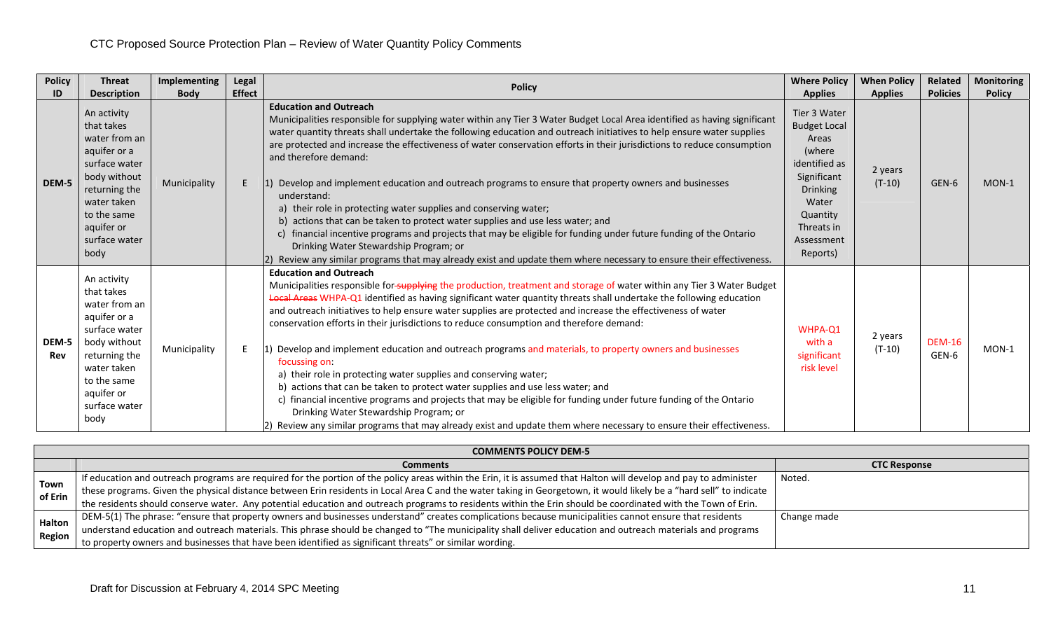| <b>Policy</b> | <b>Threat</b>                                                                                                                                                                     | <b>Implementing</b> | Legal         | <b>Policy</b>                                                                                                                                                                                                                                                                                                                                                                                                                                                                                                                                                                                                                                                                                                                                                                                                                                                                                                                                                                                                                                                      | <b>Where Policy</b>                                                                                                                                                    | <b>When Policy</b>  | Related                | <b>Monitoring</b> |
|---------------|-----------------------------------------------------------------------------------------------------------------------------------------------------------------------------------|---------------------|---------------|--------------------------------------------------------------------------------------------------------------------------------------------------------------------------------------------------------------------------------------------------------------------------------------------------------------------------------------------------------------------------------------------------------------------------------------------------------------------------------------------------------------------------------------------------------------------------------------------------------------------------------------------------------------------------------------------------------------------------------------------------------------------------------------------------------------------------------------------------------------------------------------------------------------------------------------------------------------------------------------------------------------------------------------------------------------------|------------------------------------------------------------------------------------------------------------------------------------------------------------------------|---------------------|------------------------|-------------------|
| ID            | <b>Description</b>                                                                                                                                                                | <b>Body</b>         | <b>Effect</b> |                                                                                                                                                                                                                                                                                                                                                                                                                                                                                                                                                                                                                                                                                                                                                                                                                                                                                                                                                                                                                                                                    | <b>Applies</b>                                                                                                                                                         | <b>Applies</b>      | <b>Policies</b>        | <b>Policy</b>     |
| DEM-5         | An activity<br>that takes<br>water from an<br>aquifer or a<br>surface water                                                                                                       |                     |               | <b>Education and Outreach</b><br>Municipalities responsible for supplying water within any Tier 3 Water Budget Local Area identified as having significant<br>water quantity threats shall undertake the following education and outreach initiatives to help ensure water supplies<br>are protected and increase the effectiveness of water conservation efforts in their jurisdictions to reduce consumption<br>and therefore demand:                                                                                                                                                                                                                                                                                                                                                                                                                                                                                                                                                                                                                            | Tier 3 Water<br><b>Budget Local</b><br>Areas<br>(where<br>identified as<br>Significant<br><b>Drinking</b><br>Water<br>Quantity<br>Threats in<br>Assessment<br>Reports) | 2 years<br>$(T-10)$ | GEN-6                  | $MON-1$           |
|               | body without<br>returning the<br>water taken<br>to the same<br>aquifer or<br>surface water<br>body                                                                                | Municipality        |               | Develop and implement education and outreach programs to ensure that property owners and businesses<br>understand:<br>a) their role in protecting water supplies and conserving water;<br>b) actions that can be taken to protect water supplies and use less water; and<br>financial incentive programs and projects that may be eligible for funding under future funding of the Ontario<br>Drinking Water Stewardship Program; or<br>2) Review any similar programs that may already exist and update them where necessary to ensure their effectiveness.                                                                                                                                                                                                                                                                                                                                                                                                                                                                                                       |                                                                                                                                                                        |                     |                        |                   |
| DEM-5<br>Rev  | An activity<br>that takes<br>water from an<br>aquifer or a<br>surface water<br>body without<br>returning the<br>water taken<br>to the same<br>aquifer or<br>surface water<br>body | Municipality        |               | <b>Education and Outreach</b><br>Municipalities responsible for-supplying the production, treatment and storage of water within any Tier 3 Water Budget<br>Local Areas WHPA-Q1 identified as having significant water quantity threats shall undertake the following education<br>and outreach initiatives to help ensure water supplies are protected and increase the effectiveness of water<br>conservation efforts in their jurisdictions to reduce consumption and therefore demand:<br>Develop and implement education and outreach programs and materials, to property owners and businesses<br>focussing on:<br>a) their role in protecting water supplies and conserving water;<br>b) actions that can be taken to protect water supplies and use less water; and<br>c) financial incentive programs and projects that may be eligible for funding under future funding of the Ontario<br>Drinking Water Stewardship Program; or<br>[2] Review any similar programs that may already exist and update them where necessary to ensure their effectiveness. | WHPA-Q1<br>with a<br>significant<br>risk level                                                                                                                         | 2 years<br>$(T-10)$ | <b>DEM-16</b><br>GEN-6 | $MON-1$           |

|                 | <b>COMMENTS POLICY DEM-5</b>                                                                                                                                        |                     |  |  |  |  |  |  |  |  |  |
|-----------------|---------------------------------------------------------------------------------------------------------------------------------------------------------------------|---------------------|--|--|--|--|--|--|--|--|--|
|                 | <b>Comments</b>                                                                                                                                                     | <b>CTC Response</b> |  |  |  |  |  |  |  |  |  |
| Town<br>of Erin | If education and outreach programs are required for the portion of the policy areas within the Erin, it is assumed that Halton will develop and pay to administer   | Noted.              |  |  |  |  |  |  |  |  |  |
|                 | these programs. Given the physical distance between Erin residents in Local Area C and the water taking in Georgetown, it would likely be a "hard sell" to indicate |                     |  |  |  |  |  |  |  |  |  |
|                 | the residents should conserve water. Any potential education and outreach programs to residents within the Erin should be coordinated with the Town of Erin.        |                     |  |  |  |  |  |  |  |  |  |
|                 | DEM-5(1) The phrase: "ensure that property owners and businesses understand" creates complications because municipalities cannot ensure that residents              | Change made         |  |  |  |  |  |  |  |  |  |
| Halton          | understand education and outreach materials. This phrase should be changed to "The municipality shall deliver education and outreach materials and programs         |                     |  |  |  |  |  |  |  |  |  |
| <b>Region</b>   | to property owners and businesses that have been identified as significant threats" or similar wording.                                                             |                     |  |  |  |  |  |  |  |  |  |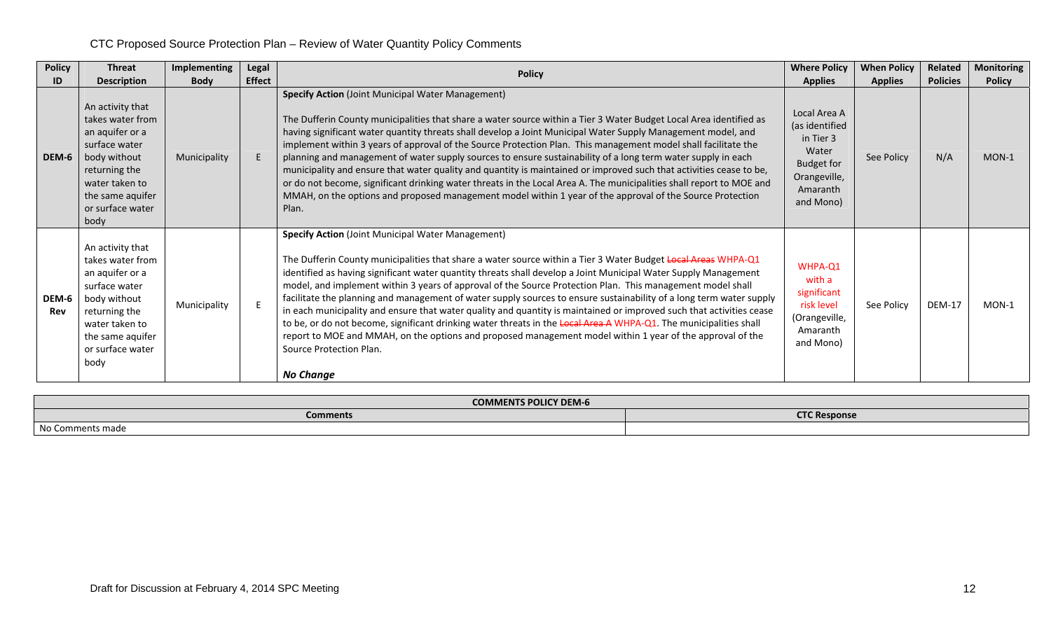| <b>Policy</b> | <b>Threat</b>                                                                                                                                                               | Implementing | Legal         | <b>Policy</b>                                                                                                                                                                                                                                                                                                                                                                                                                                                                                                                                                                                                                                                                                                                                                                                                                                                                                                                              | <b>Where Policy</b>                                                                                                | <b>When Policy</b> | Related         | <b>Monitoring</b> |
|---------------|-----------------------------------------------------------------------------------------------------------------------------------------------------------------------------|--------------|---------------|--------------------------------------------------------------------------------------------------------------------------------------------------------------------------------------------------------------------------------------------------------------------------------------------------------------------------------------------------------------------------------------------------------------------------------------------------------------------------------------------------------------------------------------------------------------------------------------------------------------------------------------------------------------------------------------------------------------------------------------------------------------------------------------------------------------------------------------------------------------------------------------------------------------------------------------------|--------------------------------------------------------------------------------------------------------------------|--------------------|-----------------|-------------------|
| ID            | <b>Description</b>                                                                                                                                                          | <b>Body</b>  | <b>Effect</b> |                                                                                                                                                                                                                                                                                                                                                                                                                                                                                                                                                                                                                                                                                                                                                                                                                                                                                                                                            |                                                                                                                    | <b>Applies</b>     | <b>Policies</b> | <b>Policy</b>     |
| DEM-6         | An activity that<br>takes water from<br>an aquifer or a<br>surface water<br>body without<br>returning the<br>water taken to<br>the same aquifer<br>or surface water<br>body | Municipality |               | <b>Specify Action</b> (Joint Municipal Water Management)<br>The Dufferin County municipalities that share a water source within a Tier 3 Water Budget Local Area identified as<br>having significant water quantity threats shall develop a Joint Municipal Water Supply Management model, and<br>implement within 3 years of approval of the Source Protection Plan. This management model shall facilitate the<br>planning and management of water supply sources to ensure sustainability of a long term water supply in each<br>municipality and ensure that water quality and quantity is maintained or improved such that activities cease to be,<br>or do not become, significant drinking water threats in the Local Area A. The municipalities shall report to MOE and<br>MMAH, on the options and proposed management model within 1 year of the approval of the Source Protection<br>Plan.                                      | Local Area A<br>(as identified<br>in Tier 3<br>Water<br><b>Budget for</b><br>Orangeville,<br>Amaranth<br>and Mono) | See Policy         | N/A             | $MON-1$           |
| DEM-6<br>Rev  | An activity that<br>takes water from<br>an aquifer or a<br>surface water<br>body without<br>returning the<br>water taken to<br>the same aquifer<br>or surface water<br>body | Municipality |               | <b>Specify Action (Joint Municipal Water Management)</b><br>The Dufferin County municipalities that share a water source within a Tier 3 Water Budget Local Areas WHPA-Q1<br>identified as having significant water quantity threats shall develop a Joint Municipal Water Supply Management<br>model, and implement within 3 years of approval of the Source Protection Plan. This management model shall<br>facilitate the planning and management of water supply sources to ensure sustainability of a long term water supply<br>in each municipality and ensure that water quality and quantity is maintained or improved such that activities cease<br>to be, or do not become, significant drinking water threats in the Local Area A WHPA-Q1. The municipalities shall<br>report to MOE and MMAH, on the options and proposed management model within 1 year of the approval of the<br>Source Protection Plan.<br><b>No Change</b> | WHPA-Q1<br>with a<br>significant<br>risk level<br>(Orangeville,<br>Amaranth<br>and Mono)                           | See Policy         | <b>DEM-17</b>   | $MON-1$           |

| <b>COMMENTS POLICY DEM-6</b> |                     |  |  |  |  |  |  |
|------------------------------|---------------------|--|--|--|--|--|--|
| <b>Comments</b>              | <b>CTC Response</b> |  |  |  |  |  |  |
| No<br>Comments made          |                     |  |  |  |  |  |  |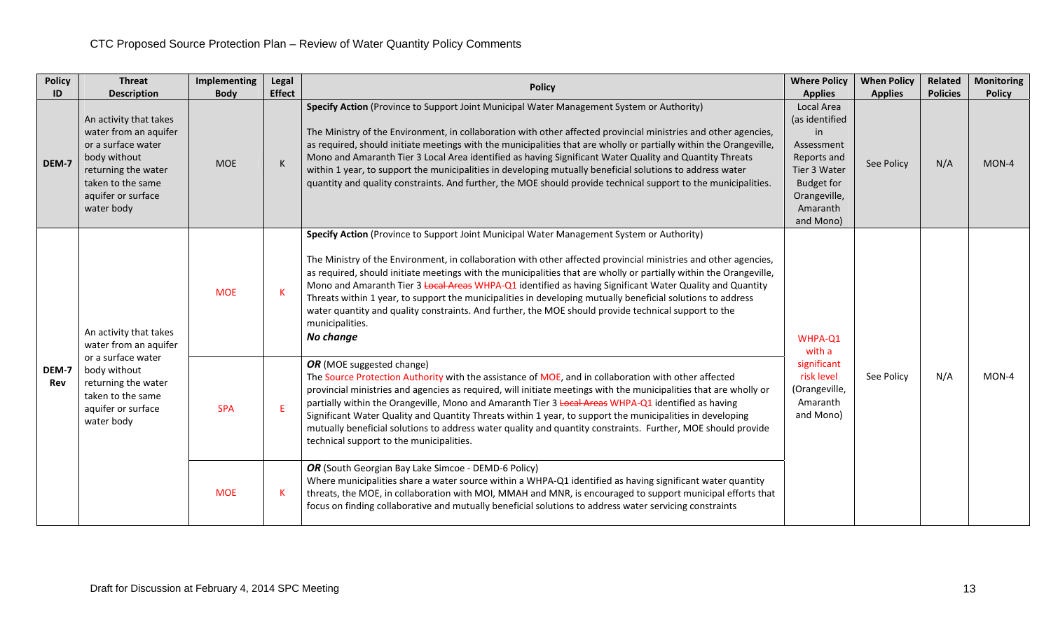| <b>Policy</b> | <b>Threat</b>                                                                                                                                                         | Implementing | Legal         | <b>Policy</b>                                                                                                                                                                                                                                                                                                                                                                                                                                                                                                                                                                                                                                                                                         | <b>Where Policy</b>                                                                                                                           | <b>When Policy</b> | <b>Related</b>  | <b>Monitoring</b> |
|---------------|-----------------------------------------------------------------------------------------------------------------------------------------------------------------------|--------------|---------------|-------------------------------------------------------------------------------------------------------------------------------------------------------------------------------------------------------------------------------------------------------------------------------------------------------------------------------------------------------------------------------------------------------------------------------------------------------------------------------------------------------------------------------------------------------------------------------------------------------------------------------------------------------------------------------------------------------|-----------------------------------------------------------------------------------------------------------------------------------------------|--------------------|-----------------|-------------------|
| ID            | <b>Description</b>                                                                                                                                                    | <b>Body</b>  | <b>Effect</b> |                                                                                                                                                                                                                                                                                                                                                                                                                                                                                                                                                                                                                                                                                                       | <b>Applies</b>                                                                                                                                | <b>Applies</b>     | <b>Policies</b> | <b>Policy</b>     |
| DEM-7         | An activity that takes<br>water from an aquifer<br>or a surface water<br>body without<br>returning the water<br>taken to the same<br>aquifer or surface<br>water body | <b>MOE</b>   | $\mathsf K$   | Specify Action (Province to Support Joint Municipal Water Management System or Authority)<br>The Ministry of the Environment, in collaboration with other affected provincial ministries and other agencies,<br>as required, should initiate meetings with the municipalities that are wholly or partially within the Orangeville,<br>Mono and Amaranth Tier 3 Local Area identified as having Significant Water Quality and Quantity Threats<br>within 1 year, to support the municipalities in developing mutually beneficial solutions to address water<br>quantity and quality constraints. And further, the MOE should provide technical support to the municipalities.                          | Local Area<br>(as identified<br>in<br>Assessment<br>Reports and<br>Tier 3 Water<br><b>Budget for</b><br>Orangeville,<br>Amaranth<br>and Mono) | See Policy         | N/A             | MON-4             |
| DEM-7<br>Rev  | An activity that takes<br>water from an aquifer<br>or a surface water<br>body without<br>returning the water<br>taken to the same<br>aquifer or surface<br>water body | <b>MOE</b>   | $\mathsf K$   | Specify Action (Province to Support Joint Municipal Water Management System or Authority)<br>The Ministry of the Environment, in collaboration with other affected provincial ministries and other agencies,<br>as required, should initiate meetings with the municipalities that are wholly or partially within the Orangeville,<br>Mono and Amaranth Tier 3 Local Areas WHPA-Q1 identified as having Significant Water Quality and Quantity<br>Threats within 1 year, to support the municipalities in developing mutually beneficial solutions to address<br>water quantity and quality constraints. And further, the MOE should provide technical support to the<br>municipalities.<br>No change | WHPA-Q1<br>with a                                                                                                                             |                    |                 |                   |
|               |                                                                                                                                                                       | <b>SPA</b>   | E             | OR (MOE suggested change)<br>The Source Protection Authority with the assistance of MOE, and in collaboration with other affected<br>provincial ministries and agencies as required, will initiate meetings with the municipalities that are wholly or<br>partially within the Orangeville, Mono and Amaranth Tier 3 Local Areas WHPA-Q1 identified as having<br>Significant Water Quality and Quantity Threats within 1 year, to support the municipalities in developing<br>mutually beneficial solutions to address water quality and quantity constraints. Further, MOE should provide<br>technical support to the municipalities.                                                                | significant<br>risk level<br>(Orangeville,<br>Amaranth<br>and Mono)                                                                           | See Policy         | N/A             | MON-4             |
|               |                                                                                                                                                                       | <b>MOE</b>   | -K            | OR (South Georgian Bay Lake Simcoe - DEMD-6 Policy)<br>Where municipalities share a water source within a WHPA-Q1 identified as having significant water quantity<br>threats, the MOE, in collaboration with MOI, MMAH and MNR, is encouraged to support municipal efforts that<br>focus on finding collaborative and mutually beneficial solutions to address water servicing constraints                                                                                                                                                                                                                                                                                                            |                                                                                                                                               |                    |                 |                   |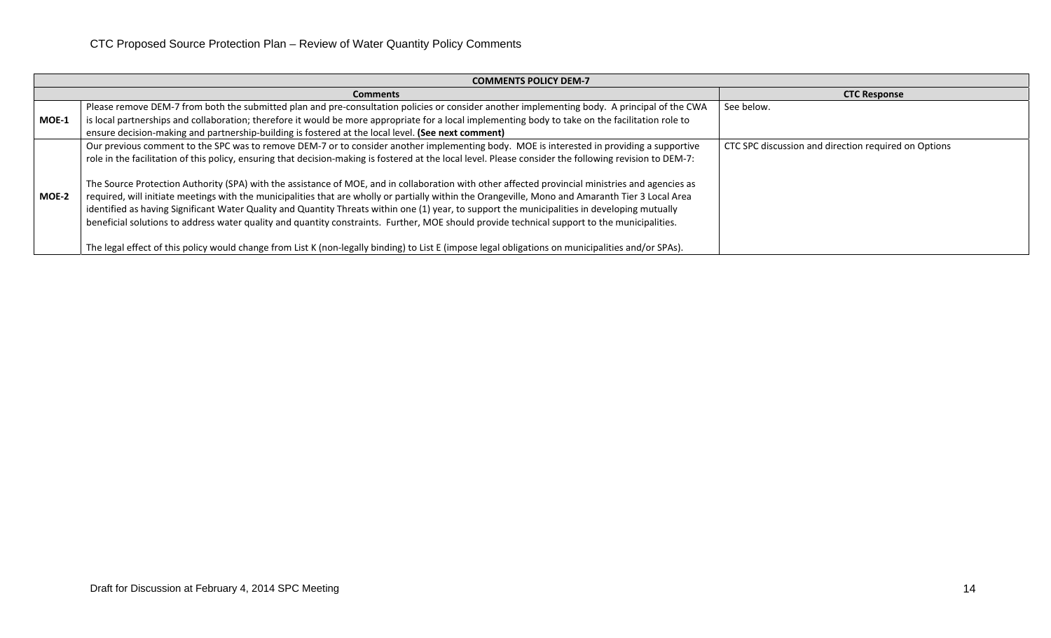|         | <b>COMMENTS POLICY DEM-7</b>                                                                                                                                                                                                                                                                                                                                                                                                                                                                                                                                                                                                                                                                                                                                                                                                                                                                                   |                                                      |  |  |  |  |  |  |  |  |
|---------|----------------------------------------------------------------------------------------------------------------------------------------------------------------------------------------------------------------------------------------------------------------------------------------------------------------------------------------------------------------------------------------------------------------------------------------------------------------------------------------------------------------------------------------------------------------------------------------------------------------------------------------------------------------------------------------------------------------------------------------------------------------------------------------------------------------------------------------------------------------------------------------------------------------|------------------------------------------------------|--|--|--|--|--|--|--|--|
|         | <b>Comments</b>                                                                                                                                                                                                                                                                                                                                                                                                                                                                                                                                                                                                                                                                                                                                                                                                                                                                                                | <b>CTC Response</b>                                  |  |  |  |  |  |  |  |  |
| $MOE-1$ | Please remove DEM-7 from both the submitted plan and pre-consultation policies or consider another implementing body. A principal of the CWA<br>is local partnerships and collaboration; therefore it would be more appropriate for a local implementing body to take on the facilitation role to<br>ensure decision-making and partnership-building is fostered at the local level. (See next comment)                                                                                                                                                                                                                                                                                                                                                                                                                                                                                                        | See below.                                           |  |  |  |  |  |  |  |  |
| MOE-2   | Our previous comment to the SPC was to remove DEM-7 or to consider another implementing body. MOE is interested in providing a supportive<br>role in the facilitation of this policy, ensuring that decision-making is fostered at the local level. Please consider the following revision to DEM-7:<br>The Source Protection Authority (SPA) with the assistance of MOE, and in collaboration with other affected provincial ministries and agencies as<br>required, will initiate meetings with the municipalities that are wholly or partially within the Orangeville, Mono and Amaranth Tier 3 Local Area<br>identified as having Significant Water Quality and Quantity Threats within one (1) year, to support the municipalities in developing mutually<br>beneficial solutions to address water quality and quantity constraints. Further, MOE should provide technical support to the municipalities. | CTC SPC discussion and direction required on Options |  |  |  |  |  |  |  |  |
|         | The legal effect of this policy would change from List K (non-legally binding) to List E (impose legal obligations on municipalities and/or SPAs).                                                                                                                                                                                                                                                                                                                                                                                                                                                                                                                                                                                                                                                                                                                                                             |                                                      |  |  |  |  |  |  |  |  |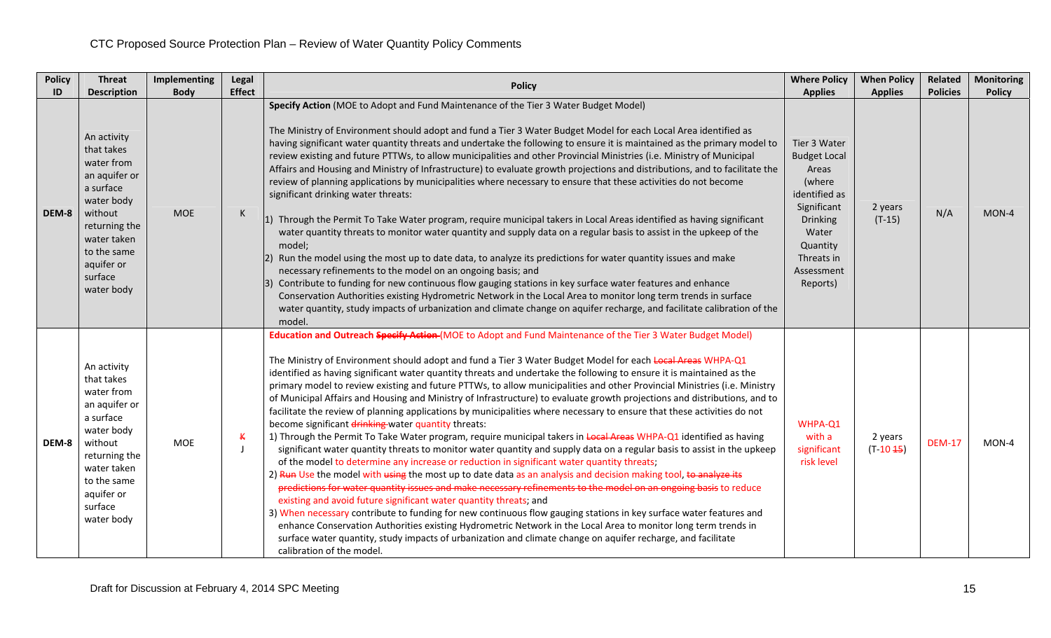| <b>Policy</b> | <b>Threat</b>                                                                                                                                                                        | Implementing | Legal             | <b>Policy</b>                                                                                                                                                                                                                                                                                                                                                                                                                                                                                                                                                                                                                                                                                                                                                                                                                                                                                                                                                                                                                                                                                                                                                                                                                                                                                                                                                                                                                                                                                                                                                                                                                                                                                                                                                                                                                                | <b>Where Policy</b>                                                                                                                                             | <b>When Policy</b>     | Related         | <b>Monitoring</b> |
|---------------|--------------------------------------------------------------------------------------------------------------------------------------------------------------------------------------|--------------|-------------------|----------------------------------------------------------------------------------------------------------------------------------------------------------------------------------------------------------------------------------------------------------------------------------------------------------------------------------------------------------------------------------------------------------------------------------------------------------------------------------------------------------------------------------------------------------------------------------------------------------------------------------------------------------------------------------------------------------------------------------------------------------------------------------------------------------------------------------------------------------------------------------------------------------------------------------------------------------------------------------------------------------------------------------------------------------------------------------------------------------------------------------------------------------------------------------------------------------------------------------------------------------------------------------------------------------------------------------------------------------------------------------------------------------------------------------------------------------------------------------------------------------------------------------------------------------------------------------------------------------------------------------------------------------------------------------------------------------------------------------------------------------------------------------------------------------------------------------------------|-----------------------------------------------------------------------------------------------------------------------------------------------------------------|------------------------|-----------------|-------------------|
| ID            | <b>Description</b>                                                                                                                                                                   | <b>Body</b>  | <b>Effect</b>     |                                                                                                                                                                                                                                                                                                                                                                                                                                                                                                                                                                                                                                                                                                                                                                                                                                                                                                                                                                                                                                                                                                                                                                                                                                                                                                                                                                                                                                                                                                                                                                                                                                                                                                                                                                                                                                              | <b>Applies</b>                                                                                                                                                  | <b>Applies</b>         | <b>Policies</b> | <b>Policy</b>     |
| DEM-8         | An activity<br>that takes<br>water from<br>an aquifer or<br>a surface<br>water body<br>without<br>returning the<br>water taken<br>to the same<br>aquifer or<br>surface<br>water body | <b>MOE</b>   | K                 | Specify Action (MOE to Adopt and Fund Maintenance of the Tier 3 Water Budget Model)<br>The Ministry of Environment should adopt and fund a Tier 3 Water Budget Model for each Local Area identified as<br>having significant water quantity threats and undertake the following to ensure it is maintained as the primary model to<br>review existing and future PTTWs, to allow municipalities and other Provincial Ministries (i.e. Ministry of Municipal<br>Affairs and Housing and Ministry of Infrastructure) to evaluate growth projections and distributions, and to facilitate the<br>review of planning applications by municipalities where necessary to ensure that these activities do not become<br>significant drinking water threats:<br>1) Through the Permit To Take Water program, require municipal takers in Local Areas identified as having significant<br>water quantity threats to monitor water quantity and supply data on a regular basis to assist in the upkeep of the<br>model;<br>Run the model using the most up to date data, to analyze its predictions for water quantity issues and make<br>$ 2\rangle$<br>necessary refinements to the model on an ongoing basis; and<br>3) Contribute to funding for new continuous flow gauging stations in key surface water features and enhance<br>Conservation Authorities existing Hydrometric Network in the Local Area to monitor long term trends in surface<br>water quantity, study impacts of urbanization and climate change on aquifer recharge, and facilitate calibration of the<br>model.                                                                                                                                                                                                                                                             | Tier 3 Water<br><b>Budget Local</b><br>Areas<br>(where<br>identified as<br>Significant<br>Drinking<br>Water<br>Quantity<br>Threats in<br>Assessment<br>Reports) | 2 years<br>$(T-15)$    | N/A             | MON-4             |
| DEM-8         | An activity<br>that takes<br>water from<br>an aquifer or<br>a surface<br>water body<br>without<br>returning the<br>water taken<br>to the same<br>aquifer or<br>surface<br>water body | <b>MOE</b>   | К<br>$\mathbf{I}$ | Education and Outreach Specify Action (MOE to Adopt and Fund Maintenance of the Tier 3 Water Budget Model)<br>The Ministry of Environment should adopt and fund a Tier 3 Water Budget Model for each Local Areas WHPA-Q1<br>identified as having significant water quantity threats and undertake the following to ensure it is maintained as the<br>primary model to review existing and future PTTWs, to allow municipalities and other Provincial Ministries (i.e. Ministry<br>of Municipal Affairs and Housing and Ministry of Infrastructure) to evaluate growth projections and distributions, and to<br>facilitate the review of planning applications by municipalities where necessary to ensure that these activities do not<br>become significant drinking water quantity threats:<br>1) Through the Permit To Take Water program, require municipal takers in Local Areas WHPA-Q1 identified as having<br>significant water quantity threats to monitor water quantity and supply data on a regular basis to assist in the upkeep<br>of the model to determine any increase or reduction in significant water quantity threats;<br>2) Run Use the model with using the most up to date data as an analysis and decision making tool, to analyze its<br>predictions for water quantity issues and make necessary refinements to the model on an ongoing basis to reduce<br>existing and avoid future significant water quantity threats; and<br>3) When necessary contribute to funding for new continuous flow gauging stations in key surface water features and<br>enhance Conservation Authorities existing Hydrometric Network in the Local Area to monitor long term trends in<br>surface water quantity, study impacts of urbanization and climate change on aquifer recharge, and facilitate<br>calibration of the model. | WHPA-Q1<br>with a<br>significant<br>risk level                                                                                                                  | 2 years<br>$(T-10.45)$ | <b>DEM-17</b>   | $MON-4$           |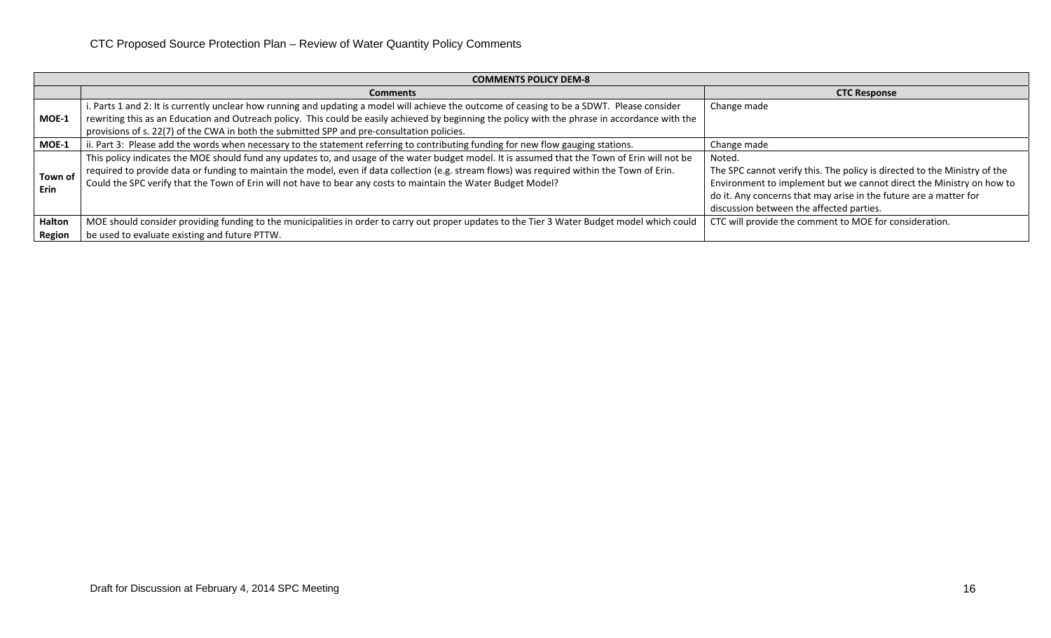|                        | <b>COMMENTS POLICY DEM-8</b>                                                                                                                                                                                                                                                                                                                                                                                     |                                                                                                                                                                                                                                                                              |  |  |  |  |  |  |  |  |
|------------------------|------------------------------------------------------------------------------------------------------------------------------------------------------------------------------------------------------------------------------------------------------------------------------------------------------------------------------------------------------------------------------------------------------------------|------------------------------------------------------------------------------------------------------------------------------------------------------------------------------------------------------------------------------------------------------------------------------|--|--|--|--|--|--|--|--|
|                        | <b>Comments</b>                                                                                                                                                                                                                                                                                                                                                                                                  | <b>CTC Response</b>                                                                                                                                                                                                                                                          |  |  |  |  |  |  |  |  |
| MOE-1                  | i. Parts 1 and 2: It is currently unclear how running and updating a model will achieve the outcome of ceasing to be a SDWT. Please consider<br>rewriting this as an Education and Outreach policy. This could be easily achieved by beginning the policy with the phrase in accordance with the<br>provisions of s. 22(7) of the CWA in both the submitted SPP and pre-consultation policies.                   | Change made                                                                                                                                                                                                                                                                  |  |  |  |  |  |  |  |  |
| MOE-1                  | ii. Part 3: Please add the words when necessary to the statement referring to contributing funding for new flow gauging stations.                                                                                                                                                                                                                                                                                | Change made                                                                                                                                                                                                                                                                  |  |  |  |  |  |  |  |  |
| Town of<br><b>Erin</b> | This policy indicates the MOE should fund any updates to, and usage of the water budget model. It is assumed that the Town of Erin will not be<br>required to provide data or funding to maintain the model, even if data collection (e.g. stream flows) was required within the Town of Erin.<br>Could the SPC verify that the Town of Erin will not have to bear any costs to maintain the Water Budget Model? | Noted.<br>The SPC cannot verify this. The policy is directed to the Ministry of the<br>Environment to implement but we cannot direct the Ministry on how to<br>do it. Any concerns that may arise in the future are a matter for<br>discussion between the affected parties. |  |  |  |  |  |  |  |  |
| Halton<br>Region       | MOE should consider providing funding to the municipalities in order to carry out proper updates to the Tier 3 Water Budget model which could<br>be used to evaluate existing and future PTTW.                                                                                                                                                                                                                   | CTC will provide the comment to MOE for consideration.                                                                                                                                                                                                                       |  |  |  |  |  |  |  |  |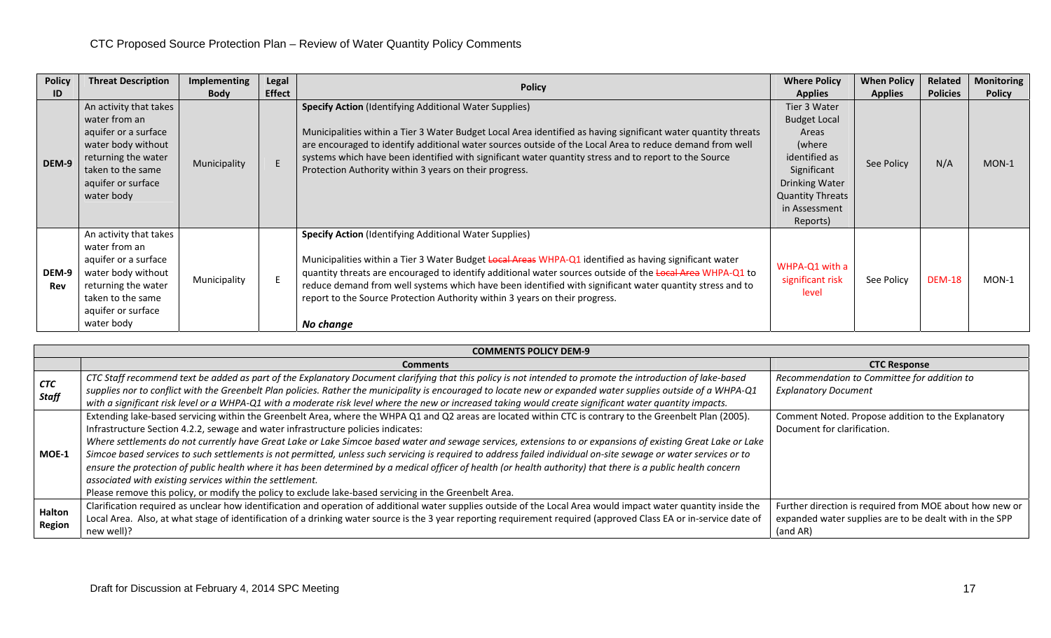| <b>Policy</b><br>ID | <b>Threat Description</b>                                                                                                                                             | Implementing<br><b>Body</b> | Legal<br><b>Effect</b> | <b>Policy</b>                                                                                                                                                                                                                                                                                                                                                                                                                                                                                | <b>Where Policy</b><br><b>Applies</b>                                                                                                                            | <b>When Policy</b><br><b>Applies</b> | Related<br><b>Policies</b> | <b>Monitoring</b><br><b>Policy</b> |
|---------------------|-----------------------------------------------------------------------------------------------------------------------------------------------------------------------|-----------------------------|------------------------|----------------------------------------------------------------------------------------------------------------------------------------------------------------------------------------------------------------------------------------------------------------------------------------------------------------------------------------------------------------------------------------------------------------------------------------------------------------------------------------------|------------------------------------------------------------------------------------------------------------------------------------------------------------------|--------------------------------------|----------------------------|------------------------------------|
| DEM-9               | An activity that takes<br>water from an<br>aquifer or a surface<br>water body without<br>returning the water<br>taken to the same<br>aquifer or surface<br>water body | Municipality                |                        | <b>Specify Action</b> (Identifying Additional Water Supplies)<br>Municipalities within a Tier 3 Water Budget Local Area identified as having significant water quantity threats<br>are encouraged to identify additional water sources outside of the Local Area to reduce demand from well<br>systems which have been identified with significant water quantity stress and to report to the Source<br>Protection Authority within 3 years on their progress.                               | Tier 3 Water<br><b>Budget Local</b><br>Areas<br>(where<br>identified as<br>Significant<br>Drinking Water<br><b>Quantity Threats</b><br>in Assessment<br>Reports) | See Policy                           | N/A                        | $MON-1$                            |
| DEM-9<br>Rev        | An activity that takes<br>water from an<br>aquifer or a surface<br>water body without<br>returning the water<br>taken to the same<br>aquifer or surface<br>water body | Municipality                |                        | <b>Specify Action</b> (Identifying Additional Water Supplies)<br>Municipalities within a Tier 3 Water Budget Local Areas WHPA-Q1 identified as having significant water<br>quantity threats are encouraged to identify additional water sources outside of the Local Area WHPA-Q1 to<br>reduce demand from well systems which have been identified with significant water quantity stress and to<br>report to the Source Protection Authority within 3 years on their progress.<br>No change | WHPA-Q1 with a<br>significant risk<br>level                                                                                                                      | See Policy                           | <b>DEM-18</b>              | $MON-1$                            |

|                            | <b>COMMENTS POLICY DEM-9</b>                                                                                                                                                                                                                                                                                                  |                                                                            |  |  |  |  |  |  |  |
|----------------------------|-------------------------------------------------------------------------------------------------------------------------------------------------------------------------------------------------------------------------------------------------------------------------------------------------------------------------------|----------------------------------------------------------------------------|--|--|--|--|--|--|--|
|                            | <b>Comments</b>                                                                                                                                                                                                                                                                                                               | <b>CTC Response</b>                                                        |  |  |  |  |  |  |  |
| <b>CTC</b><br><b>Staff</b> | CTC Staff recommend text be added as part of the Explanatory Document clarifying that this policy is not intended to promote the introduction of lake-based<br>supplies nor to conflict with the Greenbelt Plan policies. Rather the municipality is encouraged to locate new or expanded water supplies outside of a WHPA-Q1 | Recommendation to Committee for addition to<br><b>Explanatory Document</b> |  |  |  |  |  |  |  |
|                            | with a significant risk level or a WHPA-Q1 with a moderate risk level where the new or increased taking would create significant water quantity impacts.                                                                                                                                                                      |                                                                            |  |  |  |  |  |  |  |
|                            | Extending lake-based servicing within the Greenbelt Area, where the WHPA Q1 and Q2 areas are located within CTC is contrary to the Greenbelt Plan (2005).                                                                                                                                                                     | Comment Noted. Propose addition to the Explanatory                         |  |  |  |  |  |  |  |
|                            | Infrastructure Section 4.2.2, sewage and water infrastructure policies indicates:                                                                                                                                                                                                                                             | Document for clarification.                                                |  |  |  |  |  |  |  |
|                            | Where settlements do not currently have Great Lake or Lake Simcoe based water and sewage services, extensions to or expansions of existing Great Lake or Lake                                                                                                                                                                 |                                                                            |  |  |  |  |  |  |  |
| $MOE-1$                    | Simcoe based services to such settlements is not permitted, unless such servicing is required to address failed individual on-site sewage or water services or to                                                                                                                                                             |                                                                            |  |  |  |  |  |  |  |
|                            | ensure the protection of public health where it has been determined by a medical officer of health (or health authority) that there is a public health concern                                                                                                                                                                |                                                                            |  |  |  |  |  |  |  |
|                            | associated with existing services within the settlement.                                                                                                                                                                                                                                                                      |                                                                            |  |  |  |  |  |  |  |
|                            | Please remove this policy, or modify the policy to exclude lake-based servicing in the Greenbelt Area.                                                                                                                                                                                                                        |                                                                            |  |  |  |  |  |  |  |
|                            | Clarification required as unclear how identification and operation of additional water supplies outside of the Local Area would impact water quantity inside the                                                                                                                                                              | Further direction is required from MOE about how new or                    |  |  |  |  |  |  |  |
| Halton<br>Region           | Local Area. Also, at what stage of identification of a drinking water source is the 3 year reporting requirement required (approved Class EA or in-service date of                                                                                                                                                            | expanded water supplies are to be dealt with in the SPP                    |  |  |  |  |  |  |  |
|                            | new well)?                                                                                                                                                                                                                                                                                                                    | (and AR)                                                                   |  |  |  |  |  |  |  |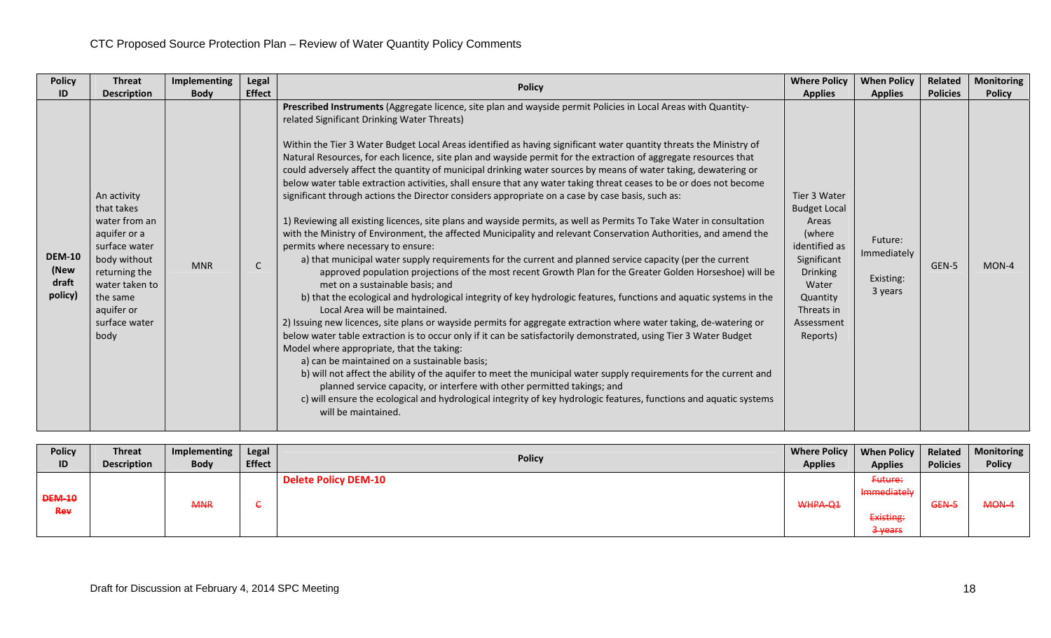| <b>Policy</b>                             | <b>Threat</b>                                                                                                                                                                     | Implementing | Legal         |                                                                                                                                                                                                                                                                                                                                                                                                                                                                                                                                                                                                                                                                                                                                                                                                                                                                                                                                                                                                                                                                                                                                                                                                                                                                                                                                                                                                                                                                                                                                                                                                                                                                                                                                                                                                                                                                                                                                                                                                                                                                                                                                                  | <b>Where Policy</b>                                                                                                                                                    | <b>When Policy</b>                             | Related         | <b>Monitoring</b> |
|-------------------------------------------|-----------------------------------------------------------------------------------------------------------------------------------------------------------------------------------|--------------|---------------|--------------------------------------------------------------------------------------------------------------------------------------------------------------------------------------------------------------------------------------------------------------------------------------------------------------------------------------------------------------------------------------------------------------------------------------------------------------------------------------------------------------------------------------------------------------------------------------------------------------------------------------------------------------------------------------------------------------------------------------------------------------------------------------------------------------------------------------------------------------------------------------------------------------------------------------------------------------------------------------------------------------------------------------------------------------------------------------------------------------------------------------------------------------------------------------------------------------------------------------------------------------------------------------------------------------------------------------------------------------------------------------------------------------------------------------------------------------------------------------------------------------------------------------------------------------------------------------------------------------------------------------------------------------------------------------------------------------------------------------------------------------------------------------------------------------------------------------------------------------------------------------------------------------------------------------------------------------------------------------------------------------------------------------------------------------------------------------------------------------------------------------------------|------------------------------------------------------------------------------------------------------------------------------------------------------------------------|------------------------------------------------|-----------------|-------------------|
| ID                                        | <b>Description</b>                                                                                                                                                                | <b>Body</b>  | <b>Effect</b> | <b>Policy</b>                                                                                                                                                                                                                                                                                                                                                                                                                                                                                                                                                                                                                                                                                                                                                                                                                                                                                                                                                                                                                                                                                                                                                                                                                                                                                                                                                                                                                                                                                                                                                                                                                                                                                                                                                                                                                                                                                                                                                                                                                                                                                                                                    | <b>Applies</b>                                                                                                                                                         | <b>Applies</b>                                 | <b>Policies</b> | <b>Policy</b>     |
| <b>DEM-10</b><br>(New<br>draft<br>policy) | An activity<br>that takes<br>water from an<br>aquifer or a<br>surface water<br>body without<br>returning the<br>water taken to<br>the same<br>aquifer or<br>surface water<br>body | <b>MNR</b>   | $\mathsf{C}$  | Prescribed Instruments (Aggregate licence, site plan and wayside permit Policies in Local Areas with Quantity-<br>related Significant Drinking Water Threats)<br>Within the Tier 3 Water Budget Local Areas identified as having significant water quantity threats the Ministry of<br>Natural Resources, for each licence, site plan and wayside permit for the extraction of aggregate resources that<br>could adversely affect the quantity of municipal drinking water sources by means of water taking, dewatering or<br>below water table extraction activities, shall ensure that any water taking threat ceases to be or does not become<br>significant through actions the Director considers appropriate on a case by case basis, such as:<br>1) Reviewing all existing licences, site plans and wayside permits, as well as Permits To Take Water in consultation<br>with the Ministry of Environment, the affected Municipality and relevant Conservation Authorities, and amend the<br>permits where necessary to ensure:<br>a) that municipal water supply requirements for the current and planned service capacity (per the current<br>approved population projections of the most recent Growth Plan for the Greater Golden Horseshoe) will be<br>met on a sustainable basis; and<br>b) that the ecological and hydrological integrity of key hydrologic features, functions and aquatic systems in the<br>Local Area will be maintained.<br>2) Issuing new licences, site plans or wayside permits for aggregate extraction where water taking, de-watering or<br>below water table extraction is to occur only if it can be satisfactorily demonstrated, using Tier 3 Water Budget<br>Model where appropriate, that the taking:<br>a) can be maintained on a sustainable basis;<br>b) will not affect the ability of the aquifer to meet the municipal water supply requirements for the current and<br>planned service capacity, or interfere with other permitted takings; and<br>c) will ensure the ecological and hydrological integrity of key hydrologic features, functions and aquatic systems<br>will be maintained. | Tier 3 Water<br><b>Budget Local</b><br>Areas<br>(where<br>identified as<br>Significant<br><b>Drinking</b><br>Water<br>Quantity<br>Threats in<br>Assessment<br>Reports) | Future:<br>Immediately<br>Existing:<br>3 years | GEN-5           | MON-4             |

| <b>Policy</b><br>ID  | <b>Threat</b><br><b>Description</b> | Implementing<br><b>Body</b> | <b>Legal</b><br><b>Effect</b> | <b>Policy</b>               | Where Policy   When Policy<br><b>Applies</b> | <b>Applies</b>                                   | Related<br><b>Policies</b> | Monitoring<br><b>Policy</b> |
|----------------------|-------------------------------------|-----------------------------|-------------------------------|-----------------------------|----------------------------------------------|--------------------------------------------------|----------------------------|-----------------------------|
| <b>DEM-10</b><br>Rev |                                     | <b>MNR</b>                  |                               | <b>Delete Policy DEM-10</b> | WHPA-Q1                                      | Future:<br>Immediately<br>Existing:<br>$3$ years | GEN-5                      | MON-4                       |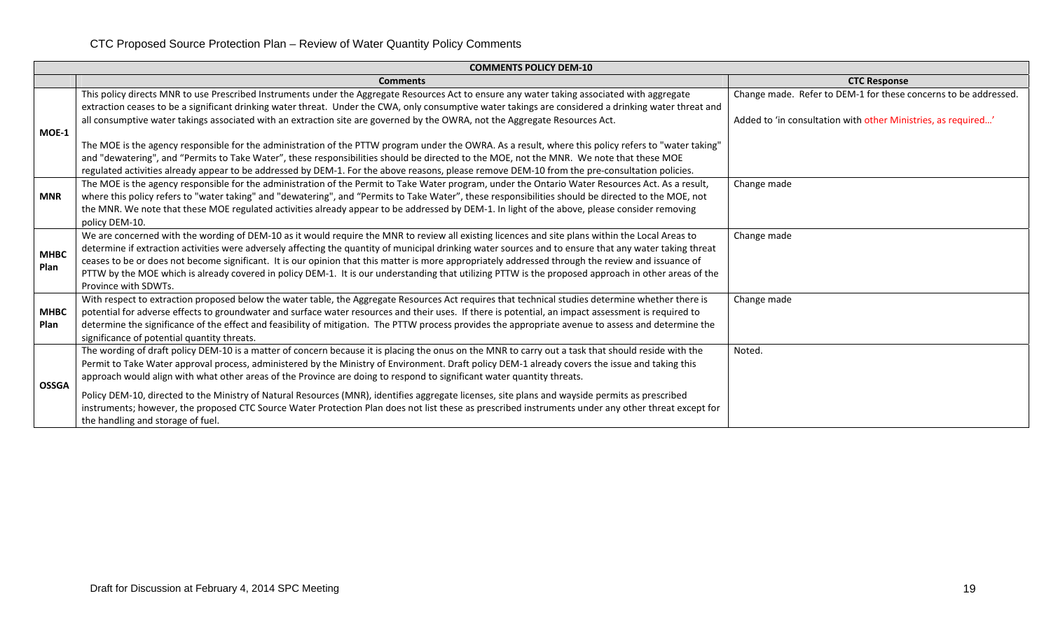| <b>CTC Response</b><br><b>Comments</b><br>Change made. Refer to DEM-1 for these concerns to be addressed.<br>This policy directs MNR to use Prescribed Instruments under the Aggregate Resources Act to ensure any water taking associated with aggregate<br>extraction ceases to be a significant drinking water threat. Under the CWA, only consumptive water takings are considered a drinking water threat and |  |
|--------------------------------------------------------------------------------------------------------------------------------------------------------------------------------------------------------------------------------------------------------------------------------------------------------------------------------------------------------------------------------------------------------------------|--|
|                                                                                                                                                                                                                                                                                                                                                                                                                    |  |
|                                                                                                                                                                                                                                                                                                                                                                                                                    |  |
|                                                                                                                                                                                                                                                                                                                                                                                                                    |  |
| all consumptive water takings associated with an extraction site are governed by the OWRA, not the Aggregate Resources Act.<br>Added to 'in consultation with other Ministries, as required'                                                                                                                                                                                                                       |  |
| <b>MOE-1</b>                                                                                                                                                                                                                                                                                                                                                                                                       |  |
| The MOE is the agency responsible for the administration of the PTTW program under the OWRA. As a result, where this policy refers to "water taking"                                                                                                                                                                                                                                                               |  |
| and "dewatering", and "Permits to Take Water", these responsibilities should be directed to the MOE, not the MNR. We note that these MOE                                                                                                                                                                                                                                                                           |  |
| regulated activities already appear to be addressed by DEM-1. For the above reasons, please remove DEM-10 from the pre-consultation policies.                                                                                                                                                                                                                                                                      |  |
| The MOE is the agency responsible for the administration of the Permit to Take Water program, under the Ontario Water Resources Act. As a result,<br>Change made                                                                                                                                                                                                                                                   |  |
| where this policy refers to "water taking" and "dewatering", and "Permits to Take Water", these responsibilities should be directed to the MOE, not<br><b>MNR</b>                                                                                                                                                                                                                                                  |  |
| the MNR. We note that these MOE regulated activities already appear to be addressed by DEM-1. In light of the above, please consider removing                                                                                                                                                                                                                                                                      |  |
| policy DEM-10.                                                                                                                                                                                                                                                                                                                                                                                                     |  |
| We are concerned with the wording of DEM-10 as it would require the MNR to review all existing licences and site plans within the Local Areas to<br>Change made                                                                                                                                                                                                                                                    |  |
| determine if extraction activities were adversely affecting the quantity of municipal drinking water sources and to ensure that any water taking threat<br><b>MHBC</b>                                                                                                                                                                                                                                             |  |
| ceases to be or does not become significant. It is our opinion that this matter is more appropriately addressed through the review and issuance of<br>Plan<br>PTTW by the MOE which is already covered in policy DEM-1. It is our understanding that utilizing PTTW is the proposed approach in other areas of the                                                                                                 |  |
| Province with SDWTs.                                                                                                                                                                                                                                                                                                                                                                                               |  |
| With respect to extraction proposed below the water table, the Aggregate Resources Act requires that technical studies determine whether there is<br>Change made                                                                                                                                                                                                                                                   |  |
| potential for adverse effects to groundwater and surface water resources and their uses. If there is potential, an impact assessment is required to<br><b>MHBC</b>                                                                                                                                                                                                                                                 |  |
| determine the significance of the effect and feasibility of mitigation. The PTTW process provides the appropriate avenue to assess and determine the<br>Plan                                                                                                                                                                                                                                                       |  |
| significance of potential quantity threats.                                                                                                                                                                                                                                                                                                                                                                        |  |
| The wording of draft policy DEM-10 is a matter of concern because it is placing the onus on the MNR to carry out a task that should reside with the<br>Noted.                                                                                                                                                                                                                                                      |  |
| Permit to Take Water approval process, administered by the Ministry of Environment. Draft policy DEM-1 already covers the issue and taking this                                                                                                                                                                                                                                                                    |  |
| approach would align with what other areas of the Province are doing to respond to significant water quantity threats.                                                                                                                                                                                                                                                                                             |  |
| <b>OSSGA</b><br>Policy DEM-10, directed to the Ministry of Natural Resources (MNR), identifies aggregate licenses, site plans and wayside permits as prescribed                                                                                                                                                                                                                                                    |  |
| instruments; however, the proposed CTC Source Water Protection Plan does not list these as prescribed instruments under any other threat except for                                                                                                                                                                                                                                                                |  |
| the handling and storage of fuel.                                                                                                                                                                                                                                                                                                                                                                                  |  |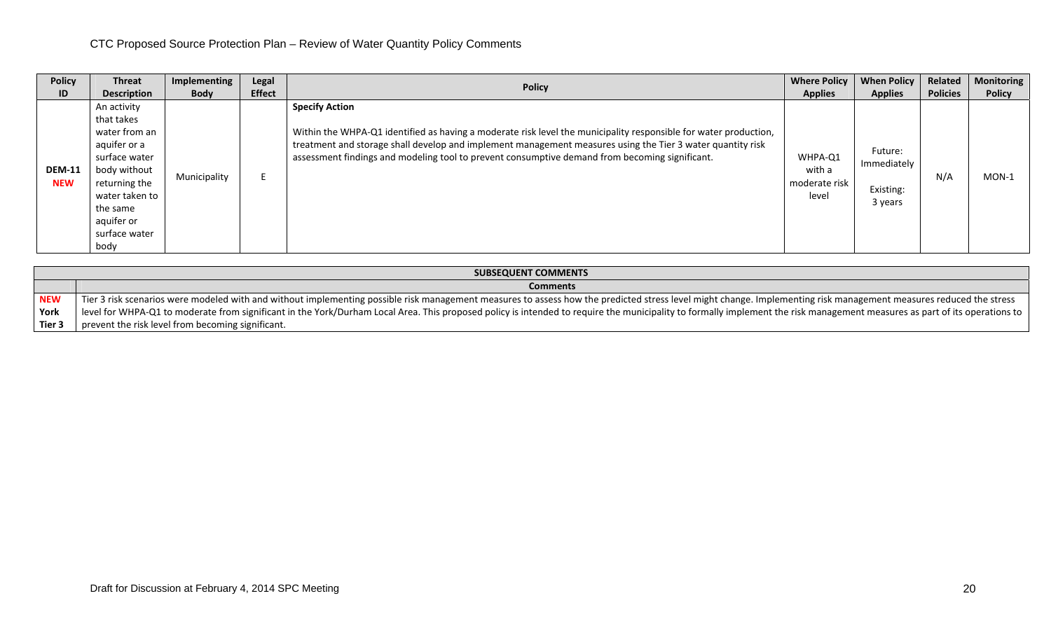| <b>Policy</b>               | <b>Threat</b>                                                                                                                                                                     | Implementing | Legal         | <b>Policy</b>                                                                                                                                                                                                                                                                                                                                             | <b>Where Policy</b>                         | <b>When Policy</b>                             | Related         | <b>Monitoring</b> |
|-----------------------------|-----------------------------------------------------------------------------------------------------------------------------------------------------------------------------------|--------------|---------------|-----------------------------------------------------------------------------------------------------------------------------------------------------------------------------------------------------------------------------------------------------------------------------------------------------------------------------------------------------------|---------------------------------------------|------------------------------------------------|-----------------|-------------------|
| ID                          | <b>Description</b>                                                                                                                                                                | <b>Body</b>  | <b>Effect</b> |                                                                                                                                                                                                                                                                                                                                                           | <b>Applies</b>                              | <b>Applies</b>                                 | <b>Policies</b> | <b>Policy</b>     |
| <b>DEM-11</b><br><b>NEW</b> | An activity<br>that takes<br>water from an<br>aquifer or a<br>surface water<br>body without<br>returning the<br>water taken to<br>the same<br>aquifer or<br>surface water<br>body | Municipality |               | <b>Specify Action</b><br>Within the WHPA-Q1 identified as having a moderate risk level the municipality responsible for water production,<br>treatment and storage shall develop and implement management measures using the Tier 3 water quantity risk<br>assessment findings and modeling tool to prevent consumptive demand from becoming significant. | WHPA-Q1<br>with a<br>moderate risk<br>level | Future:<br>Immediately<br>Existing:<br>3 years | N/A             | $MON-1$           |

|            | <b>SUBSEQUENT COMMENTS</b>                                                                                                                                                                                                 |
|------------|----------------------------------------------------------------------------------------------------------------------------------------------------------------------------------------------------------------------------|
|            | <b>Comments</b>                                                                                                                                                                                                            |
| <b>NEW</b> | Tier 3 risk scenarios were modeled with and without implementing possible risk management measures to assess how the predicted stress level might change. Implementing risk management measures reduced the stress         |
| York       | level for WHPA-Q1 to moderate from significant in the York/Durham Local Area. This proposed policy is intended to require the municipality to formally implement the risk management measures as part of its operations to |
| Tier 3     | prevent the risk level from becoming significant.                                                                                                                                                                          |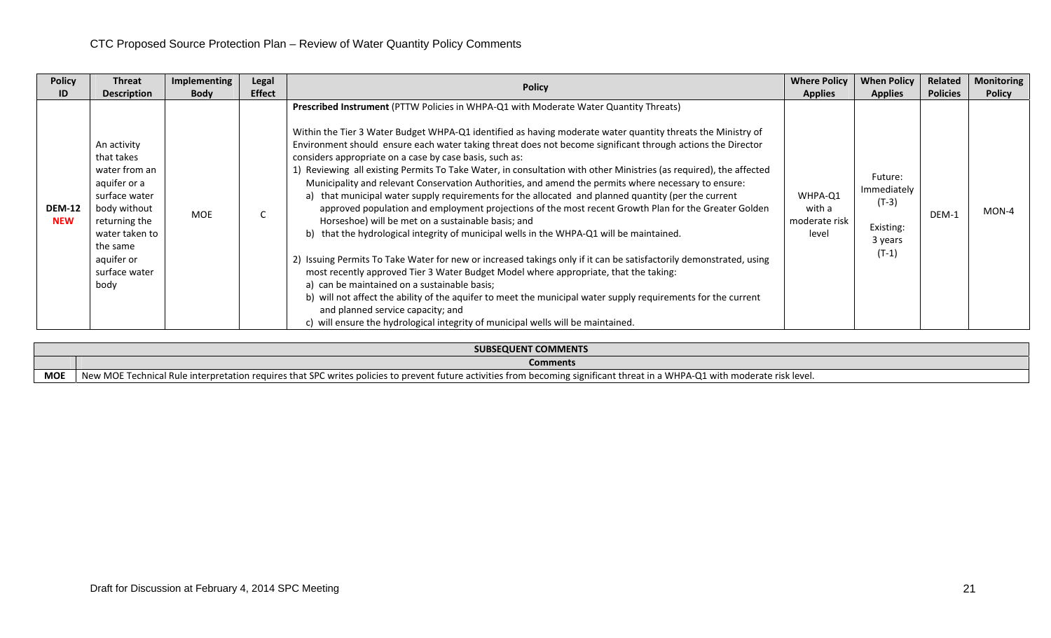| <b>Policy</b>               | Threat                                                                                                                                                                            | Implementing | Legal         | <b>Policy</b>                                                                                                                                                                                                                                                                                                                                                                                                                                                                                                                                                                                                                                                                                                                                                                                                                                                                                                                                                                                                                                                                                                                                                                                                                                                                                                                                                                                                                                                                             | <b>Where Policy</b>                         | <b>When Policy</b>                                                   | Related         | <b>Monitoring</b> |
|-----------------------------|-----------------------------------------------------------------------------------------------------------------------------------------------------------------------------------|--------------|---------------|-------------------------------------------------------------------------------------------------------------------------------------------------------------------------------------------------------------------------------------------------------------------------------------------------------------------------------------------------------------------------------------------------------------------------------------------------------------------------------------------------------------------------------------------------------------------------------------------------------------------------------------------------------------------------------------------------------------------------------------------------------------------------------------------------------------------------------------------------------------------------------------------------------------------------------------------------------------------------------------------------------------------------------------------------------------------------------------------------------------------------------------------------------------------------------------------------------------------------------------------------------------------------------------------------------------------------------------------------------------------------------------------------------------------------------------------------------------------------------------------|---------------------------------------------|----------------------------------------------------------------------|-----------------|-------------------|
| ID                          | <b>Description</b>                                                                                                                                                                | <b>Body</b>  | <b>Effect</b> |                                                                                                                                                                                                                                                                                                                                                                                                                                                                                                                                                                                                                                                                                                                                                                                                                                                                                                                                                                                                                                                                                                                                                                                                                                                                                                                                                                                                                                                                                           | <b>Applies</b>                              | <b>Applies</b>                                                       | <b>Policies</b> | <b>Policy</b>     |
| <b>DEM-12</b><br><b>NEW</b> | An activity<br>that takes<br>water from an<br>aquifer or a<br>surface water<br>body without<br>returning the<br>water taken to<br>the same<br>aquifer or<br>surface water<br>body | <b>MOE</b>   |               | <b>Prescribed Instrument (PTTW Policies in WHPA-Q1 with Moderate Water Quantity Threats)</b><br>Within the Tier 3 Water Budget WHPA-Q1 identified as having moderate water quantity threats the Ministry of<br>Environment should ensure each water taking threat does not become significant through actions the Director<br>considers appropriate on a case by case basis, such as:<br>Reviewing all existing Permits To Take Water, in consultation with other Ministries (as required), the affected<br>Municipality and relevant Conservation Authorities, and amend the permits where necessary to ensure:<br>a) that municipal water supply requirements for the allocated and planned quantity (per the current<br>approved population and employment projections of the most recent Growth Plan for the Greater Golden<br>Horseshoe) will be met on a sustainable basis; and<br>b) that the hydrological integrity of municipal wells in the WHPA-Q1 will be maintained.<br>2) Issuing Permits To Take Water for new or increased takings only if it can be satisfactorily demonstrated, using<br>most recently approved Tier 3 Water Budget Model where appropriate, that the taking:<br>a) can be maintained on a sustainable basis;<br>b) will not affect the ability of the aquifer to meet the municipal water supply requirements for the current<br>and planned service capacity; and<br>c) will ensure the hydrological integrity of municipal wells will be maintained. | WHPA-Q1<br>with a<br>moderate risk<br>level | Future:<br>Immediately<br>$(T-3)$<br>Existing:<br>3 years<br>$(T-1)$ | DEM-1           | $MON-4$           |

|            | SUBSEQUENT COMMENTS                                                                                                                                                               |
|------------|-----------------------------------------------------------------------------------------------------------------------------------------------------------------------------------|
|            | <b>Comments</b>                                                                                                                                                                   |
| <b>MOE</b> | New MOE<br>E Technical Rule interpretation requires that SPC writes policies to prevent future activities from becoming significant threat in a WHPA-Q1 with moderate risk level. |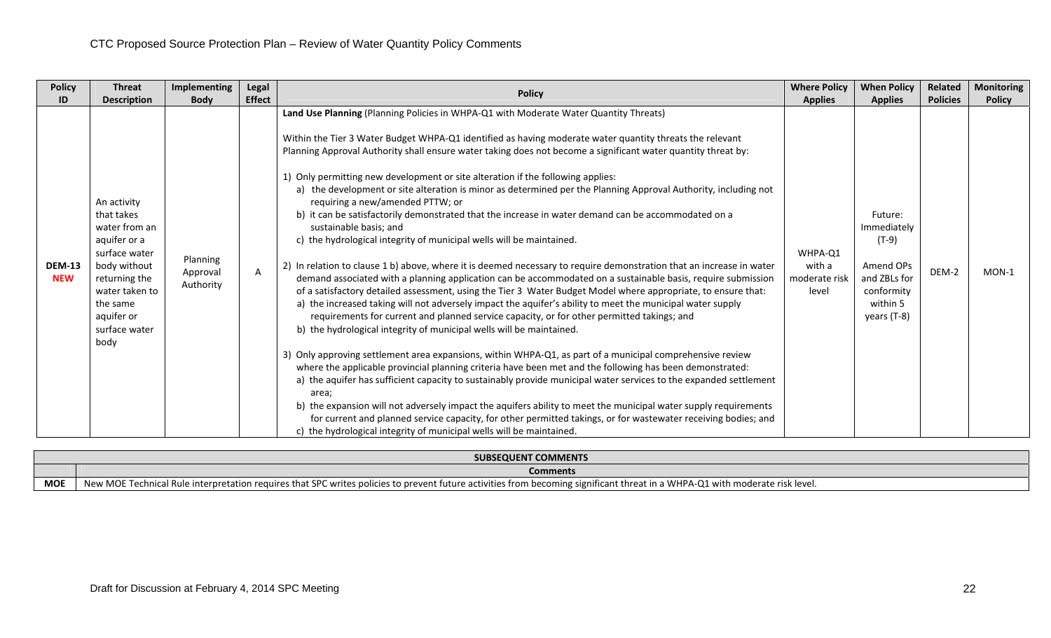| <b>Policy</b>               | <b>Threat</b>                                                                                                                                                                     | Implementing                      | Legal         | <b>Policy</b>                                                                                                                                                                                                                                                                                                                                                                                                                                                                                                                                                                                                                                                                                                                                                                                                                                                                                                                                                                                                                                                                                                                                                                                                                                                                                                                                                                                                                                                                                                                                                                                                                                                                                                                                                                                                                                                                                                                                                                                                                                                                          | <b>Where Policy</b>                         | <b>When Policy</b>                                                                                      | <b>Related</b>  | <b>Monitoring</b> |
|-----------------------------|-----------------------------------------------------------------------------------------------------------------------------------------------------------------------------------|-----------------------------------|---------------|----------------------------------------------------------------------------------------------------------------------------------------------------------------------------------------------------------------------------------------------------------------------------------------------------------------------------------------------------------------------------------------------------------------------------------------------------------------------------------------------------------------------------------------------------------------------------------------------------------------------------------------------------------------------------------------------------------------------------------------------------------------------------------------------------------------------------------------------------------------------------------------------------------------------------------------------------------------------------------------------------------------------------------------------------------------------------------------------------------------------------------------------------------------------------------------------------------------------------------------------------------------------------------------------------------------------------------------------------------------------------------------------------------------------------------------------------------------------------------------------------------------------------------------------------------------------------------------------------------------------------------------------------------------------------------------------------------------------------------------------------------------------------------------------------------------------------------------------------------------------------------------------------------------------------------------------------------------------------------------------------------------------------------------------------------------------------------------|---------------------------------------------|---------------------------------------------------------------------------------------------------------|-----------------|-------------------|
| ID                          | <b>Description</b>                                                                                                                                                                | <b>Body</b>                       | <b>Effect</b> |                                                                                                                                                                                                                                                                                                                                                                                                                                                                                                                                                                                                                                                                                                                                                                                                                                                                                                                                                                                                                                                                                                                                                                                                                                                                                                                                                                                                                                                                                                                                                                                                                                                                                                                                                                                                                                                                                                                                                                                                                                                                                        | <b>Applies</b>                              | <b>Applies</b>                                                                                          | <b>Policies</b> | <b>Policy</b>     |
| <b>DEM-13</b><br><b>NEW</b> | An activity<br>that takes<br>water from an<br>aquifer or a<br>surface water<br>body without<br>returning the<br>water taken to<br>the same<br>aquifer or<br>surface water<br>body | Planning<br>Approval<br>Authority | A             | Land Use Planning (Planning Policies in WHPA-Q1 with Moderate Water Quantity Threats)<br>Within the Tier 3 Water Budget WHPA-Q1 identified as having moderate water quantity threats the relevant<br>Planning Approval Authority shall ensure water taking does not become a significant water quantity threat by:<br>1) Only permitting new development or site alteration if the following applies:<br>a) the development or site alteration is minor as determined per the Planning Approval Authority, including not<br>requiring a new/amended PTTW; or<br>b) it can be satisfactorily demonstrated that the increase in water demand can be accommodated on a<br>sustainable basis; and<br>c) the hydrological integrity of municipal wells will be maintained.<br>2) In relation to clause 1 b) above, where it is deemed necessary to require demonstration that an increase in water<br>demand associated with a planning application can be accommodated on a sustainable basis, require submission<br>of a satisfactory detailed assessment, using the Tier 3 Water Budget Model where appropriate, to ensure that:<br>a) the increased taking will not adversely impact the aquifer's ability to meet the municipal water supply<br>requirements for current and planned service capacity, or for other permitted takings; and<br>b) the hydrological integrity of municipal wells will be maintained.<br>3) Only approving settlement area expansions, within WHPA-Q1, as part of a municipal comprehensive review<br>where the applicable provincial planning criteria have been met and the following has been demonstrated:<br>a) the aquifer has sufficient capacity to sustainably provide municipal water services to the expanded settlement<br>area;<br>b) the expansion will not adversely impact the aquifers ability to meet the municipal water supply requirements<br>for current and planned service capacity, for other permitted takings, or for wastewater receiving bodies; and<br>c) the hydrological integrity of municipal wells will be maintained. | WHPA-Q1<br>with a<br>moderate risk<br>level | Future:<br>Immediately<br>$(T-9)$<br>Amend OPs<br>and ZBLs for<br>conformity<br>within 5<br>years (T-8) | DEM-2           | MON-1             |

|            | SUBSEQUENT COMMENTS                                                                                                                                                                                                         |
|------------|-----------------------------------------------------------------------------------------------------------------------------------------------------------------------------------------------------------------------------|
|            | <b>Comments</b>                                                                                                                                                                                                             |
| <b>MOF</b> | New MOP<br>. a WHPA-Q1 with moderate risk level.<br>es to prevent future activities from becoming significant threat in<br>etation requires that "<br>in.<br>.i Rule interpref.<br>u writes policies for<br>nnics.<br>ESPL. |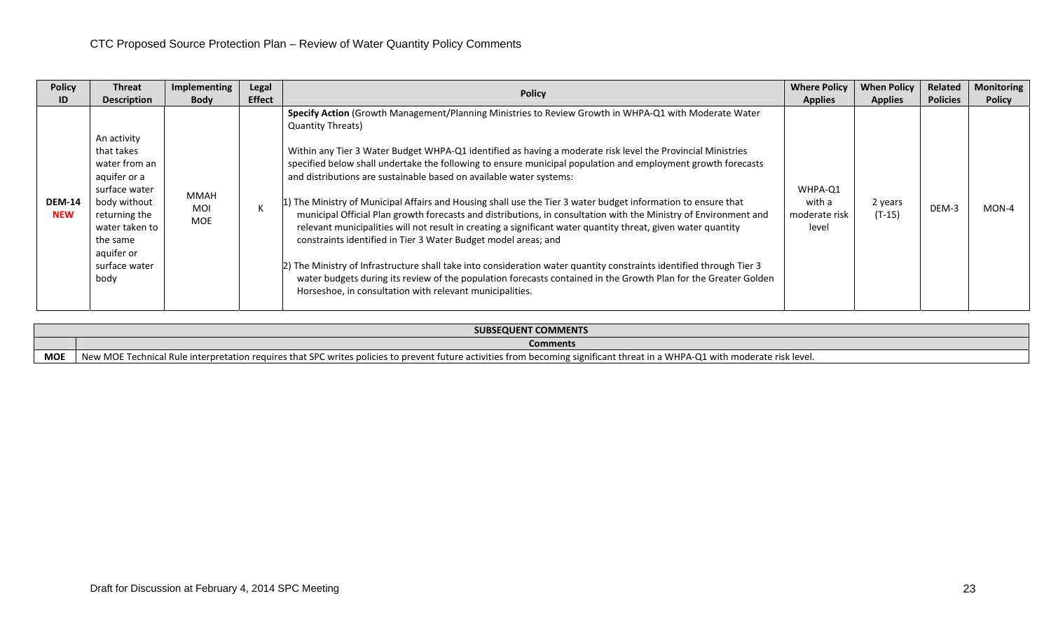| <b>Policy</b>               | <b>Threat</b>                                                                                                                                                                     | Implementing                            | Legal         | <b>Policy</b>                                                                                                                                                                                                                                                                                                                                                                                                                                                                                                                                                                                                                                                                                                                                                                                                                                                                                                                                                                                                                                                                                                                                                          | <b>Where Policy</b>                         | <b>When Policy</b>  | Related         | <b>Monitoring</b> |
|-----------------------------|-----------------------------------------------------------------------------------------------------------------------------------------------------------------------------------|-----------------------------------------|---------------|------------------------------------------------------------------------------------------------------------------------------------------------------------------------------------------------------------------------------------------------------------------------------------------------------------------------------------------------------------------------------------------------------------------------------------------------------------------------------------------------------------------------------------------------------------------------------------------------------------------------------------------------------------------------------------------------------------------------------------------------------------------------------------------------------------------------------------------------------------------------------------------------------------------------------------------------------------------------------------------------------------------------------------------------------------------------------------------------------------------------------------------------------------------------|---------------------------------------------|---------------------|-----------------|-------------------|
| ID                          | <b>Description</b>                                                                                                                                                                | <b>Body</b>                             | <b>Effect</b> |                                                                                                                                                                                                                                                                                                                                                                                                                                                                                                                                                                                                                                                                                                                                                                                                                                                                                                                                                                                                                                                                                                                                                                        | <b>Applies</b>                              | <b>Applies</b>      | <b>Policies</b> | <b>Policy</b>     |
| <b>DEM-14</b><br><b>NEW</b> | An activity<br>that takes<br>water from an<br>aquifer or a<br>surface water<br>body without<br>returning the<br>water taken to<br>the same<br>aquifer or<br>surface water<br>body | <b>MMAH</b><br><b>MOI</b><br><b>MOE</b> |               | Specify Action (Growth Management/Planning Ministries to Review Growth in WHPA-Q1 with Moderate Water<br><b>Quantity Threats)</b><br>Within any Tier 3 Water Budget WHPA-Q1 identified as having a moderate risk level the Provincial Ministries<br>specified below shall undertake the following to ensure municipal population and employment growth forecasts<br>and distributions are sustainable based on available water systems:<br>1) The Ministry of Municipal Affairs and Housing shall use the Tier 3 water budget information to ensure that<br>municipal Official Plan growth forecasts and distributions, in consultation with the Ministry of Environment and<br>relevant municipalities will not result in creating a significant water quantity threat, given water quantity<br>constraints identified in Tier 3 Water Budget model areas; and<br>2) The Ministry of Infrastructure shall take into consideration water quantity constraints identified through Tier 3<br>water budgets during its review of the population forecasts contained in the Growth Plan for the Greater Golden<br>Horseshoe, in consultation with relevant municipalities. | WHPA-Q1<br>with a<br>moderate risk<br>level | 2 years<br>$(T-15)$ | DEM-3           | MON-4             |

|            | <b>SUBSEQUENT COMMENTS</b>                                                                                                                                                        |
|------------|-----------------------------------------------------------------------------------------------------------------------------------------------------------------------------------|
|            | <b>Comments</b>                                                                                                                                                                   |
| <b>MOE</b> | E Technical Rule interpretation requires that SPC writes policies to prevent future activities from becoming significant threat in a WHPA-Q1 with moderate risk level.<br>New MOE |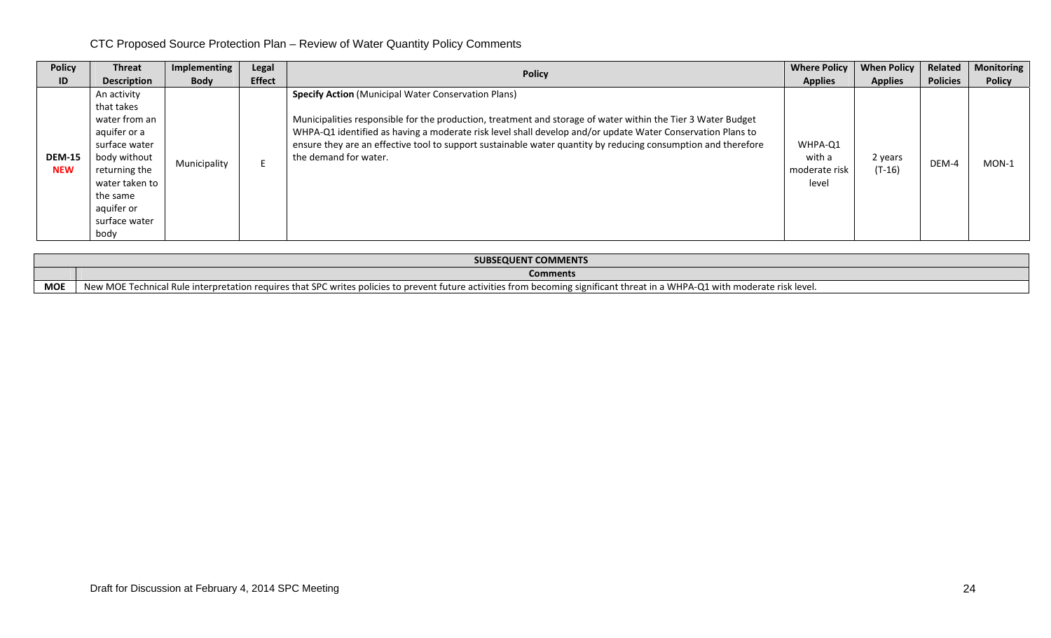| <b>Policy</b>               | <b>Threat</b>                                                                                                                                                                     | Implementing | Legal         | <b>Policy</b>                                                                                                                                                                                                                                                                                                                                                                                                                      | <b>Where Policy</b>                         | <b>When Policy</b>  | Related         | Monitoring    |
|-----------------------------|-----------------------------------------------------------------------------------------------------------------------------------------------------------------------------------|--------------|---------------|------------------------------------------------------------------------------------------------------------------------------------------------------------------------------------------------------------------------------------------------------------------------------------------------------------------------------------------------------------------------------------------------------------------------------------|---------------------------------------------|---------------------|-----------------|---------------|
| ID                          | <b>Description</b>                                                                                                                                                                | <b>Body</b>  | <b>Effect</b> |                                                                                                                                                                                                                                                                                                                                                                                                                                    | <b>Applies</b>                              | <b>Applies</b>      | <b>Policies</b> | <b>Policy</b> |
| <b>DEM-15</b><br><b>NEW</b> | An activity<br>that takes<br>water from an<br>aquifer or a<br>surface water<br>body without<br>returning the<br>water taken to<br>the same<br>aquifer or<br>surface water<br>body | Municipality |               | <b>Specify Action (Municipal Water Conservation Plans)</b><br>Municipalities responsible for the production, treatment and storage of water within the Tier 3 Water Budget<br>WHPA-Q1 identified as having a moderate risk level shall develop and/or update Water Conservation Plans to<br>ensure they are an effective tool to support sustainable water quantity by reducing consumption and therefore<br>the demand for water. | WHPA-Q1<br>with a<br>moderate risk<br>level | 2 years<br>$(T-16)$ | DEM-4           | $MON-1$       |

|            | SUBSEQUENT COMMENTS                                                                                                                                                          |  |  |  |  |  |
|------------|------------------------------------------------------------------------------------------------------------------------------------------------------------------------------|--|--|--|--|--|
|            | <b>Comments</b>                                                                                                                                                              |  |  |  |  |  |
| <b>MOE</b> | New MOE Technical Rule interpretation requires that SPC writes policies to prevent future activities from becoming significant threat in a WHPA-Q1 with moderate risk level. |  |  |  |  |  |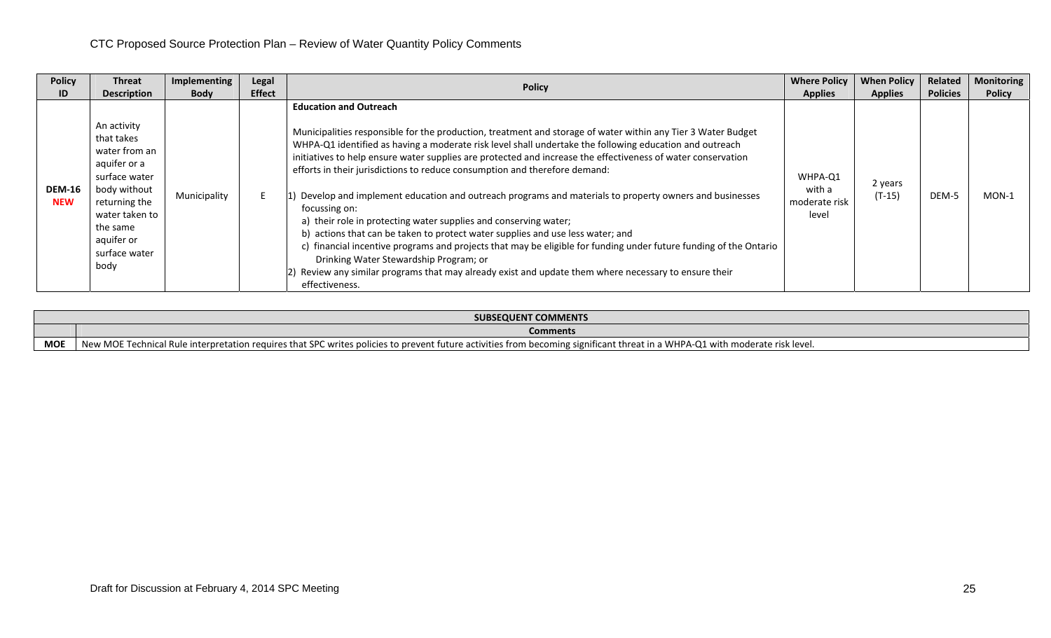| <b>Policy</b>               | Threat                                                                                                                                                                            | Implementing | Legal         | <b>Policy</b>                                                                                                                                                                                                                                                                                                                                                                                                                                                                                                                                                                                                                                                                                                                                                                                                                                                                                                                                                                                                                     | <b>Where Policy</b>                         | <b>When Policy</b>  | Related         | <b>Monitoring</b> |
|-----------------------------|-----------------------------------------------------------------------------------------------------------------------------------------------------------------------------------|--------------|---------------|-----------------------------------------------------------------------------------------------------------------------------------------------------------------------------------------------------------------------------------------------------------------------------------------------------------------------------------------------------------------------------------------------------------------------------------------------------------------------------------------------------------------------------------------------------------------------------------------------------------------------------------------------------------------------------------------------------------------------------------------------------------------------------------------------------------------------------------------------------------------------------------------------------------------------------------------------------------------------------------------------------------------------------------|---------------------------------------------|---------------------|-----------------|-------------------|
| ID                          | <b>Description</b>                                                                                                                                                                | <b>Body</b>  | <b>Effect</b> |                                                                                                                                                                                                                                                                                                                                                                                                                                                                                                                                                                                                                                                                                                                                                                                                                                                                                                                                                                                                                                   | <b>Applies</b>                              | <b>Applies</b>      | <b>Policies</b> | <b>Policy</b>     |
| <b>DEM-16</b><br><b>NEW</b> | An activity<br>that takes<br>water from an<br>aquifer or a<br>surface water<br>body without<br>returning the<br>water taken to<br>the same<br>aquifer or<br>surface water<br>body | Municipality |               | <b>Education and Outreach</b><br>Municipalities responsible for the production, treatment and storage of water within any Tier 3 Water Budget<br>WHPA-Q1 identified as having a moderate risk level shall undertake the following education and outreach<br>initiatives to help ensure water supplies are protected and increase the effectiveness of water conservation<br>efforts in their jurisdictions to reduce consumption and therefore demand:<br>Develop and implement education and outreach programs and materials to property owners and businesses<br>focussing on:<br>a) their role in protecting water supplies and conserving water;<br>b) actions that can be taken to protect water supplies and use less water; and<br>c) financial incentive programs and projects that may be eligible for funding under future funding of the Ontario<br>Drinking Water Stewardship Program; or<br>[2] Review any similar programs that may already exist and update them where necessary to ensure their<br>effectiveness. | WHPA-Q1<br>with a<br>moderate risk<br>level | 2 years<br>$(T-15)$ | DEM-5           | $MON-1$           |

|            | <b>SUBSEQUENT COMMENTS</b>                                                                                                                                                                                    |  |  |  |  |  |  |
|------------|---------------------------------------------------------------------------------------------------------------------------------------------------------------------------------------------------------------|--|--|--|--|--|--|
|            | <b>Comments</b>                                                                                                                                                                                               |  |  |  |  |  |  |
| <b>MOI</b> | New MOE<br>: in a WHPA-Q1<br>ካ moderate risk level.<br>a echnical Rule in<br>tuture activities from becoming significant threat in<br>ule interpretation requires that SPC writes policies to prevent<br>with |  |  |  |  |  |  |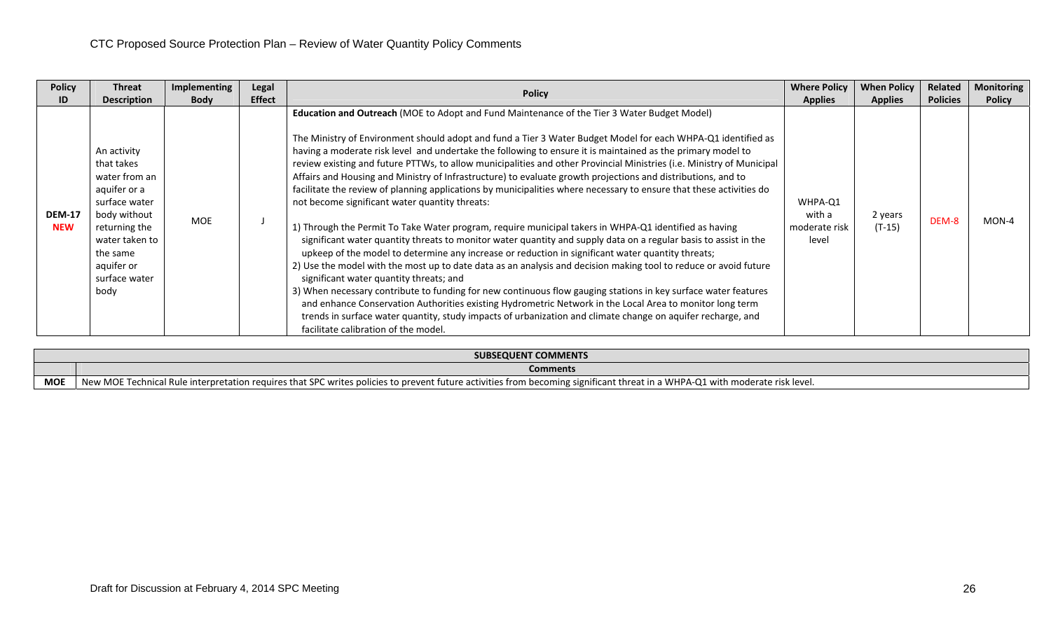| <b>Policy</b>               | <b>Threat</b>                                                                                                                                                                     | <b>Implementing</b> | Legal         | <b>Policy</b>                                                                                                                                                                                                                                                                                                                                                                                                                                                                                                                                                                                                                                                                                                                                                                                                                                                                                                                                                                                                                                                                                                                                                                                                                                                                                                                                                                                                                                                                                                                                                                                                                      | <b>Where Policy</b>                         | <b>When Policy</b>  | Related         | <b>Monitoring</b> |
|-----------------------------|-----------------------------------------------------------------------------------------------------------------------------------------------------------------------------------|---------------------|---------------|------------------------------------------------------------------------------------------------------------------------------------------------------------------------------------------------------------------------------------------------------------------------------------------------------------------------------------------------------------------------------------------------------------------------------------------------------------------------------------------------------------------------------------------------------------------------------------------------------------------------------------------------------------------------------------------------------------------------------------------------------------------------------------------------------------------------------------------------------------------------------------------------------------------------------------------------------------------------------------------------------------------------------------------------------------------------------------------------------------------------------------------------------------------------------------------------------------------------------------------------------------------------------------------------------------------------------------------------------------------------------------------------------------------------------------------------------------------------------------------------------------------------------------------------------------------------------------------------------------------------------------|---------------------------------------------|---------------------|-----------------|-------------------|
| ID                          | <b>Description</b>                                                                                                                                                                | <b>Body</b>         | <b>Effect</b> |                                                                                                                                                                                                                                                                                                                                                                                                                                                                                                                                                                                                                                                                                                                                                                                                                                                                                                                                                                                                                                                                                                                                                                                                                                                                                                                                                                                                                                                                                                                                                                                                                                    | <b>Applies</b>                              | <b>Applies</b>      | <b>Policies</b> | <b>Policy</b>     |
| <b>DEM-17</b><br><b>NEW</b> | An activity<br>that takes<br>water from an<br>aquifer or a<br>surface water<br>body without<br>returning the<br>water taken to<br>the same<br>aquifer or<br>surface water<br>body | MOE                 |               | Education and Outreach (MOE to Adopt and Fund Maintenance of the Tier 3 Water Budget Model)<br>The Ministry of Environment should adopt and fund a Tier 3 Water Budget Model for each WHPA-Q1 identified as<br>having a moderate risk level and undertake the following to ensure it is maintained as the primary model to<br>review existing and future PTTWs, to allow municipalities and other Provincial Ministries (i.e. Ministry of Municipal<br>Affairs and Housing and Ministry of Infrastructure) to evaluate growth projections and distributions, and to<br>facilitate the review of planning applications by municipalities where necessary to ensure that these activities do<br>not become significant water quantity threats:<br>1) Through the Permit To Take Water program, require municipal takers in WHPA-Q1 identified as having<br>significant water quantity threats to monitor water quantity and supply data on a regular basis to assist in the<br>upkeep of the model to determine any increase or reduction in significant water quantity threats;<br>2) Use the model with the most up to date data as an analysis and decision making tool to reduce or avoid future<br>significant water quantity threats; and<br>3) When necessary contribute to funding for new continuous flow gauging stations in key surface water features<br>and enhance Conservation Authorities existing Hydrometric Network in the Local Area to monitor long term<br>trends in surface water quantity, study impacts of urbanization and climate change on aquifer recharge, and<br>facilitate calibration of the model. | WHPA-Q1<br>with a<br>moderate risk<br>level | 2 years<br>$(T-15)$ | DEM-8           | $MON-4$           |

|            | <b>SUBSEQUENT COMMENTS</b>                                                                                                                                                                  |  |  |  |  |  |  |
|------------|---------------------------------------------------------------------------------------------------------------------------------------------------------------------------------------------|--|--|--|--|--|--|
|            | Comments                                                                                                                                                                                    |  |  |  |  |  |  |
| <b>MOI</b> | New MOE<br>echnical Rule interpretation requires that SPC writes policies to prevent future activities from becoming significant threat in a WHPA-Q1 with moderate risk level.<br>ur Techni |  |  |  |  |  |  |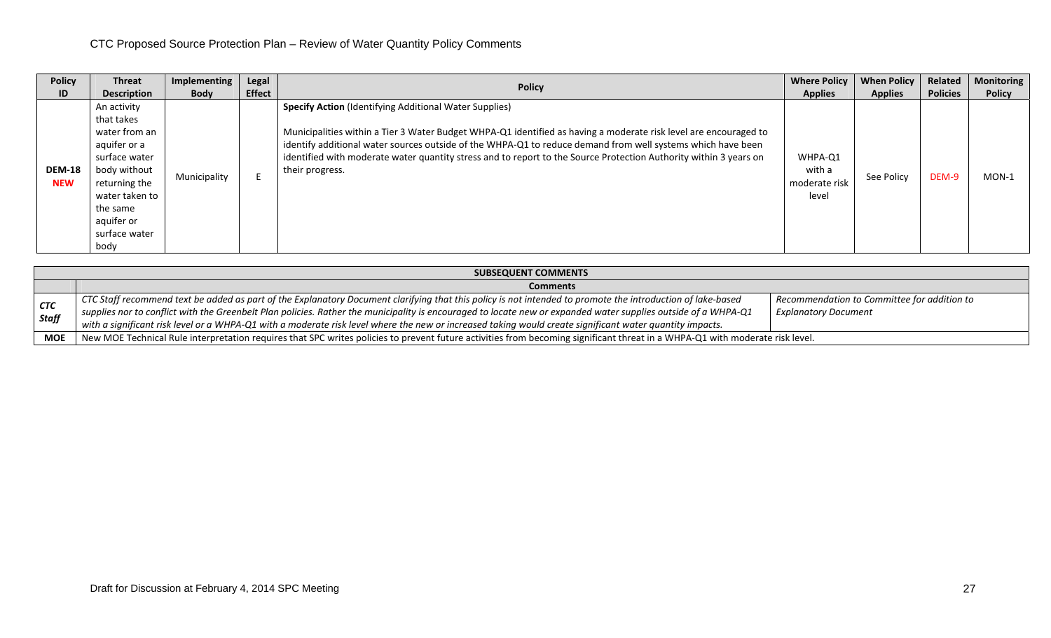| <b>Policy</b>               | <b>Threat</b>                                                                                                                                                                     | Implementing | Legal         |                                                                                                                                                                                                                                                                                                                                                                                                                                          | <b>Where Policy</b>                         | <b>When Policy</b> | Related         | <b>Monitoring</b> |
|-----------------------------|-----------------------------------------------------------------------------------------------------------------------------------------------------------------------------------|--------------|---------------|------------------------------------------------------------------------------------------------------------------------------------------------------------------------------------------------------------------------------------------------------------------------------------------------------------------------------------------------------------------------------------------------------------------------------------------|---------------------------------------------|--------------------|-----------------|-------------------|
| ID                          | <b>Description</b>                                                                                                                                                                | <b>Body</b>  | <b>Effect</b> | <b>Policy</b>                                                                                                                                                                                                                                                                                                                                                                                                                            | <b>Applies</b>                              | <b>Applies</b>     | <b>Policies</b> | <b>Policy</b>     |
| <b>DEM-18</b><br><b>NEW</b> | An activity<br>that takes<br>water from an<br>aquifer or a<br>surface water<br>body without<br>returning the<br>water taken to<br>the same<br>aquifer or<br>surface water<br>body | Municipality |               | <b>Specify Action</b> (Identifying Additional Water Supplies)<br>Municipalities within a Tier 3 Water Budget WHPA-Q1 identified as having a moderate risk level are encouraged to<br>identify additional water sources outside of the WHPA-Q1 to reduce demand from well systems which have been<br>identified with moderate water quantity stress and to report to the Source Protection Authority within 3 years on<br>their progress. | WHPA-Q1<br>with a<br>moderate risk<br>level | See Policy         | DEM-9           | $MON-1$           |

|                            | <b>SUBSEQUENT COMMENTS</b>                                                                                                                                                                                                                                                                                                                                                                                                                                                                            |                                                                            |  |  |  |  |  |  |
|----------------------------|-------------------------------------------------------------------------------------------------------------------------------------------------------------------------------------------------------------------------------------------------------------------------------------------------------------------------------------------------------------------------------------------------------------------------------------------------------------------------------------------------------|----------------------------------------------------------------------------|--|--|--|--|--|--|
|                            | <b>Comments</b>                                                                                                                                                                                                                                                                                                                                                                                                                                                                                       |                                                                            |  |  |  |  |  |  |
| <b>CTC</b><br><b>Staff</b> | $\mid$ CTC Staff recommend text be added as part of the Explanatory Document clarifying that this policy is not intended to promote the introduction of lake-based<br>$_1$ supplies nor to conflict with the Greenbelt Plan policies. Rather the municipality is encouraged to locate new or expanded water supplies outside of a WHPA-Q1<br>with a significant risk level or a WHPA-Q1 with a moderate risk level where the new or increased taking would create significant water quantity impacts. | Recommendation to Committee for addition to<br><b>Explanatory Document</b> |  |  |  |  |  |  |
| <b>MOE</b>                 | New MOE Technical Rule interpretation requires that SPC writes policies to prevent future activities from becoming significant threat in a WHPA-Q1 with moderate risk level.                                                                                                                                                                                                                                                                                                                          |                                                                            |  |  |  |  |  |  |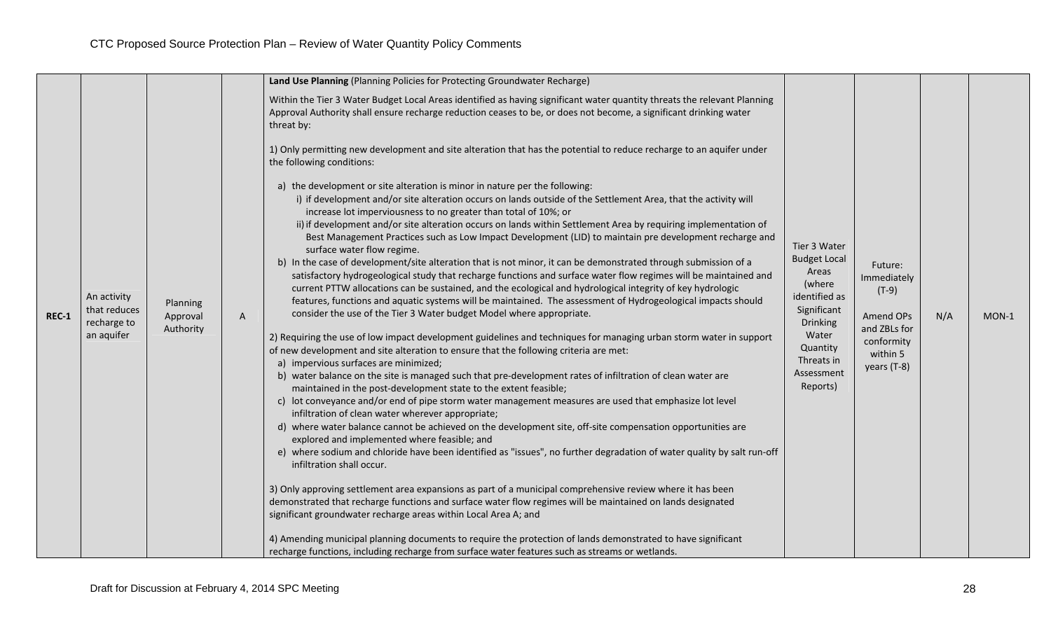|         |                                                          |                                   |   | Land Use Planning (Planning Policies for Protecting Groundwater Recharge)                                                                                                                                                                                                                                                                                                                                                                                                                                                                                                                                                                                                                                                                                                                                                                                                                                                                                                                                                                                                                                                                                                                                                                                                                                                                                                                                                                                                                                                                                                                                                                                                                                                                                                                                                                                                                                                                                                                                                                                                                                                                                                                                                                                                                                                                                                                                                                                                                                                                                                    |                                                                                                                                                                 |                                                                                                                |     |         |
|---------|----------------------------------------------------------|-----------------------------------|---|------------------------------------------------------------------------------------------------------------------------------------------------------------------------------------------------------------------------------------------------------------------------------------------------------------------------------------------------------------------------------------------------------------------------------------------------------------------------------------------------------------------------------------------------------------------------------------------------------------------------------------------------------------------------------------------------------------------------------------------------------------------------------------------------------------------------------------------------------------------------------------------------------------------------------------------------------------------------------------------------------------------------------------------------------------------------------------------------------------------------------------------------------------------------------------------------------------------------------------------------------------------------------------------------------------------------------------------------------------------------------------------------------------------------------------------------------------------------------------------------------------------------------------------------------------------------------------------------------------------------------------------------------------------------------------------------------------------------------------------------------------------------------------------------------------------------------------------------------------------------------------------------------------------------------------------------------------------------------------------------------------------------------------------------------------------------------------------------------------------------------------------------------------------------------------------------------------------------------------------------------------------------------------------------------------------------------------------------------------------------------------------------------------------------------------------------------------------------------------------------------------------------------------------------------------------------------|-----------------------------------------------------------------------------------------------------------------------------------------------------------------|----------------------------------------------------------------------------------------------------------------|-----|---------|
|         |                                                          |                                   |   | Within the Tier 3 Water Budget Local Areas identified as having significant water quantity threats the relevant Planning<br>Approval Authority shall ensure recharge reduction ceases to be, or does not become, a significant drinking water<br>threat by:                                                                                                                                                                                                                                                                                                                                                                                                                                                                                                                                                                                                                                                                                                                                                                                                                                                                                                                                                                                                                                                                                                                                                                                                                                                                                                                                                                                                                                                                                                                                                                                                                                                                                                                                                                                                                                                                                                                                                                                                                                                                                                                                                                                                                                                                                                                  |                                                                                                                                                                 |                                                                                                                |     |         |
| $REC-1$ | An activity<br>that reduces<br>recharge to<br>an aquifer | Planning<br>Approval<br>Authority | A | 1) Only permitting new development and site alteration that has the potential to reduce recharge to an aquifer under<br>the following conditions:<br>a) the development or site alteration is minor in nature per the following:<br>i) if development and/or site alteration occurs on lands outside of the Settlement Area, that the activity will<br>increase lot imperviousness to no greater than total of 10%; or<br>ii) if development and/or site alteration occurs on lands within Settlement Area by requiring implementation of<br>Best Management Practices such as Low Impact Development (LID) to maintain pre development recharge and<br>surface water flow regime.<br>b) In the case of development/site alteration that is not minor, it can be demonstrated through submission of a<br>satisfactory hydrogeological study that recharge functions and surface water flow regimes will be maintained and<br>current PTTW allocations can be sustained, and the ecological and hydrological integrity of key hydrologic<br>features, functions and aquatic systems will be maintained. The assessment of Hydrogeological impacts should<br>consider the use of the Tier 3 Water budget Model where appropriate.<br>2) Requiring the use of low impact development guidelines and techniques for managing urban storm water in support<br>of new development and site alteration to ensure that the following criteria are met:<br>a) impervious surfaces are minimized;<br>b) water balance on the site is managed such that pre-development rates of infiltration of clean water are<br>maintained in the post-development state to the extent feasible;<br>c) lot conveyance and/or end of pipe storm water management measures are used that emphasize lot level<br>infiltration of clean water wherever appropriate;<br>d) where water balance cannot be achieved on the development site, off-site compensation opportunities are<br>explored and implemented where feasible; and<br>e) where sodium and chloride have been identified as "issues", no further degradation of water quality by salt run-off<br>infiltration shall occur.<br>3) Only approving settlement area expansions as part of a municipal comprehensive review where it has been<br>demonstrated that recharge functions and surface water flow regimes will be maintained on lands designated<br>significant groundwater recharge areas within Local Area A; and<br>4) Amending municipal planning documents to require the protection of lands demonstrated to have significant | Tier 3 Water<br><b>Budget Local</b><br>Areas<br>(where<br>identified as<br>Significant<br>Drinking<br>Water<br>Quantity<br>Threats in<br>Assessment<br>Reports) | Future:<br>Immediately<br>$(T-9)$<br><b>Amend OPs</b><br>and ZBLs for<br>conformity<br>within 5<br>years (T-8) | N/A | $MON-1$ |
|         |                                                          |                                   |   | recharge functions, including recharge from surface water features such as streams or wetlands.                                                                                                                                                                                                                                                                                                                                                                                                                                                                                                                                                                                                                                                                                                                                                                                                                                                                                                                                                                                                                                                                                                                                                                                                                                                                                                                                                                                                                                                                                                                                                                                                                                                                                                                                                                                                                                                                                                                                                                                                                                                                                                                                                                                                                                                                                                                                                                                                                                                                              |                                                                                                                                                                 |                                                                                                                |     |         |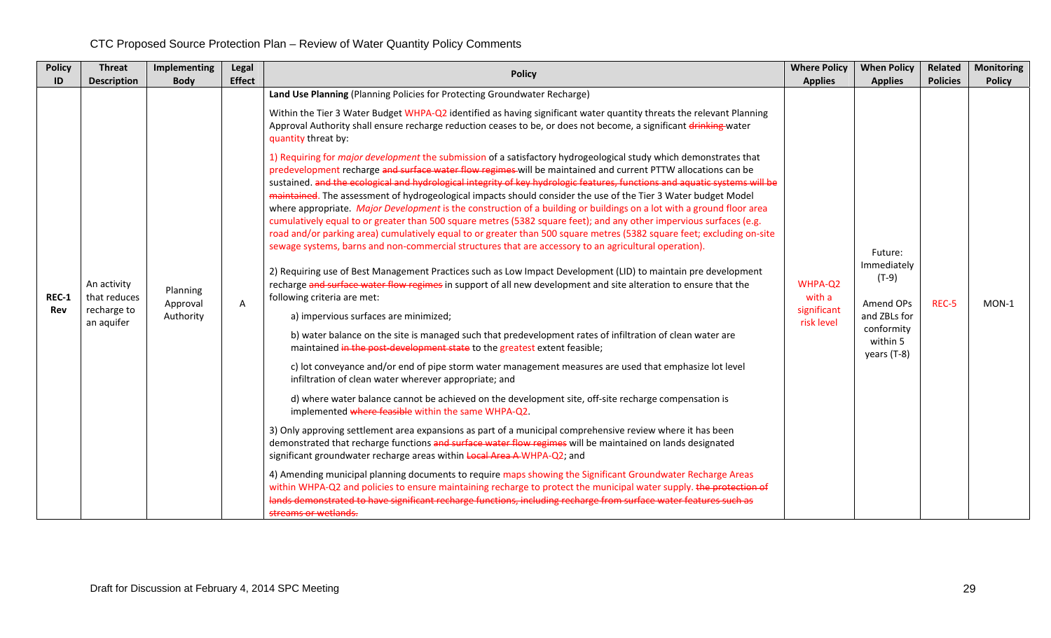| <b>Policy</b>       | <b>Threat</b>                                            | Implementing                      | Legal          | <b>Policy</b>                                                                                                                                                                                                                                                                                                                                                                                                                                                                                                                                                                                                                                                                                                                                                                                                                                                                                                                                                                                                                                                                                                                                                                                                                                                                                                                                                                                                                                                                                                                                                                                                                                                                                                                                                                                                                                                                                                                                                                                                                                                                                                                                                                                                                                                                                                                                                                                                                                                                                                                           | <b>Where Policy</b>                            | <b>When Policy</b>                                                                                      | Related         | <b>Monitoring</b> |
|---------------------|----------------------------------------------------------|-----------------------------------|----------------|-----------------------------------------------------------------------------------------------------------------------------------------------------------------------------------------------------------------------------------------------------------------------------------------------------------------------------------------------------------------------------------------------------------------------------------------------------------------------------------------------------------------------------------------------------------------------------------------------------------------------------------------------------------------------------------------------------------------------------------------------------------------------------------------------------------------------------------------------------------------------------------------------------------------------------------------------------------------------------------------------------------------------------------------------------------------------------------------------------------------------------------------------------------------------------------------------------------------------------------------------------------------------------------------------------------------------------------------------------------------------------------------------------------------------------------------------------------------------------------------------------------------------------------------------------------------------------------------------------------------------------------------------------------------------------------------------------------------------------------------------------------------------------------------------------------------------------------------------------------------------------------------------------------------------------------------------------------------------------------------------------------------------------------------------------------------------------------------------------------------------------------------------------------------------------------------------------------------------------------------------------------------------------------------------------------------------------------------------------------------------------------------------------------------------------------------------------------------------------------------------------------------------------------------|------------------------------------------------|---------------------------------------------------------------------------------------------------------|-----------------|-------------------|
| ID                  | <b>Description</b>                                       | <b>Body</b>                       | <b>Effect</b>  | Land Use Planning (Planning Policies for Protecting Groundwater Recharge)<br>Within the Tier 3 Water Budget WHPA-Q2 identified as having significant water quantity threats the relevant Planning<br>Approval Authority shall ensure recharge reduction ceases to be, or does not become, a significant drinking water                                                                                                                                                                                                                                                                                                                                                                                                                                                                                                                                                                                                                                                                                                                                                                                                                                                                                                                                                                                                                                                                                                                                                                                                                                                                                                                                                                                                                                                                                                                                                                                                                                                                                                                                                                                                                                                                                                                                                                                                                                                                                                                                                                                                                  | <b>Applies</b>                                 | <b>Applies</b>                                                                                          | <b>Policies</b> | <b>Policy</b>     |
| <b>REC-1</b><br>Rev | An activity<br>that reduces<br>recharge to<br>an aquifer | Planning<br>Approval<br>Authority | $\overline{A}$ | quantity threat by:<br>1) Requiring for <i>major development</i> the submission of a satisfactory hydrogeological study which demonstrates that<br>predevelopment recharge and surface water flow regimes will be maintained and current PTTW allocations can be<br>sustained, and the ecological and hydrological integrity of key hydrologic features, functions and aquatic systems will be<br>maintained. The assessment of hydrogeological impacts should consider the use of the Tier 3 Water budget Model<br>where appropriate. Major Development is the construction of a building or buildings on a lot with a ground floor area<br>cumulatively equal to or greater than 500 square metres (5382 square feet); and any other impervious surfaces (e.g.<br>road and/or parking area) cumulatively equal to or greater than 500 square metres (5382 square feet; excluding on-site<br>sewage systems, barns and non-commercial structures that are accessory to an agricultural operation).<br>2) Requiring use of Best Management Practices such as Low Impact Development (LID) to maintain pre development<br>recharge and surface water flow regimes in support of all new development and site alteration to ensure that the<br>following criteria are met:<br>a) impervious surfaces are minimized;<br>b) water balance on the site is managed such that predevelopment rates of infiltration of clean water are<br>maintained in the post-development state to the greatest extent feasible;<br>c) lot conveyance and/or end of pipe storm water management measures are used that emphasize lot level<br>infiltration of clean water wherever appropriate; and<br>d) where water balance cannot be achieved on the development site, off-site recharge compensation is<br>implemented where feasible within the same WHPA-Q2.<br>3) Only approving settlement area expansions as part of a municipal comprehensive review where it has been<br>demonstrated that recharge functions and surface water flow regimes will be maintained on lands designated<br>significant groundwater recharge areas within Local Area A-WHPA-Q2; and<br>4) Amending municipal planning documents to require maps showing the Significant Groundwater Recharge Areas<br>within WHPA-Q2 and policies to ensure maintaining recharge to protect the municipal water supply. the protection of<br>lands demonstrated to have significant recharge functions, including recharge from surface water features such as<br>streams or wetlands. | WHPA-Q2<br>with a<br>significant<br>risk level | Future:<br>Immediately<br>$(T-9)$<br>Amend OPs<br>and ZBLs for<br>conformity<br>within 5<br>years (T-8) | REC-5           | MON-1             |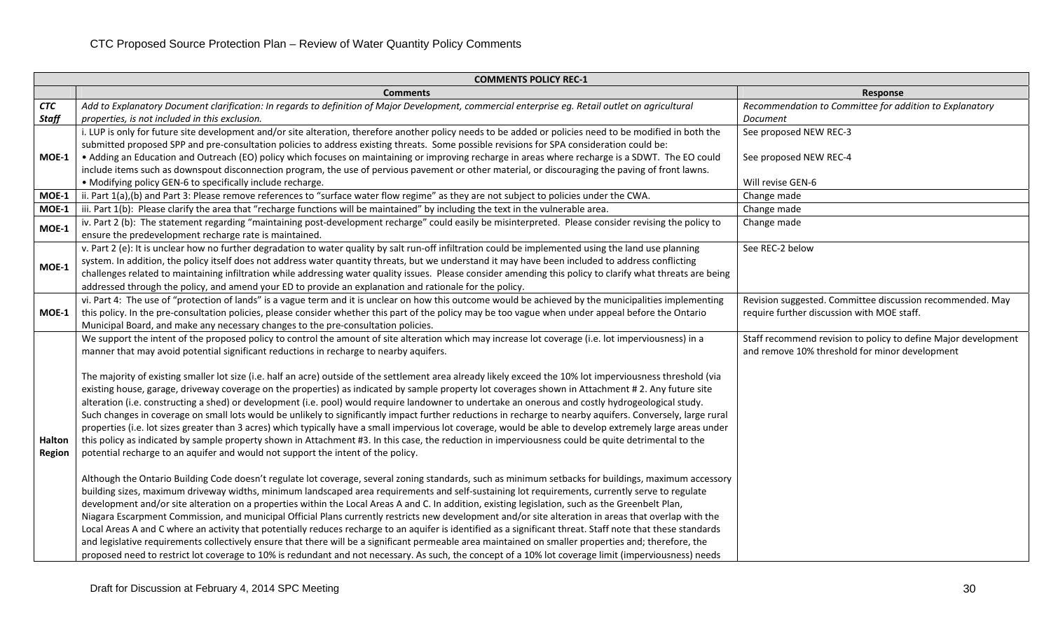| <b>COMMENTS POLICY REC-1</b> |                                                                                                                                                              |                                                                |  |  |  |  |  |
|------------------------------|--------------------------------------------------------------------------------------------------------------------------------------------------------------|----------------------------------------------------------------|--|--|--|--|--|
|                              | <b>Comments</b>                                                                                                                                              | Response                                                       |  |  |  |  |  |
| CTC                          | Add to Explanatory Document clarification: In regards to definition of Major Development, commercial enterprise eg. Retail outlet on agricultural            | Recommendation to Committee for addition to Explanatory        |  |  |  |  |  |
| Staff                        | properties, is not included in this exclusion.                                                                                                               | Document                                                       |  |  |  |  |  |
|                              | i. LUP is only for future site development and/or site alteration, therefore another policy needs to be added or policies need to be modified in both the    | See proposed NEW REC-3                                         |  |  |  |  |  |
|                              | submitted proposed SPP and pre-consultation policies to address existing threats. Some possible revisions for SPA consideration could be:                    |                                                                |  |  |  |  |  |
| MOE-1                        | • Adding an Education and Outreach (EO) policy which focuses on maintaining or improving recharge in areas where recharge is a SDWT. The EO could            | See proposed NEW REC-4                                         |  |  |  |  |  |
|                              | include items such as downspout disconnection program, the use of pervious pavement or other material, or discouraging the paving of front lawns.            |                                                                |  |  |  |  |  |
|                              | • Modifying policy GEN-6 to specifically include recharge.                                                                                                   | Will revise GEN-6                                              |  |  |  |  |  |
| MOE-1                        | ii. Part 1(a),(b) and Part 3: Please remove references to "surface water flow regime" as they are not subject to policies under the CWA.                     | Change made                                                    |  |  |  |  |  |
| MOE-1                        | iii. Part 1(b): Please clarify the area that "recharge functions will be maintained" by including the text in the vulnerable area.                           | Change made                                                    |  |  |  |  |  |
| MOE-1                        | iv. Part 2 (b): The statement regarding "maintaining post-development recharge" could easily be misinterpreted. Please consider revising the policy to       | Change made                                                    |  |  |  |  |  |
|                              | ensure the predevelopment recharge rate is maintained.                                                                                                       |                                                                |  |  |  |  |  |
|                              | v. Part 2 (e): It is unclear how no further degradation to water quality by salt run-off infiltration could be implemented using the land use planning       | See REC-2 below                                                |  |  |  |  |  |
| MOE-1                        | system. In addition, the policy itself does not address water quantity threats, but we understand it may have been included to address conflicting           |                                                                |  |  |  |  |  |
|                              | challenges related to maintaining infiltration while addressing water quality issues. Please consider amending this policy to clarify what threats are being |                                                                |  |  |  |  |  |
|                              | addressed through the policy, and amend your ED to provide an explanation and rationale for the policy.                                                      |                                                                |  |  |  |  |  |
|                              | vi. Part 4: The use of "protection of lands" is a vague term and it is unclear on how this outcome would be achieved by the municipalities implementing      | Revision suggested. Committee discussion recommended. May      |  |  |  |  |  |
| MOE-1                        | this policy. In the pre-consultation policies, please consider whether this part of the policy may be too vague when under appeal before the Ontario         | require further discussion with MOE staff.                     |  |  |  |  |  |
|                              | Municipal Board, and make any necessary changes to the pre-consultation policies.                                                                            |                                                                |  |  |  |  |  |
|                              | We support the intent of the proposed policy to control the amount of site alteration which may increase lot coverage (i.e. lot imperviousness) in a         | Staff recommend revision to policy to define Major development |  |  |  |  |  |
|                              | manner that may avoid potential significant reductions in recharge to nearby aquifers.                                                                       | and remove 10% threshold for minor development                 |  |  |  |  |  |
|                              |                                                                                                                                                              |                                                                |  |  |  |  |  |
|                              | The majority of existing smaller lot size (i.e. half an acre) outside of the settlement area already likely exceed the 10% lot imperviousness threshold (via |                                                                |  |  |  |  |  |
|                              | existing house, garage, driveway coverage on the properties) as indicated by sample property lot coverages shown in Attachment #2. Any future site           |                                                                |  |  |  |  |  |
|                              | alteration (i.e. constructing a shed) or development (i.e. pool) would require landowner to undertake an onerous and costly hydrogeological study.           |                                                                |  |  |  |  |  |
|                              | Such changes in coverage on small lots would be unlikely to significantly impact further reductions in recharge to nearby aquifers. Conversely, large rural  |                                                                |  |  |  |  |  |
|                              | properties (i.e. lot sizes greater than 3 acres) which typically have a small impervious lot coverage, would be able to develop extremely large areas under  |                                                                |  |  |  |  |  |
| Halton                       | this policy as indicated by sample property shown in Attachment #3. In this case, the reduction in imperviousness could be quite detrimental to the          |                                                                |  |  |  |  |  |
| <b>Region</b>                | potential recharge to an aquifer and would not support the intent of the policy.                                                                             |                                                                |  |  |  |  |  |
|                              |                                                                                                                                                              |                                                                |  |  |  |  |  |
|                              | Although the Ontario Building Code doesn't regulate lot coverage, several zoning standards, such as minimum setbacks for buildings, maximum accessory        |                                                                |  |  |  |  |  |
|                              | building sizes, maximum driveway widths, minimum landscaped area requirements and self-sustaining lot requirements, currently serve to regulate              |                                                                |  |  |  |  |  |
|                              | development and/or site alteration on a properties within the Local Areas A and C. In addition, existing legislation, such as the Greenbelt Plan,            |                                                                |  |  |  |  |  |
|                              | Niagara Escarpment Commission, and municipal Official Plans currently restricts new development and/or site alteration in areas that overlap with the        |                                                                |  |  |  |  |  |
|                              | Local Areas A and C where an activity that potentially reduces recharge to an aquifer is identified as a significant threat. Staff note that these standards |                                                                |  |  |  |  |  |
|                              | and legislative requirements collectively ensure that there will be a significant permeable area maintained on smaller properties and; therefore, the        |                                                                |  |  |  |  |  |
|                              | proposed need to restrict lot coverage to 10% is redundant and not necessary. As such, the concept of a 10% lot coverage limit (imperviousness) needs        |                                                                |  |  |  |  |  |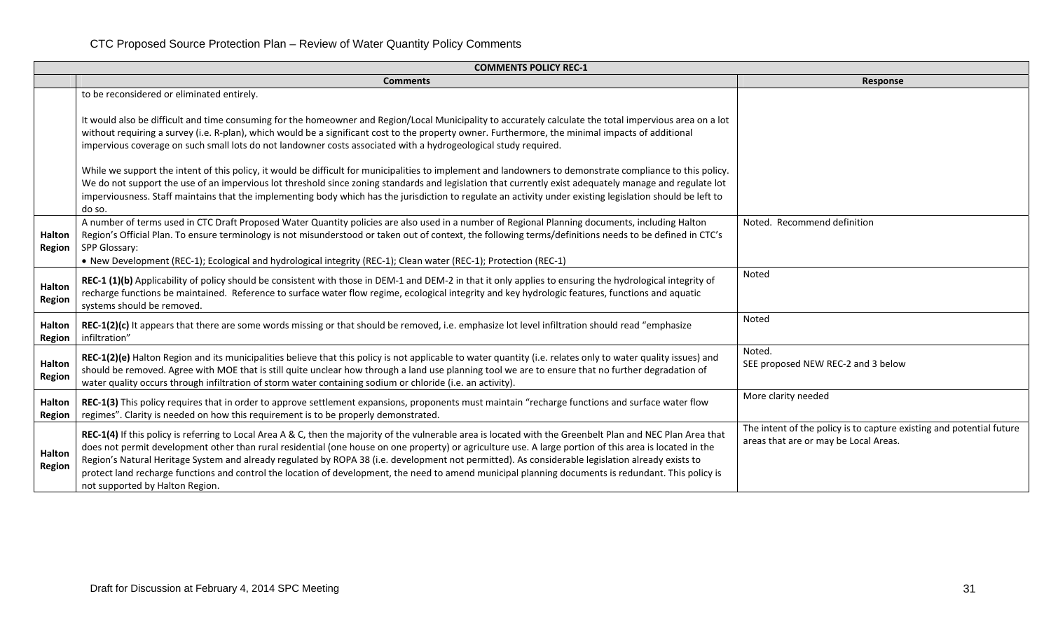|                                | <b>COMMENTS POLICY REC-1</b>                                                                                                                                                                                                                                                                                                                                                                                                                                                                                                                                                                                                                                            |                                                                                                               |  |  |  |  |  |  |
|--------------------------------|-------------------------------------------------------------------------------------------------------------------------------------------------------------------------------------------------------------------------------------------------------------------------------------------------------------------------------------------------------------------------------------------------------------------------------------------------------------------------------------------------------------------------------------------------------------------------------------------------------------------------------------------------------------------------|---------------------------------------------------------------------------------------------------------------|--|--|--|--|--|--|
|                                | <b>Comments</b>                                                                                                                                                                                                                                                                                                                                                                                                                                                                                                                                                                                                                                                         | Response                                                                                                      |  |  |  |  |  |  |
|                                | to be reconsidered or eliminated entirely.<br>It would also be difficult and time consuming for the homeowner and Region/Local Municipality to accurately calculate the total impervious area on a lot                                                                                                                                                                                                                                                                                                                                                                                                                                                                  |                                                                                                               |  |  |  |  |  |  |
|                                | without requiring a survey (i.e. R-plan), which would be a significant cost to the property owner. Furthermore, the minimal impacts of additional<br>impervious coverage on such small lots do not landowner costs associated with a hydrogeological study required.                                                                                                                                                                                                                                                                                                                                                                                                    |                                                                                                               |  |  |  |  |  |  |
|                                | While we support the intent of this policy, it would be difficult for municipalities to implement and landowners to demonstrate compliance to this policy.<br>We do not support the use of an impervious lot threshold since zoning standards and legislation that currently exist adequately manage and regulate lot<br>imperviousness. Staff maintains that the implementing body which has the jurisdiction to regulate an activity under existing legislation should be left to<br>do so.                                                                                                                                                                           |                                                                                                               |  |  |  |  |  |  |
| <b>Halton</b><br><b>Region</b> | A number of terms used in CTC Draft Proposed Water Quantity policies are also used in a number of Regional Planning documents, including Halton<br>Region's Official Plan. To ensure terminology is not misunderstood or taken out of context, the following terms/definitions needs to be defined in CTC's<br>SPP Glossary:<br>• New Development (REC-1); Ecological and hydrological integrity (REC-1); Clean water (REC-1); Protection (REC-1)                                                                                                                                                                                                                       | Noted. Recommend definition                                                                                   |  |  |  |  |  |  |
| Halton<br>Region               | REC-1 (1)(b) Applicability of policy should be consistent with those in DEM-1 and DEM-2 in that it only applies to ensuring the hydrological integrity of<br>recharge functions be maintained. Reference to surface water flow regime, ecological integrity and key hydrologic features, functions and aquatic<br>systems should be removed.                                                                                                                                                                                                                                                                                                                            | Noted                                                                                                         |  |  |  |  |  |  |
| <b>Halton</b><br><b>Region</b> | REC-1(2)(c) It appears that there are some words missing or that should be removed, i.e. emphasize lot level infiltration should read "emphasize<br>infiltration"                                                                                                                                                                                                                                                                                                                                                                                                                                                                                                       | Noted                                                                                                         |  |  |  |  |  |  |
| <b>Halton</b><br><b>Region</b> | REC-1(2)(e) Halton Region and its municipalities believe that this policy is not applicable to water quantity (i.e. relates only to water quality issues) and<br>should be removed. Agree with MOE that is still quite unclear how through a land use planning tool we are to ensure that no further degradation of<br>water quality occurs through infiltration of storm water containing sodium or chloride (i.e. an activity).                                                                                                                                                                                                                                       | Noted.<br>SEE proposed NEW REC-2 and 3 below                                                                  |  |  |  |  |  |  |
| Halton<br>Region               | REC-1(3) This policy requires that in order to approve settlement expansions, proponents must maintain "recharge functions and surface water flow<br>regimes". Clarity is needed on how this requirement is to be properly demonstrated.                                                                                                                                                                                                                                                                                                                                                                                                                                | More clarity needed                                                                                           |  |  |  |  |  |  |
| <b>Halton</b><br><b>Region</b> | REC-1(4) If this policy is referring to Local Area A & C, then the majority of the vulnerable area is located with the Greenbelt Plan and NEC Plan Area that<br>does not permit development other than rural residential (one house on one property) or agriculture use. A large portion of this area is located in the<br>Region's Natural Heritage System and already regulated by ROPA 38 (i.e. development not permitted). As considerable legislation already exists to<br>protect land recharge functions and control the location of development, the need to amend municipal planning documents is redundant. This policy is<br>not supported by Halton Region. | The intent of the policy is to capture existing and potential future<br>areas that are or may be Local Areas. |  |  |  |  |  |  |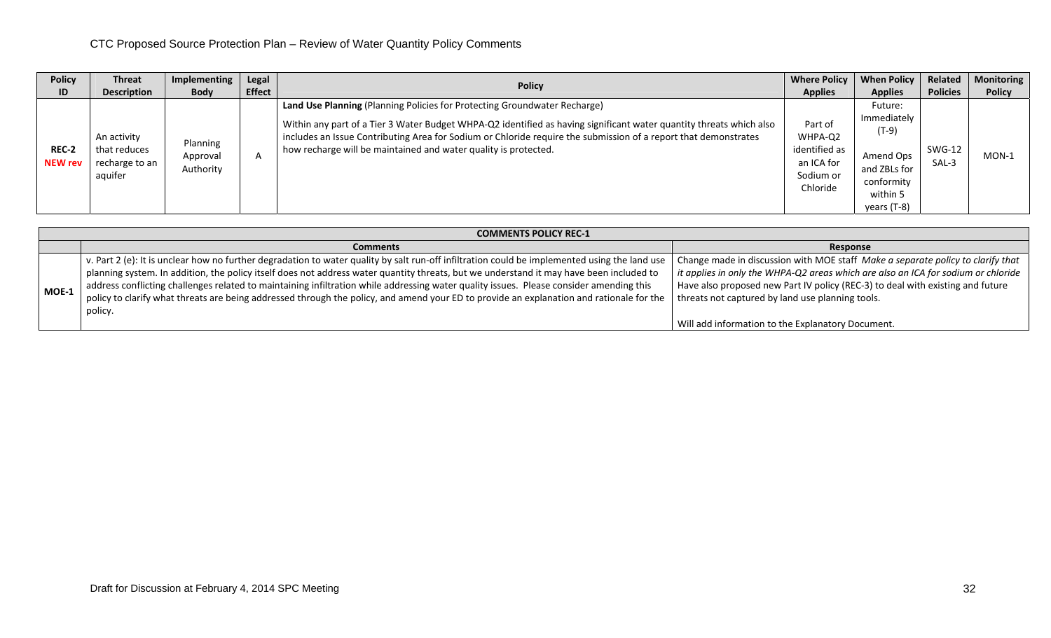| <b>Policy</b>           | <b>Threat</b>                                            | Implementing                      | Legal         | <b>Policy</b>                                                                                                                                                                                                                                                                                                                                                                          | <b>Where Policy</b>                                                        | <b>When Policy</b>                                                                                      | Related                | <b>Monitoring</b> |
|-------------------------|----------------------------------------------------------|-----------------------------------|---------------|----------------------------------------------------------------------------------------------------------------------------------------------------------------------------------------------------------------------------------------------------------------------------------------------------------------------------------------------------------------------------------------|----------------------------------------------------------------------------|---------------------------------------------------------------------------------------------------------|------------------------|-------------------|
| ID                      | <b>Description</b>                                       | <b>Body</b>                       | <b>Effect</b> |                                                                                                                                                                                                                                                                                                                                                                                        | <b>Applies</b>                                                             | <b>Applies</b>                                                                                          | <b>Policies</b>        | <b>Policy</b>     |
| REC-2<br><b>NEW rev</b> | An activity<br>that reduces<br>recharge to an<br>aquifer | Planning<br>Approval<br>Authority | $\mathsf{A}$  | Land Use Planning (Planning Policies for Protecting Groundwater Recharge)<br>Within any part of a Tier 3 Water Budget WHPA-Q2 identified as having significant water quantity threats which also<br>includes an Issue Contributing Area for Sodium or Chloride require the submission of a report that demonstrates<br>how recharge will be maintained and water quality is protected. | Part of<br>WHPA-Q2<br>identified as<br>an ICA for<br>Sodium or<br>Chloride | Future:<br>Immediately<br>$(T-9)$<br>Amend Ops<br>and ZBLs for<br>conformity<br>within 5<br>years (T-8) | <b>SWG-12</b><br>SAL-3 | $MON-1$           |

|       | <b>COMMENTS POLICY REC-1</b>                                                                                                                                                                                                                                                                                                                                                                                                                                                                                                                                                               |                                                                                                                                                                                                                                                                                                                                                                                |  |  |  |  |  |  |  |
|-------|--------------------------------------------------------------------------------------------------------------------------------------------------------------------------------------------------------------------------------------------------------------------------------------------------------------------------------------------------------------------------------------------------------------------------------------------------------------------------------------------------------------------------------------------------------------------------------------------|--------------------------------------------------------------------------------------------------------------------------------------------------------------------------------------------------------------------------------------------------------------------------------------------------------------------------------------------------------------------------------|--|--|--|--|--|--|--|
|       | <b>Comments</b>                                                                                                                                                                                                                                                                                                                                                                                                                                                                                                                                                                            | Response                                                                                                                                                                                                                                                                                                                                                                       |  |  |  |  |  |  |  |
| MOE-1 | v. Part 2 (e): It is unclear how no further degradation to water quality by salt run-off infiltration could be implemented using the land use<br>planning system. In addition, the policy itself does not address water quantity threats, but we understand it may have been included to<br>address conflicting challenges related to maintaining infiltration while addressing water quality issues. Please consider amending this<br>policy to clarify what threats are being addressed through the policy, and amend your ED to provide an explanation and rationale for the<br>policy. | Change made in discussion with MOE staff <i>Make a separate policy to clarify that</i> $\vert$<br>it applies in only the WHPA-Q2 areas which are also an ICA for sodium or chloride<br>Have also proposed new Part IV policy (REC-3) to deal with existing and future<br>threats not captured by land use planning tools.<br>Will add information to the Explanatory Document. |  |  |  |  |  |  |  |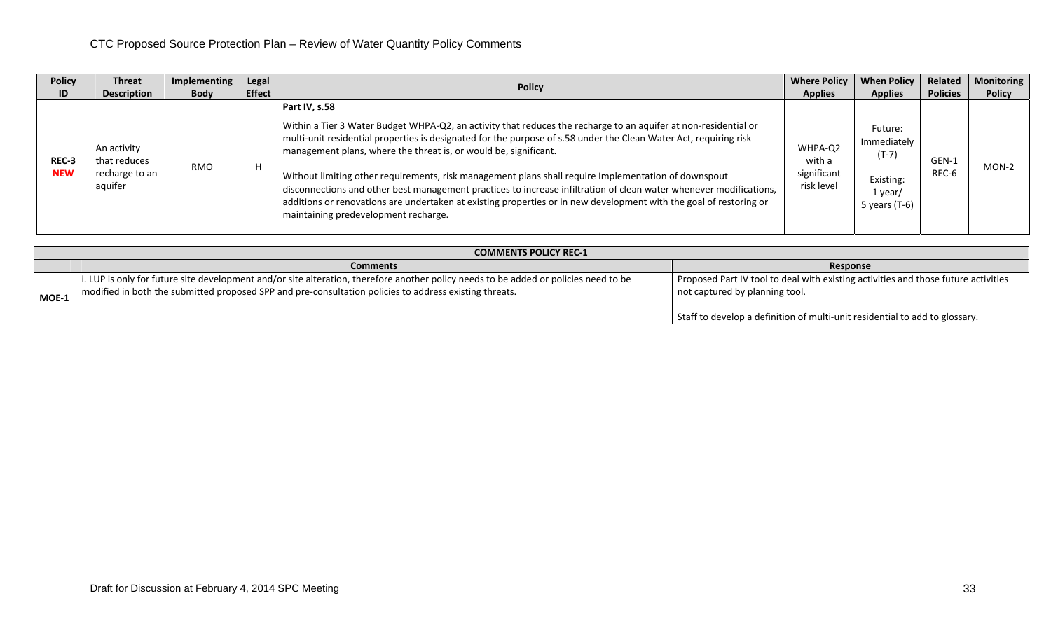| <b>Policy</b>       | <b>Threat</b>                                            | Implementing | Legal         | <b>Where Policy</b>                                                                                                                                                                                                                                                                                                                                                                                                                                                                                                                                                                                                                                                                                                   |                                                | <b>When Policy</b>                                                           | Related         | Monitoring    |
|---------------------|----------------------------------------------------------|--------------|---------------|-----------------------------------------------------------------------------------------------------------------------------------------------------------------------------------------------------------------------------------------------------------------------------------------------------------------------------------------------------------------------------------------------------------------------------------------------------------------------------------------------------------------------------------------------------------------------------------------------------------------------------------------------------------------------------------------------------------------------|------------------------------------------------|------------------------------------------------------------------------------|-----------------|---------------|
| ID                  | <b>Description</b>                                       | <b>Body</b>  | <b>Effect</b> | <b>Policy</b>                                                                                                                                                                                                                                                                                                                                                                                                                                                                                                                                                                                                                                                                                                         | <b>Applies</b>                                 | <b>Applies</b>                                                               | <b>Policies</b> | <b>Policy</b> |
| REC-3<br><b>NEW</b> | An activity<br>that reduces<br>recharge to an<br>aquifer | <b>RMO</b>   | H             | Part IV, s.58<br>Within a Tier 3 Water Budget WHPA-Q2, an activity that reduces the recharge to an aquifer at non-residential or<br>multi-unit residential properties is designated for the purpose of s.58 under the Clean Water Act, requiring risk<br>management plans, where the threat is, or would be, significant.<br>Without limiting other requirements, risk management plans shall require Implementation of downspout<br>disconnections and other best management practices to increase infiltration of clean water whenever modifications,<br>additions or renovations are undertaken at existing properties or in new development with the goal of restoring or<br>maintaining predevelopment recharge. | WHPA-Q2<br>with a<br>significant<br>risk level | Future:<br>Immediately<br>$(T-7)$<br>Existing:<br>1 year/<br>5 years $(T-6)$ | GEN-1<br>REC-6  | MON-2         |

|         | <b>COMMENTS POLICY REC-1</b>                                                                                                                                                                                                                   |                                                                                                                      |  |  |  |  |  |  |
|---------|------------------------------------------------------------------------------------------------------------------------------------------------------------------------------------------------------------------------------------------------|----------------------------------------------------------------------------------------------------------------------|--|--|--|--|--|--|
|         | <b>Comments</b>                                                                                                                                                                                                                                | Response                                                                                                             |  |  |  |  |  |  |
| $MOE-1$ | i. LUP is only for future site development and/or site alteration, therefore another policy needs to be added or policies need to be<br>modified in both the submitted proposed SPP and pre-consultation policies to address existing threats. | Proposed Part IV tool to deal with existing activities and those future activities<br>not captured by planning tool. |  |  |  |  |  |  |
|         |                                                                                                                                                                                                                                                | Staff to develop a definition of multi-unit residential to add to glossary.                                          |  |  |  |  |  |  |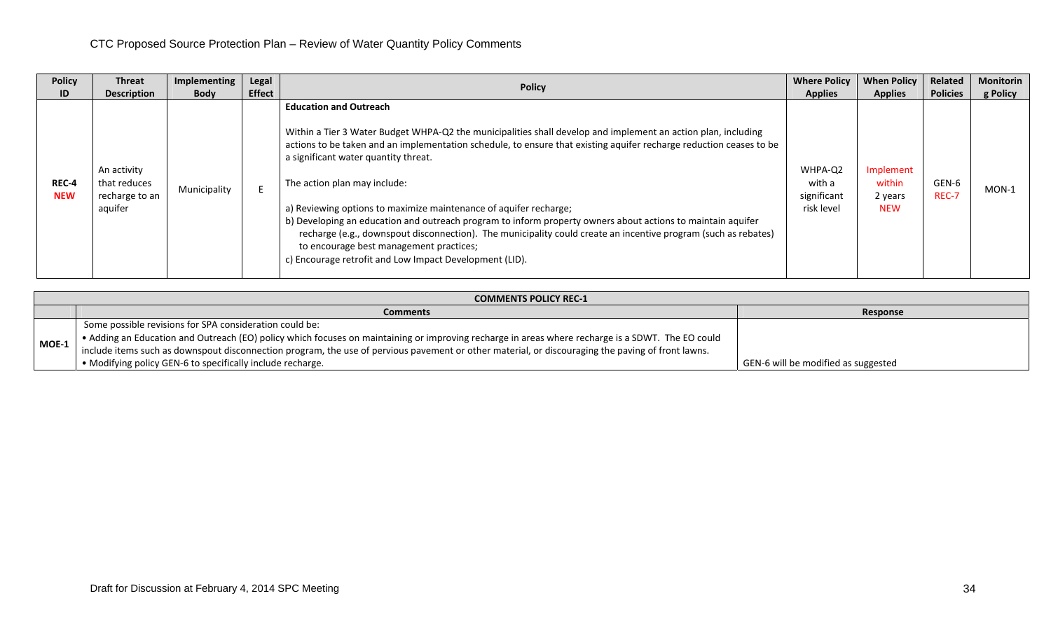| <b>Policy</b>       | <b>Threat</b>                                            | Implementing | Legal         |                                                                                                                                                                                                                                                                                                                                                                                                                                                                                                                                                                                                                                                                                                                                                           | <b>Where Policy</b>                            | <b>When Policy</b>                           | Related         | <b>Monitorin</b> |
|---------------------|----------------------------------------------------------|--------------|---------------|-----------------------------------------------------------------------------------------------------------------------------------------------------------------------------------------------------------------------------------------------------------------------------------------------------------------------------------------------------------------------------------------------------------------------------------------------------------------------------------------------------------------------------------------------------------------------------------------------------------------------------------------------------------------------------------------------------------------------------------------------------------|------------------------------------------------|----------------------------------------------|-----------------|------------------|
| ID                  | <b>Description</b>                                       | <b>Body</b>  | <b>Effect</b> | <b>Policy</b>                                                                                                                                                                                                                                                                                                                                                                                                                                                                                                                                                                                                                                                                                                                                             | <b>Applies</b>                                 | <b>Applies</b>                               | <b>Policies</b> | g Policy         |
| REC-4<br><b>NEW</b> | An activity<br>that reduces<br>recharge to an<br>aquifer | Municipality |               | <b>Education and Outreach</b><br>Within a Tier 3 Water Budget WHPA-Q2 the municipalities shall develop and implement an action plan, including<br>actions to be taken and an implementation schedule, to ensure that existing aquifer recharge reduction ceases to be<br>a significant water quantity threat.<br>The action plan may include:<br>a) Reviewing options to maximize maintenance of aquifer recharge;<br>b) Developing an education and outreach program to inform property owners about actions to maintain aquifer<br>recharge (e.g., downspout disconnection). The municipality could create an incentive program (such as rebates)<br>to encourage best management practices;<br>c) Encourage retrofit and Low Impact Development (LID). | WHPA-Q2<br>with a<br>significant<br>risk level | Implement<br>within<br>2 years<br><b>NEW</b> | GEN-6<br>REC-7  | $MON-1$          |

|         | <b>COMMENTS POLICY REC-1</b>                                                                                                                      |                                     |  |  |  |  |  |  |
|---------|---------------------------------------------------------------------------------------------------------------------------------------------------|-------------------------------------|--|--|--|--|--|--|
|         | <b>Comments</b>                                                                                                                                   | Response                            |  |  |  |  |  |  |
|         | Some possible revisions for SPA consideration could be:                                                                                           |                                     |  |  |  |  |  |  |
| $MOE-1$ | • Adding an Education and Outreach (EO) policy which focuses on maintaining or improving recharge in areas where recharge is a SDWT. The EO could |                                     |  |  |  |  |  |  |
|         | include items such as downspout disconnection program, the use of pervious pavement or other material, or discouraging the paving of front lawns. |                                     |  |  |  |  |  |  |
|         | • Modifying policy GEN-6 to specifically include recharge.                                                                                        | GEN-6 will be modified as suggested |  |  |  |  |  |  |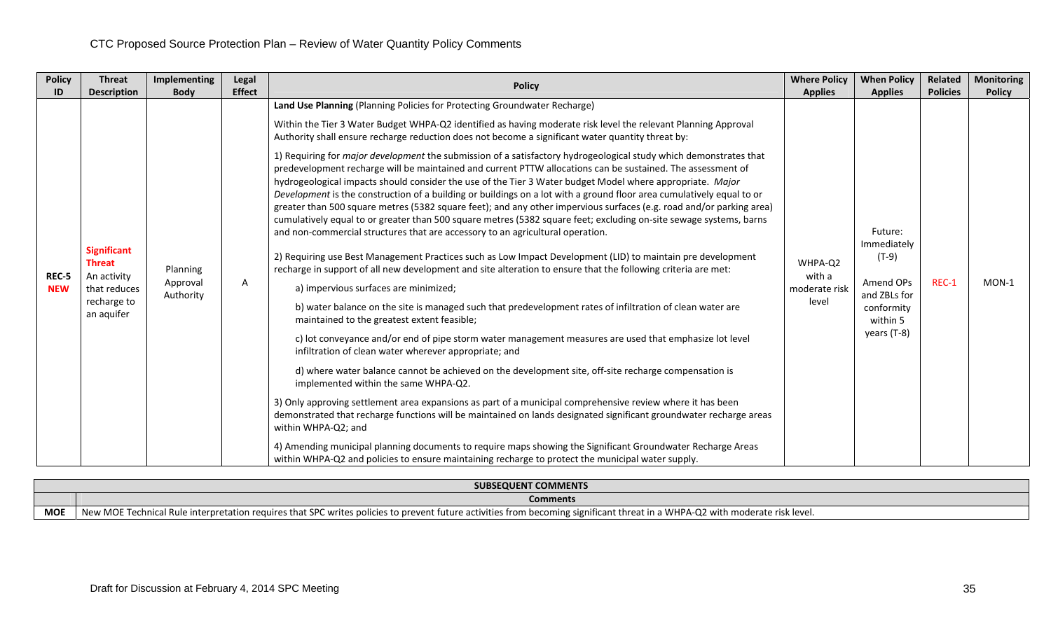| <b>Policy</b><br>ID | <b>Threat</b>                                                                                                         | Implementing                                     | <b>Legal</b>       | <b>Policy</b>                                                                                                                                                                                                                                                                                                                                                                                                                                                                                                                                                                                                                                                                                                                                                                                                                                                                                                                                                                                                                                                                                                                                                                                                                                                                                                                                                                                                                                                                                                                                                                                                                                                                                                                                                                                                                                                                                                                                                                                                                                                                                                                 | <b>Where Policy</b>                                           | <b>When Policy</b>                                                                                                        | <b>Related</b>           | <b>Monitoring</b>        |
|---------------------|-----------------------------------------------------------------------------------------------------------------------|--------------------------------------------------|--------------------|-------------------------------------------------------------------------------------------------------------------------------------------------------------------------------------------------------------------------------------------------------------------------------------------------------------------------------------------------------------------------------------------------------------------------------------------------------------------------------------------------------------------------------------------------------------------------------------------------------------------------------------------------------------------------------------------------------------------------------------------------------------------------------------------------------------------------------------------------------------------------------------------------------------------------------------------------------------------------------------------------------------------------------------------------------------------------------------------------------------------------------------------------------------------------------------------------------------------------------------------------------------------------------------------------------------------------------------------------------------------------------------------------------------------------------------------------------------------------------------------------------------------------------------------------------------------------------------------------------------------------------------------------------------------------------------------------------------------------------------------------------------------------------------------------------------------------------------------------------------------------------------------------------------------------------------------------------------------------------------------------------------------------------------------------------------------------------------------------------------------------------|---------------------------------------------------------------|---------------------------------------------------------------------------------------------------------------------------|--------------------------|--------------------------|
| REC-5<br><b>NEW</b> | <b>Description</b><br><b>Significant</b><br><b>Threat</b><br>An activity<br>that reduces<br>recharge to<br>an aquifer | <b>Body</b><br>Planning<br>Approval<br>Authority | <b>Effect</b><br>A | Land Use Planning (Planning Policies for Protecting Groundwater Recharge)<br>Within the Tier 3 Water Budget WHPA-Q2 identified as having moderate risk level the relevant Planning Approval<br>Authority shall ensure recharge reduction does not become a significant water quantity threat by:<br>1) Requiring for major development the submission of a satisfactory hydrogeological study which demonstrates that<br>predevelopment recharge will be maintained and current PTTW allocations can be sustained. The assessment of<br>hydrogeological impacts should consider the use of the Tier 3 Water budget Model where appropriate. Major<br>Development is the construction of a building or buildings on a lot with a ground floor area cumulatively equal to or<br>greater than 500 square metres (5382 square feet); and any other impervious surfaces (e.g. road and/or parking area)<br>cumulatively equal to or greater than 500 square metres (5382 square feet; excluding on-site sewage systems, barns<br>and non-commercial structures that are accessory to an agricultural operation.<br>2) Requiring use Best Management Practices such as Low Impact Development (LID) to maintain pre development<br>recharge in support of all new development and site alteration to ensure that the following criteria are met:<br>a) impervious surfaces are minimized;<br>b) water balance on the site is managed such that predevelopment rates of infiltration of clean water are<br>maintained to the greatest extent feasible;<br>c) lot conveyance and/or end of pipe storm water management measures are used that emphasize lot level<br>infiltration of clean water wherever appropriate; and<br>d) where water balance cannot be achieved on the development site, off-site recharge compensation is<br>implemented within the same WHPA-Q2.<br>3) Only approving settlement area expansions as part of a municipal comprehensive review where it has been<br>demonstrated that recharge functions will be maintained on lands designated significant groundwater recharge areas<br>within WHPA-Q2; and | <b>Applies</b><br>WHPA-Q2<br>with a<br>moderate risk<br>level | <b>Applies</b><br>Future:<br>Immediately<br>$(T-9)$<br>Amend OPs<br>and ZBLs for<br>conformity<br>within 5<br>years (T-8) | <b>Policies</b><br>REC-1 | <b>Policy</b><br>$MON-1$ |
|                     |                                                                                                                       |                                                  |                    | 4) Amending municipal planning documents to require maps showing the Significant Groundwater Recharge Areas<br>within WHPA-Q2 and policies to ensure maintaining recharge to protect the municipal water supply.                                                                                                                                                                                                                                                                                                                                                                                                                                                                                                                                                                                                                                                                                                                                                                                                                                                                                                                                                                                                                                                                                                                                                                                                                                                                                                                                                                                                                                                                                                                                                                                                                                                                                                                                                                                                                                                                                                              |                                                               |                                                                                                                           |                          |                          |

|            | <b>SUBSEQUENT COMMENTS</b>                                                                                                                                                             |  |  |  |  |  |  |
|------------|----------------------------------------------------------------------------------------------------------------------------------------------------------------------------------------|--|--|--|--|--|--|
|            | Comments                                                                                                                                                                               |  |  |  |  |  |  |
| <b>MOE</b> | New MO<br>e interpretation requires that SPC writes policies to prevent future activities from becoming significant threat in a WHPA-Q2 with moderate risk level.<br>)E Technical Rule |  |  |  |  |  |  |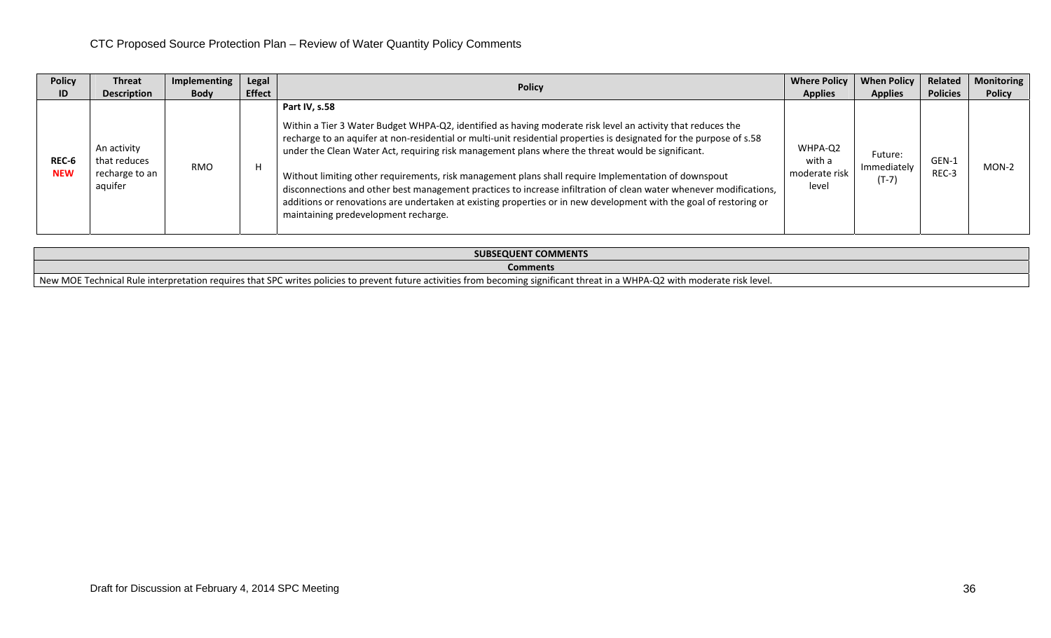| <b>Policy</b>       | <b>Threat</b>                                            | Implementing | Legal         |                                                                                                                                                                                                                                                                                                                                                                                                                                                                                                                                                                                                                                                                                                                                                       | <b>Where Policy</b>                         | <b>When Policy</b>                | Related         | <b>Monitoring</b> |
|---------------------|----------------------------------------------------------|--------------|---------------|-------------------------------------------------------------------------------------------------------------------------------------------------------------------------------------------------------------------------------------------------------------------------------------------------------------------------------------------------------------------------------------------------------------------------------------------------------------------------------------------------------------------------------------------------------------------------------------------------------------------------------------------------------------------------------------------------------------------------------------------------------|---------------------------------------------|-----------------------------------|-----------------|-------------------|
| ID                  | <b>Description</b>                                       | <b>Body</b>  | <b>Effect</b> | <b>Policy</b>                                                                                                                                                                                                                                                                                                                                                                                                                                                                                                                                                                                                                                                                                                                                         | <b>Applies</b>                              | <b>Applies</b>                    | <b>Policies</b> | <b>Policy</b>     |
| REC-6<br><b>NEW</b> | An activity<br>that reduces<br>recharge to an<br>aquifer | <b>RMO</b>   |               | Part IV, s.58<br>Within a Tier 3 Water Budget WHPA-Q2, identified as having moderate risk level an activity that reduces the<br>recharge to an aquifer at non-residential or multi-unit residential properties is designated for the purpose of s.58<br>under the Clean Water Act, requiring risk management plans where the threat would be significant.<br>Without limiting other requirements, risk management plans shall require Implementation of downspout<br>disconnections and other best management practices to increase infiltration of clean water whenever modifications,<br>additions or renovations are undertaken at existing properties or in new development with the goal of restoring or<br>maintaining predevelopment recharge. | WHPA-Q2<br>with a<br>moderate risk<br>level | Future:<br>Immediately<br>$(T-7)$ | GEN-1<br>REC-3  | MON-2             |

| <b>SUBSEQUENT COMMENTS</b>                                                                                                                                                                                                         |  |  |  |  |  |
|------------------------------------------------------------------------------------------------------------------------------------------------------------------------------------------------------------------------------------|--|--|--|--|--|
| Comments                                                                                                                                                                                                                           |  |  |  |  |  |
| The Technical Rule interpretation requires that SPC write<br>New MOE<br>a WHPA-Q2 with moderate risk level.<br>ag significant threat in<br>s policies to prevent future activities from becomini<br>$\ldots$ writes n<br>$-4$ (11) |  |  |  |  |  |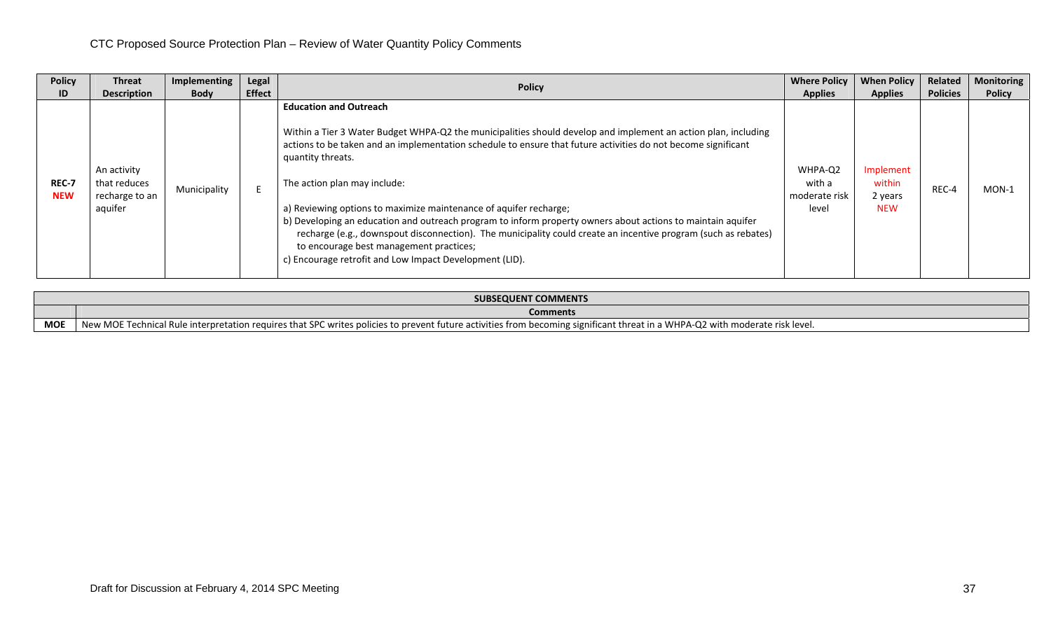| <b>Policy</b>       | <b>Threat</b>                                            | Implementing | <b>Legal</b>  | <b>Policy</b>                                                                                                                                                                                                                                                                                                                                                                                                                                                                                                                                                                                                                                                                                                                     | <b>Where Policy</b>                         | <b>When Policy</b>                           | Related         | <b>Monitoring</b> |
|---------------------|----------------------------------------------------------|--------------|---------------|-----------------------------------------------------------------------------------------------------------------------------------------------------------------------------------------------------------------------------------------------------------------------------------------------------------------------------------------------------------------------------------------------------------------------------------------------------------------------------------------------------------------------------------------------------------------------------------------------------------------------------------------------------------------------------------------------------------------------------------|---------------------------------------------|----------------------------------------------|-----------------|-------------------|
| ID                  | <b>Description</b>                                       | <b>Body</b>  | <b>Effect</b> |                                                                                                                                                                                                                                                                                                                                                                                                                                                                                                                                                                                                                                                                                                                                   | <b>Applies</b>                              | <b>Applies</b>                               | <b>Policies</b> | <b>Policy</b>     |
| REC-7<br><b>NEW</b> | An activity<br>that reduces<br>recharge to an<br>aquifer | Municipality |               | <b>Education and Outreach</b><br>Within a Tier 3 Water Budget WHPA-Q2 the municipalities should develop and implement an action plan, including<br>actions to be taken and an implementation schedule to ensure that future activities do not become significant<br>quantity threats.<br>The action plan may include:<br>a) Reviewing options to maximize maintenance of aquifer recharge;<br>b) Developing an education and outreach program to inform property owners about actions to maintain aquifer<br>recharge (e.g., downspout disconnection). The municipality could create an incentive program (such as rebates)<br>to encourage best management practices;<br>c) Encourage retrofit and Low Impact Development (LID). | WHPA-Q2<br>with a<br>moderate risk<br>level | Implement<br>within<br>2 years<br><b>NEW</b> | REC-4           | $MON-1$           |

|            | <b>SUBSEQUENT COMMENTS</b>                                                                                                                                                         |  |  |  |  |  |  |
|------------|------------------------------------------------------------------------------------------------------------------------------------------------------------------------------------|--|--|--|--|--|--|
|            | <b>Comments</b>                                                                                                                                                                    |  |  |  |  |  |  |
| <b>MOE</b> | DE Technical Rule interpretation requires that SPC writes policies to prevent future activities from becoming significant threat in a WHPA-Q2 with moderate risk level.<br>New MOI |  |  |  |  |  |  |